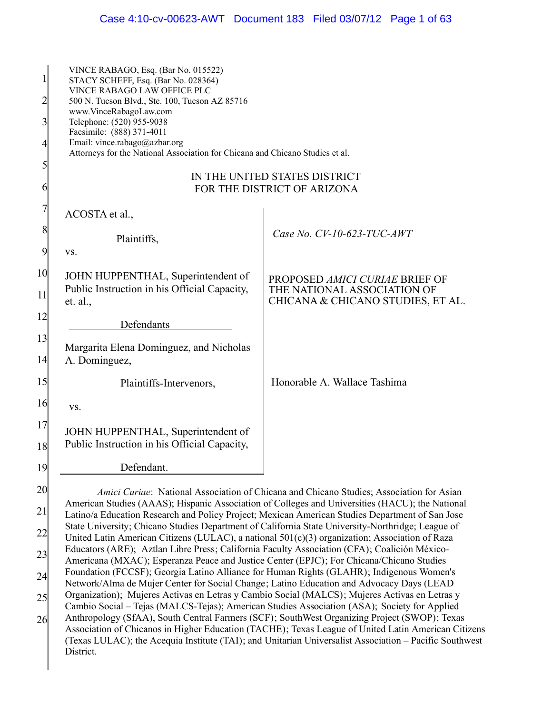### Case 4:10-cv-00623-AWT Document 183 Filed 03/07/12 Page 1 of 63

|          | VINCE RABAGO, Esq. (Bar No. 015522)<br>STACY SCHEFF, Esq. (Bar No. 028364)<br>VINCE RABAGO LAW OFFICE PLC<br>500 N. Tucson Blvd., Ste. 100, Tucson AZ 85716<br>www.VinceRabagoLaw.com            |                                                                                                                                                                                                      |
|----------|--------------------------------------------------------------------------------------------------------------------------------------------------------------------------------------------------|------------------------------------------------------------------------------------------------------------------------------------------------------------------------------------------------------|
| 3        | Telephone: (520) 955-9038                                                                                                                                                                        |                                                                                                                                                                                                      |
|          | Facsimile: (888) 371-4011<br>Email: vince.rabago@azbar.org                                                                                                                                       |                                                                                                                                                                                                      |
| 5        | Attorneys for the National Association for Chicana and Chicano Studies et al.                                                                                                                    |                                                                                                                                                                                                      |
| 6        |                                                                                                                                                                                                  | IN THE UNITED STATES DISTRICT<br>FOR THE DISTRICT OF ARIZONA                                                                                                                                         |
|          | ACOSTA et al.,                                                                                                                                                                                   |                                                                                                                                                                                                      |
| 8<br>9   | Plaintiffs,<br>VS.                                                                                                                                                                               | Case No. CV-10-623-TUC-AWT                                                                                                                                                                           |
| 10       |                                                                                                                                                                                                  |                                                                                                                                                                                                      |
| 11       | JOHN HUPPENTHAL, Superintendent of<br>Public Instruction in his Official Capacity,                                                                                                               | PROPOSED AMICI CURIAE BRIEF OF<br>THE NATIONAL ASSOCIATION OF                                                                                                                                        |
|          | et. al.,                                                                                                                                                                                         | CHICANA & CHICANO STUDIES, ET AL.                                                                                                                                                                    |
| 12       | Defendants                                                                                                                                                                                       |                                                                                                                                                                                                      |
| 13<br>14 | Margarita Elena Dominguez, and Nicholas<br>A. Dominguez,                                                                                                                                         |                                                                                                                                                                                                      |
| 15       | Plaintiffs-Intervenors,                                                                                                                                                                          | Honorable A. Wallace Tashima                                                                                                                                                                         |
| 16       | VS.                                                                                                                                                                                              |                                                                                                                                                                                                      |
| 17<br>18 | JOHN HUPPENTHAL, Superintendent of<br>Public Instruction in his Official Capacity,                                                                                                               |                                                                                                                                                                                                      |
| 19       | Defendant.                                                                                                                                                                                       |                                                                                                                                                                                                      |
| 20       |                                                                                                                                                                                                  |                                                                                                                                                                                                      |
| 21       |                                                                                                                                                                                                  | Amici Curiae: National Association of Chicana and Chicano Studies; Association for Asian<br>American Studies (AAAS); Hispanic Association of Colleges and Universities (HACU); the National          |
|          |                                                                                                                                                                                                  | Latino/a Education Research and Policy Project; Mexican American Studies Department of San Jose<br>State University; Chicano Studies Department of California State University-Northridge; League of |
| 22       | United Latin American Citizens (LULAC), a national $501(c)(3)$ organization; Association of Raza<br>Educators (ARE); Aztlan Libre Press; California Faculty Association (CFA); Coalición México- |                                                                                                                                                                                                      |
| 23       | Americana (MXAC); Esperanza Peace and Justice Center (EPJC); For Chicana/Chicano Studies<br>Foundation (FCCSF); Georgia Latino Alliance for Human Rights (GLAHR); Indigenous Women's             |                                                                                                                                                                                                      |
| 24       | Network/Alma de Mujer Center for Social Change; Latino Education and Advocacy Days (LEAD                                                                                                         |                                                                                                                                                                                                      |
| 25       |                                                                                                                                                                                                  | Organization); Mujeres Activas en Letras y Cambio Social (MALCS); Mujeres Activas en Letras y<br>Cambio Social - Tejas (MALCS-Tejas); American Studies Association (ASA); Society for Applied        |
| 26       |                                                                                                                                                                                                  | Anthropology (SfAA), South Central Farmers (SCF); SouthWest Organizing Project (SWOP); Texas<br>Association of Chicanos in Higher Education (TACHE); Texas League of United Latin American Citize    |

Association of Chicanos in Higher Education (TACHE); Texas League of United Latin American Citizens (Texas LULAC); the Acequia Institute (TAI); and Unitarian Universalist Association – Pacific Southwest District.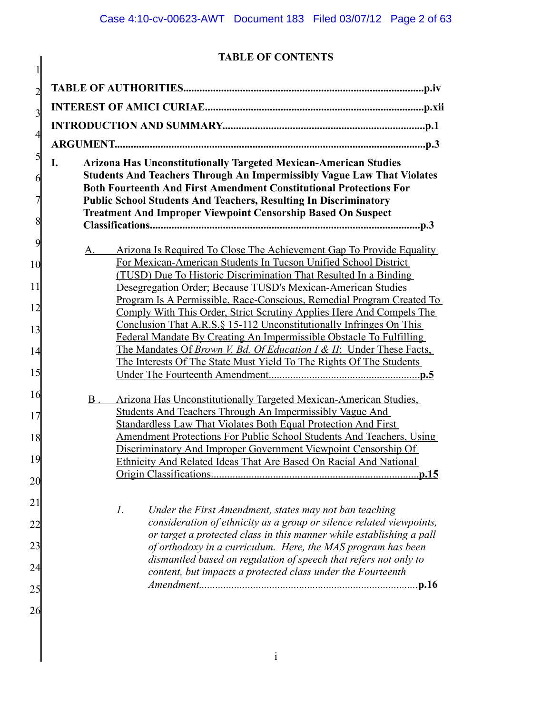## **TABLE OF CONTENTS**

| <b>Arizona Has Unconstitutionally Targeted Mexican-American Studies</b><br>I.<br><b>Students And Teachers Through An Impermissibly Vague Law That Violates</b><br><b>Both Fourteenth And First Amendment Constitutional Protections For</b><br><b>Public School Students And Teachers, Resulting In Discriminatory</b><br><b>Treatment And Improper Viewpoint Censorship Based On Suspect</b> |
|-----------------------------------------------------------------------------------------------------------------------------------------------------------------------------------------------------------------------------------------------------------------------------------------------------------------------------------------------------------------------------------------------|
|                                                                                                                                                                                                                                                                                                                                                                                               |
| Arizona Is Required To Close The Achievement Gap To Provide Equality<br>А.                                                                                                                                                                                                                                                                                                                    |
| For Mexican-American Students In Tucson Unified School District<br>(TUSD) Due To Historic Discrimination That Resulted In a Binding                                                                                                                                                                                                                                                           |
| Desegregation Order; Because TUSD's Mexican-American Studies                                                                                                                                                                                                                                                                                                                                  |
| Program Is A Permissible, Race-Conscious, Remedial Program Created To<br>Comply With This Order, Strict Scrutiny Applies Here And Compels The                                                                                                                                                                                                                                                 |
| Conclusion That A.R.S. § 15-112 Unconstitutionally Infringes On This<br>Federal Mandate By Creating An Impermissible Obstacle To Fulfilling                                                                                                                                                                                                                                                   |
| The Mandates Of Brown V. Bd. Of Education I & II; Under These Facts,                                                                                                                                                                                                                                                                                                                          |
| The Interests Of The State Must Yield To The Rights Of The Students                                                                                                                                                                                                                                                                                                                           |
|                                                                                                                                                                                                                                                                                                                                                                                               |
| Arizona Has Unconstitutionally Targeted Mexican-American Studies.<br>$B_{\perp}$<br>Students And Teachers Through An Impermissibly Vague And                                                                                                                                                                                                                                                  |
| Standardless Law That Violates Both Equal Protection And First<br>Amendment Protections For Public School Students And Teachers, Using                                                                                                                                                                                                                                                        |
| Discriminatory And Improper Government Viewpoint Censorship Of                                                                                                                                                                                                                                                                                                                                |
| <b>Ethnicity And Related Ideas That Are Based On Racial And National</b>                                                                                                                                                                                                                                                                                                                      |
|                                                                                                                                                                                                                                                                                                                                                                                               |
| $\mathcal{I}$ .<br>Under the First Amendment, states may not ban teaching                                                                                                                                                                                                                                                                                                                     |
| consideration of ethnicity as a group or silence related viewpoints,<br>or target a protected class in this manner while establishing a pall                                                                                                                                                                                                                                                  |
| of orthodoxy in a curriculum. Here, the MAS program has been                                                                                                                                                                                                                                                                                                                                  |
| dismantled based on regulation of speech that refers not only to<br>content, but impacts a protected class under the Fourteenth                                                                                                                                                                                                                                                               |
|                                                                                                                                                                                                                                                                                                                                                                                               |
|                                                                                                                                                                                                                                                                                                                                                                                               |
|                                                                                                                                                                                                                                                                                                                                                                                               |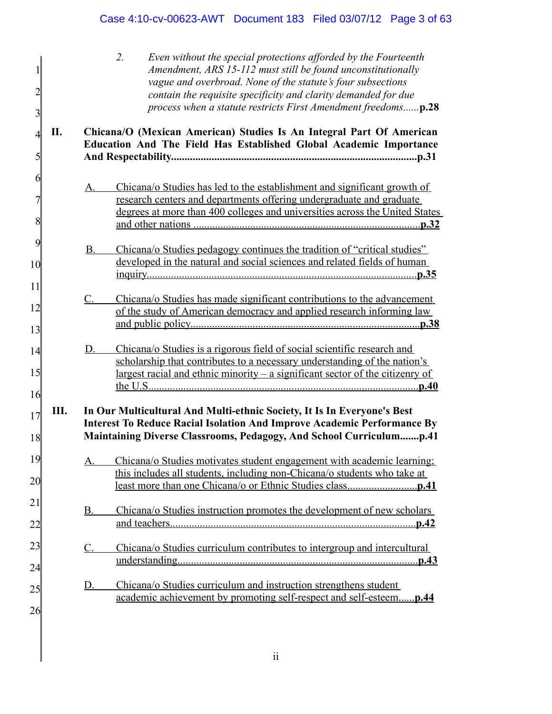## Case 4:10-cv-00623-AWT Document 183 Filed 03/07/12 Page 3 of 63

| $\overline{2}$   |    |               | 2.<br>Even without the special protections afforded by the Fourteenth<br>Amendment, ARS 15-112 must still be found unconstitutionally<br>vague and overbroad. None of the statute's four subsections<br>contain the requisite specificity and clarity demanded for due |
|------------------|----|---------------|------------------------------------------------------------------------------------------------------------------------------------------------------------------------------------------------------------------------------------------------------------------------|
| 3                |    |               | process when a statute restricts First Amendment freedomsp.28                                                                                                                                                                                                          |
| 4                | П. |               | Chicana/O (Mexican American) Studies Is An Integral Part Of American<br>Education And The Field Has Established Global Academic Importance                                                                                                                             |
| 5                |    |               |                                                                                                                                                                                                                                                                        |
| 6                |    | A.            | Chicana/o Studies has led to the establishment and significant growth of                                                                                                                                                                                               |
| 7                |    |               | research centers and departments offering undergraduate and graduate                                                                                                                                                                                                   |
| 8                |    |               | degrees at more than 400 colleges and universities across the United States                                                                                                                                                                                            |
| 9                |    | <b>B.</b>     | Chicana/o Studies pedagogy continues the tradition of "critical studies"                                                                                                                                                                                               |
| 10               |    |               | developed in the natural and social sciences and related fields of human                                                                                                                                                                                               |
|                  |    |               |                                                                                                                                                                                                                                                                        |
| 11               |    | $\mathcal{C}$ | Chicana/o Studies has made significant contributions to the advancement                                                                                                                                                                                                |
| 12               |    |               | of the study of American democracy and applied research informing law                                                                                                                                                                                                  |
| 13               |    |               |                                                                                                                                                                                                                                                                        |
| 14               |    | D.            | Chicana/o Studies is a rigorous field of social scientific research and                                                                                                                                                                                                |
| 15               |    |               | scholarship that contributes to a necessary understanding of the nation's<br>largest racial and ethnic minority $-$ a significant sector of the citizenry of                                                                                                           |
|                  |    |               |                                                                                                                                                                                                                                                                        |
| 16               |    |               |                                                                                                                                                                                                                                                                        |
| 17               | Ш. |               | In Our Multicultural And Multi-ethnic Society, It Is In Everyone's Best<br><b>Interest To Reduce Racial Isolation And Improve Academic Performance By</b>                                                                                                              |
| 18               |    |               | Maintaining Diverse Classrooms, Pedagogy, And School Curriculump.41                                                                                                                                                                                                    |
| 19               |    |               | Chicana/o Studies motivates student engagement with academic learning;                                                                                                                                                                                                 |
|                  |    |               | this includes all students, including non-Chicana/o students who take at                                                                                                                                                                                               |
| 20               |    |               |                                                                                                                                                                                                                                                                        |
| 21               |    | $B$ .         | Chicana/o Studies instruction promotes the development of new scholars                                                                                                                                                                                                 |
| 22               |    |               |                                                                                                                                                                                                                                                                        |
| 23               |    | $\mathcal{C}$ | Chicana/o Studies curriculum contributes to intergroup and intercultural                                                                                                                                                                                               |
|                  |    |               | <u>.p.43</u>                                                                                                                                                                                                                                                           |
| 24               |    | D.            | Chicana/o Studies curriculum and instruction strengthens student                                                                                                                                                                                                       |
| $25\overline{)}$ |    |               | academic achievement by promoting self-respect and self-esteem.<br>.p.44                                                                                                                                                                                               |
| 26               |    |               |                                                                                                                                                                                                                                                                        |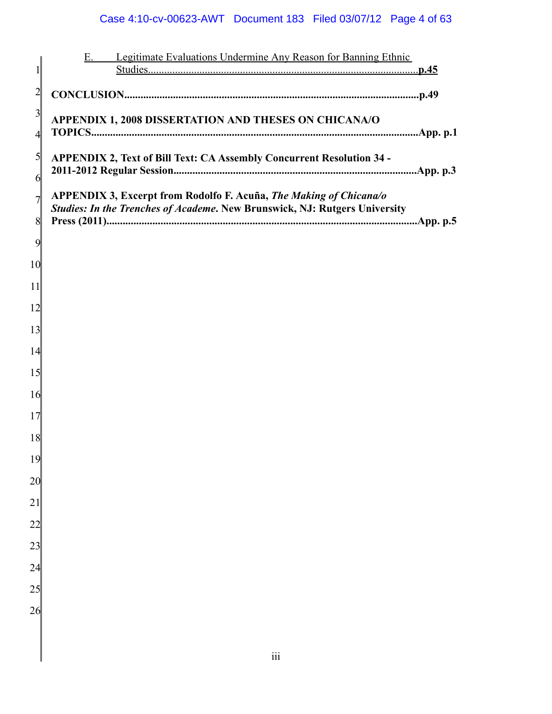|                         | Legitimate Evaluations Undermine Any Reason for Banning Ethnic<br>E.       |  |
|-------------------------|----------------------------------------------------------------------------|--|
| 1                       |                                                                            |  |
| $\overline{c}$          |                                                                            |  |
| $\overline{\mathbf{3}}$ | APPENDIX 1, 2008 DISSERTATION AND THESES ON CHICANA/O                      |  |
| 4                       |                                                                            |  |
| 5                       | APPENDIX 2, Text of Bill Text: CA Assembly Concurrent Resolution 34 -      |  |
| 6                       |                                                                            |  |
| $\overline{7}$          | APPENDIX 3, Excerpt from Rodolfo F. Acuña, The Making of Chicana/o         |  |
| 8                       | Studies: In the Trenches of Academe. New Brunswick, NJ: Rutgers University |  |
| 9                       |                                                                            |  |
| 10                      |                                                                            |  |
| 11                      |                                                                            |  |
| 12                      |                                                                            |  |
| 13                      |                                                                            |  |
| 14                      |                                                                            |  |
| 15                      |                                                                            |  |
| 16                      |                                                                            |  |
|                         |                                                                            |  |
| 17                      |                                                                            |  |
| 18                      |                                                                            |  |
| 19                      |                                                                            |  |
| $20\overline{)}$        |                                                                            |  |
| 21                      |                                                                            |  |
| 22                      |                                                                            |  |
| 23                      |                                                                            |  |
| 24                      |                                                                            |  |
| 25                      |                                                                            |  |
| 26                      |                                                                            |  |
|                         |                                                                            |  |
|                         | iii                                                                        |  |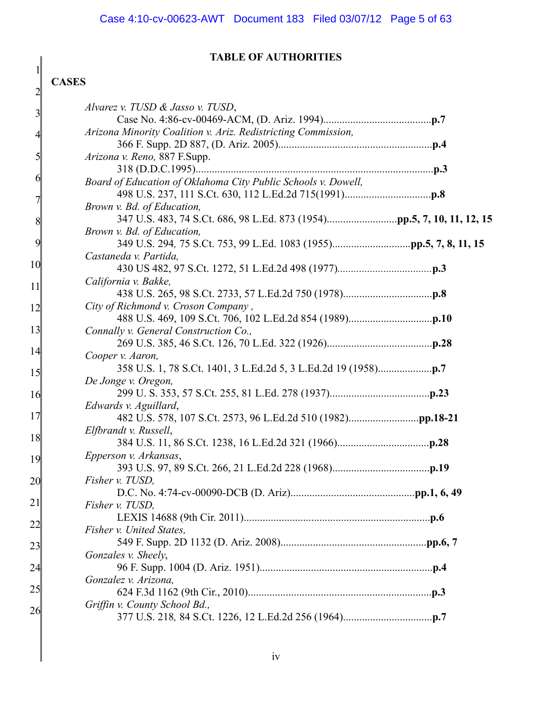## **TABLE OF AUTHORITIES**

## **CASES**

1

2

3

4

5

6

7

8

9

10

11

12

13

14

15

16

17

18

19

20

21

22

23

24

25

| Alvarez v. TUSD & Jasso v. TUSD,                              |  |
|---------------------------------------------------------------|--|
|                                                               |  |
| Arizona Minority Coalition v. Ariz. Redistricting Commission, |  |
|                                                               |  |
| Arizona v. Reno, 887 F.Supp.                                  |  |
|                                                               |  |
| Board of Education of Oklahoma City Public Schools v. Dowell, |  |
|                                                               |  |
| Brown v. Bd. of Education,                                    |  |
|                                                               |  |
| Brown v. Bd. of Education,                                    |  |
|                                                               |  |
| Castaneda v. Partida,                                         |  |
|                                                               |  |
| California v. Bakke,                                          |  |
|                                                               |  |
| City of Richmond v. Croson Company,                           |  |
|                                                               |  |
| Connally v. General Construction Co.,                         |  |
|                                                               |  |
| Cooper v. Aaron,                                              |  |
| De Jonge v. Oregon,                                           |  |
|                                                               |  |
| Edwards v. Aguillard,                                         |  |
|                                                               |  |
| Elfbrandt v. Russell,                                         |  |
|                                                               |  |
| Epperson v. Arkansas,                                         |  |
|                                                               |  |
| Fisher v. TUSD,                                               |  |
|                                                               |  |
| Fisher v. TUSD,                                               |  |
|                                                               |  |
| Fisher v. United States,                                      |  |
|                                                               |  |
| Gonzales v. Sheely,                                           |  |
|                                                               |  |
| Gonzalez v. Arizona,                                          |  |
|                                                               |  |
| Griffin v. County School Bd.,                                 |  |
|                                                               |  |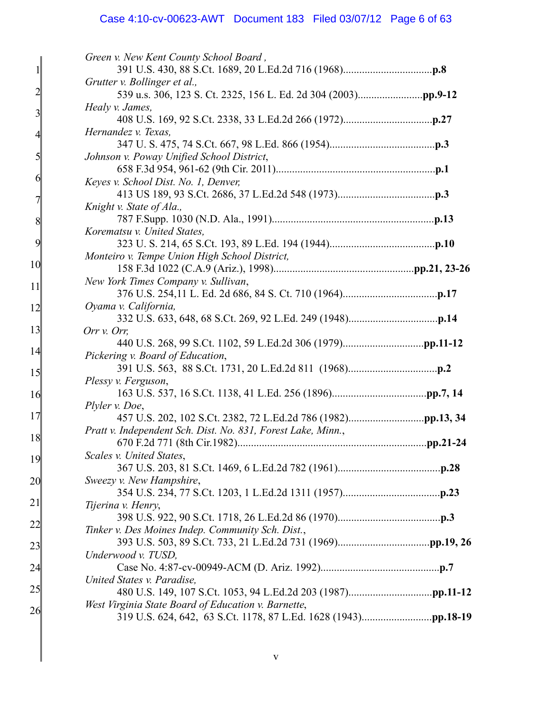## Case 4:10-cv-00623-AWT Document 183 Filed 03/07/12 Page 6 of 63

1

2

3

4

5

6

7

8

9

10

11

12

13

14

15

16

17

18

19

20

21

22

23

24

25

| Green v. New Kent County School Board,                       |
|--------------------------------------------------------------|
| Grutter v. Bollinger et al.,                                 |
|                                                              |
| Healy v. James,                                              |
|                                                              |
| Hernandez v. Texas,                                          |
|                                                              |
| Johnson v. Poway Unified School District,                    |
|                                                              |
| Keyes v. School Dist. No. 1, Denver,                         |
|                                                              |
| Knight v. State of Ala.,                                     |
|                                                              |
| Korematsu v. United States,                                  |
| Monteiro v. Tempe Union High School District,                |
|                                                              |
| New York Times Company v. Sullivan,                          |
|                                                              |
| Oyama v. California,                                         |
|                                                              |
| Orr v. Orr,                                                  |
|                                                              |
| Pickering v. Board of Education,                             |
|                                                              |
| Plessy v. Ferguson,                                          |
|                                                              |
| Plyler v. Doe,                                               |
|                                                              |
| Pratt v. Independent Sch. Dist. No. 831, Forest Lake, Minn., |
|                                                              |
| Scales v. United States,                                     |
|                                                              |
| Sweezy v. New Hampshire,                                     |
|                                                              |
| Tijerina v. Henry,                                           |
| Tinker v. Des Moines Indep. Community Sch. Dist.,            |
|                                                              |
| Underwood v. TUSD,                                           |
|                                                              |
| United States v. Paradise,                                   |
|                                                              |
| West Virginia State Board of Education v. Barnette,          |
|                                                              |
|                                                              |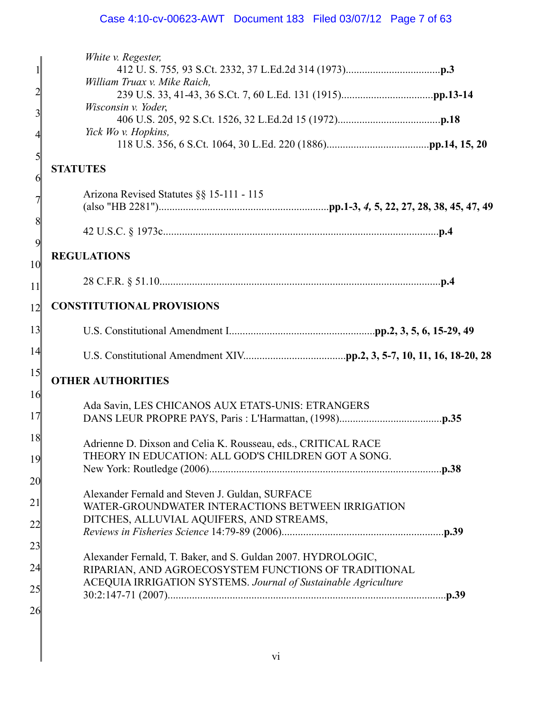## Case 4:10-cv-00623-AWT Document 183 Filed 03/07/12 Page 7 of 63

|    | White v. Regester,                                                                                                     |
|----|------------------------------------------------------------------------------------------------------------------------|
|    | William Truax v. Mike Raich,                                                                                           |
|    | Wisconsin v. Yoder,                                                                                                    |
| 3  |                                                                                                                        |
|    | Yick Wo v. Hopkins,                                                                                                    |
| 5  | <b>STATUTES</b>                                                                                                        |
| 6  |                                                                                                                        |
|    | Arizona Revised Statutes §§ 15-111 - 115                                                                               |
| 8  |                                                                                                                        |
| 9  |                                                                                                                        |
| 10 | <b>REGULATIONS</b>                                                                                                     |
| 11 |                                                                                                                        |
| 12 | <b>CONSTITUTIONAL PROVISIONS</b>                                                                                       |
| 13 |                                                                                                                        |
| 14 |                                                                                                                        |
| 15 | <b>OTHER AUTHORITIES</b>                                                                                               |
| 16 | Ada Savin, LES CHICANOS AUX ETATS-UNIS: ETRANGERS                                                                      |
| 17 |                                                                                                                        |
| 18 | Adrienne D. Dixson and Celia K. Rousseau, eds., CRITICAL RACE                                                          |
| 19 | THEORY IN EDUCATION: ALL GOD'S CHILDREN GOT A SONG.                                                                    |
| 20 |                                                                                                                        |
| 21 | Alexander Fernald and Steven J. Guldan, SURFACE<br>WATER-GROUNDWATER INTERACTIONS BETWEEN IRRIGATION                   |
| 22 | DITCHES, ALLUVIAL AQUIFERS, AND STREAMS,                                                                               |
|    |                                                                                                                        |
| 23 | Alexander Fernald, T. Baker, and S. Guldan 2007. HYDROLOGIC,                                                           |
| 24 | RIPARIAN, AND AGROECOSYSTEM FUNCTIONS OF TRADITIONAL<br>ACEQUIA IRRIGATION SYSTEMS. Journal of Sustainable Agriculture |
| 25 |                                                                                                                        |
| 26 |                                                                                                                        |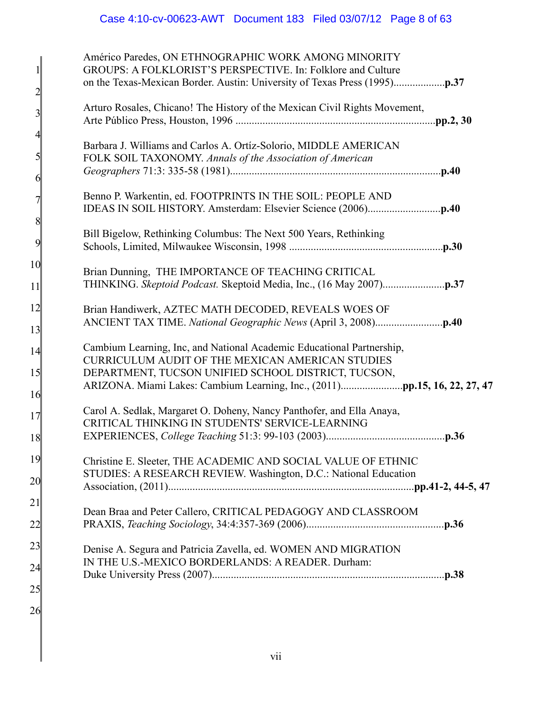| 1              | Américo Paredes, ON ETHNOGRAPHIC WORK AMONG MINORITY<br>GROUPS: A FOLKLORIST'S PERSPECTIVE. In: Folklore and Culture                                                                    |  |
|----------------|-----------------------------------------------------------------------------------------------------------------------------------------------------------------------------------------|--|
| 3              | Arturo Rosales, Chicano! The History of the Mexican Civil Rights Movement,                                                                                                              |  |
| 5<br>6         | Barbara J. Williams and Carlos A. Ortíz-Solorio, MIDDLE AMERICAN<br>FOLK SOIL TAXONOMY. Annals of the Association of American                                                           |  |
|                | Benno P. Warkentin, ed. FOOTPRINTS IN THE SOIL: PEOPLE AND                                                                                                                              |  |
| 8<br>9         | Bill Bigelow, Rethinking Columbus: The Next 500 Years, Rethinking                                                                                                                       |  |
| 10<br>11       | Brian Dunning, THE IMPORTANCE OF TEACHING CRITICAL                                                                                                                                      |  |
| 12<br>13       | Brian Handiwerk, AZTEC MATH DECODED, REVEALS WOES OF                                                                                                                                    |  |
| 14<br>15<br>16 | Cambium Learning, Inc, and National Academic Educational Partnership,<br><b>CURRICULUM AUDIT OF THE MEXICAN AMERICAN STUDIES</b><br>DEPARTMENT, TUCSON UNIFIED SCHOOL DISTRICT, TUCSON, |  |
| 17<br>18       | Carol A. Sedlak, Margaret O. Doheny, Nancy Panthofer, and Ella Anaya,<br>CRITICAL THINKING IN STUDENTS' SERVICE-LEARNING                                                                |  |
| 19<br>20       | Christine E. Sleeter, THE ACADEMIC AND SOCIAL VALUE OF ETHNIC<br>STUDIES: A RESEARCH REVIEW. Washington, D.C.: National Education                                                       |  |
| 21<br>22       | Dean Braa and Peter Callero, CRITICAL PEDAGOGY AND CLASSROOM                                                                                                                            |  |
| 23<br>24       | Denise A. Segura and Patricia Zavella, ed. WOMEN AND MIGRATION<br>IN THE U.S.-MEXICO BORDERLANDS: A READER, Durham:                                                                     |  |
| 25             |                                                                                                                                                                                         |  |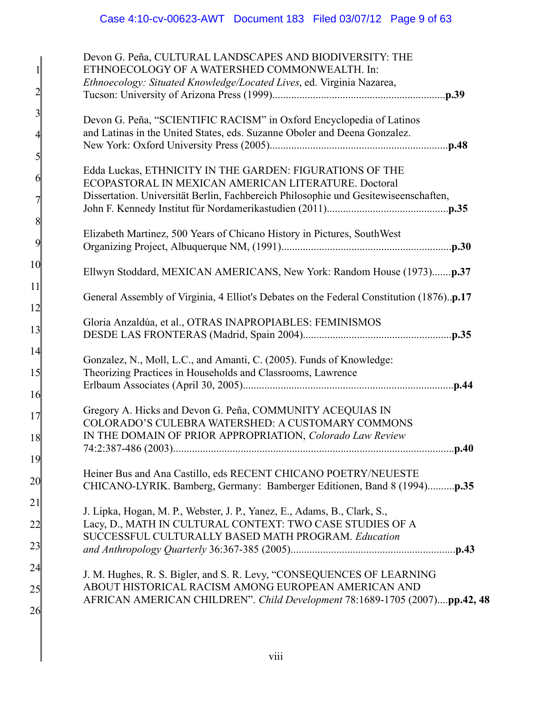| $\mathbf{1}$<br>$\overline{c}$ | Devon G. Peña, CULTURAL LANDSCAPES AND BIODIVERSITY: THE<br>ETHNOECOLOGY OF A WATERSHED COMMONWEALTH. In:<br>Ethnoecology: Situated Knowledge/Located Lives, ed. Virginia Nazarea,                         |        |
|--------------------------------|------------------------------------------------------------------------------------------------------------------------------------------------------------------------------------------------------------|--------|
| $\overline{3}$<br>4            | Devon G. Peña, "SCIENTIFIC RACISM" in Oxford Encyclopedia of Latinos<br>and Latinas in the United States, eds. Suzanne Oboler and Deena Gonzalez.                                                          |        |
| 5<br>6<br>7                    | Edda Luckas, ETHNICITY IN THE GARDEN: FIGURATIONS OF THE<br>ECOPASTORAL IN MEXICAN AMERICAN LITERATURE. Doctoral<br>Dissertation. Universität Berlin, Fachbereich Philosophie und Gesitewiseenschaften,    |        |
| 8<br>9                         | Elizabeth Martinez, 500 Years of Chicano History in Pictures, SouthWest                                                                                                                                    |        |
| 10                             |                                                                                                                                                                                                            |        |
| 11<br>12                       | General Assembly of Virginia, 4 Elliot's Debates on the Federal Constitution (1876)p.17                                                                                                                    |        |
| 13                             | Gloria Anzaldúa, et al., OTRAS INAPROPIABLES: FEMINISMOS                                                                                                                                                   |        |
| 14<br>15<br>16                 | Gonzalez, N., Moll, L.C., and Amanti, C. (2005). Funds of Knowledge:<br>Theorizing Practices in Households and Classrooms, Lawrence                                                                        |        |
| 17<br>18                       | Gregory A. Hicks and Devon G. Peña, COMMUNITY ACEQUIAS IN<br>COLORADO'S CULEBRA WATERSHED: A CUSTOMARY COMMONS<br>IN THE DOMAIN OF PRIOR APPROPRIATION, Colorado Law Review                                | $p.40$ |
| 19<br>20                       | Heiner Bus and Ana Castillo, eds RECENT CHICANO POETRY/NEUESTE                                                                                                                                             |        |
| 21<br>22<br>23                 | J. Lipka, Hogan, M. P., Webster, J. P., Yanez, E., Adams, B., Clark, S.,<br>Lacy, D., MATH IN CULTURAL CONTEXT: TWO CASE STUDIES OF A<br>SUCCESSFUL CULTURALLY BASED MATH PROGRAM. Education               |        |
| 24<br>25<br>26                 | J. M. Hughes, R. S. Bigler, and S. R. Levy, "CONSEQUENCES OF LEARNING<br>ABOUT HISTORICAL RACISM AMONG EUROPEAN AMERICAN AND<br>AFRICAN AMERICAN CHILDREN". Child Development 78:1689-1705 (2007)pp.42, 48 |        |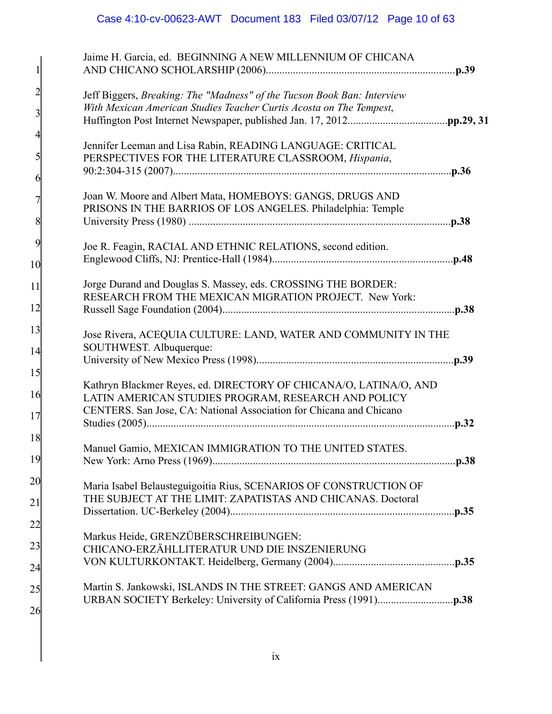| 1                   | Jaime H. Garcia, ed. BEGINNING A NEW MILLENNIUM OF CHICANA                                                                                     |       |
|---------------------|------------------------------------------------------------------------------------------------------------------------------------------------|-------|
| $\overline{2}$<br>3 | Jeff Biggers, Breaking: The "Madness" of the Tucson Book Ban: Interview<br>With Mexican American Studies Teacher Curtis Acosta on The Tempest, |       |
|                     | Jennifer Leeman and Lisa Rabin, READING LANGUAGE: CRITICAL                                                                                     |       |
| 5<br>6              | PERSPECTIVES FOR THE LITERATURE CLASSROOM, Hispania,                                                                                           |       |
|                     | Joan W. Moore and Albert Mata, HOMEBOYS: GANGS, DRUGS AND<br>PRISONS IN THE BARRIOS OF LOS ANGELES. Philadelphia: Temple                       |       |
| 8<br>9              |                                                                                                                                                | .p.38 |
| 10                  | Joe R. Feagin, RACIAL AND ETHNIC RELATIONS, second edition.                                                                                    |       |
| 11<br>12            | Jorge Durand and Douglas S. Massey, eds. CROSSING THE BORDER:<br>RESEARCH FROM THE MEXICAN MIGRATION PROJECT. New York:                        |       |
| 13                  | Jose Rivera, ACEQUIA CULTURE: LAND, WATER AND COMMUNITY IN THE                                                                                 |       |
| 14                  | SOUTHWEST. Albuquerque:                                                                                                                        |       |
| 15<br>16            | Kathryn Blackmer Reyes, ed. DIRECTORY OF CHICANA/O, LATINA/O, AND<br>LATIN AMERICAN STUDIES PROGRAM, RESEARCH AND POLICY                       |       |
| 17                  | CENTERS. San Jose, CA: National Association for Chicana and Chicano                                                                            |       |
| 18<br>19            | Manuel Gamio, MEXICAN IMMIGRATION TO THE UNITED STATES.                                                                                        |       |
| 20                  | Maria Isabel Belausteguigoitia Rius, SCENARIOS OF CONSTRUCTION OF<br>THE SUBJECT AT THE LIMIT: ZAPATISTAS AND CHICANAS. Doctoral               |       |
| 21<br>22            |                                                                                                                                                |       |
| 23                  | Markus Heide, GRENZÜBERSCHREIBUNGEN:<br>CHICANO-ERZÄHLLITERATUR UND DIE INSZENIERUNG                                                           |       |
| 24<br>25            | Martin S. Jankowski, ISLANDS IN THE STREET: GANGS AND AMERICAN                                                                                 |       |
| 26                  |                                                                                                                                                |       |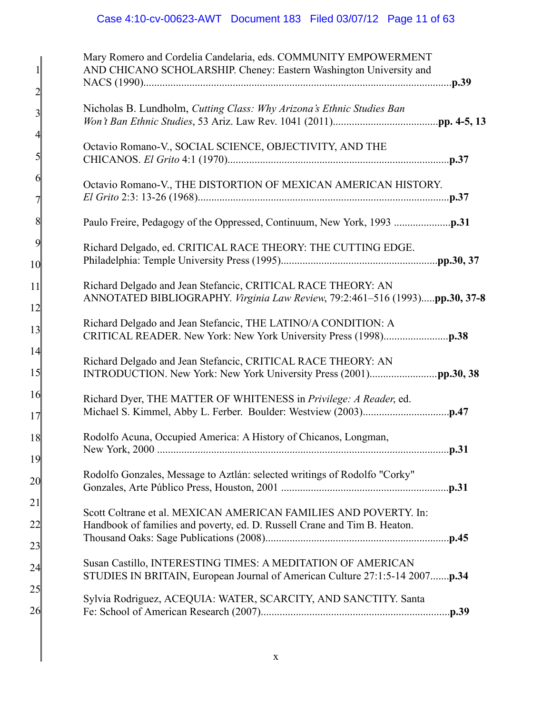| 1                                | Mary Romero and Cordelia Candelaria, eds. COMMUNITY EMPOWERMENT<br>AND CHICANO SCHOLARSHIP. Cheney: Eastern Washington University and         |  |
|----------------------------------|-----------------------------------------------------------------------------------------------------------------------------------------------|--|
| $\overline{2}$<br>$\overline{3}$ | Nicholas B. Lundholm, Cutting Class: Why Arizona's Ethnic Studies Ban                                                                         |  |
| $\overline{4}$<br>$\mathfrak{S}$ | Octavio Romano-V., SOCIAL SCIENCE, OBJECTIVITY, AND THE                                                                                       |  |
| 6<br>$\overline{7}$              | Octavio Romano-V., THE DISTORTION OF MEXICAN AMERICAN HISTORY.                                                                                |  |
| 8                                |                                                                                                                                               |  |
| 9<br>10                          | Richard Delgado, ed. CRITICAL RACE THEORY: THE CUTTING EDGE.                                                                                  |  |
| 11<br>12                         | Richard Delgado and Jean Stefancic, CRITICAL RACE THEORY: AN<br>ANNOTATED BIBLIOGRAPHY. Virginia Law Review, 79:2:461-516 (1993)pp.30, 37-8   |  |
| 13                               | Richard Delgado and Jean Stefancic, THE LATINO/A CONDITION: A                                                                                 |  |
| 14<br>15                         | Richard Delgado and Jean Stefancic, CRITICAL RACE THEORY: AN                                                                                  |  |
| 16<br>17                         | Richard Dyer, THE MATTER OF WHITENESS in Privilege: A Reader, ed.                                                                             |  |
| 18<br>19                         | Rodolfo Acuna, Occupied America: A History of Chicanos, Longman,                                                                              |  |
| 20                               | Rodolfo Gonzales, Message to Aztlán: selected writings of Rodolfo "Corky"                                                                     |  |
| 21<br>22                         | Scott Coltrane et al. MEXICAN AMERICAN FAMILIES AND POVERTY. In:<br>Handbook of families and poverty, ed. D. Russell Crane and Tim B. Heaton. |  |
| 23<br>24                         | Susan Castillo, INTERESTING TIMES: A MEDITATION OF AMERICAN                                                                                   |  |
| 25<br>26                         | Sylvia Rodriguez, ACEQUIA: WATER, SCARCITY, AND SANCTITY. Santa                                                                               |  |
|                                  |                                                                                                                                               |  |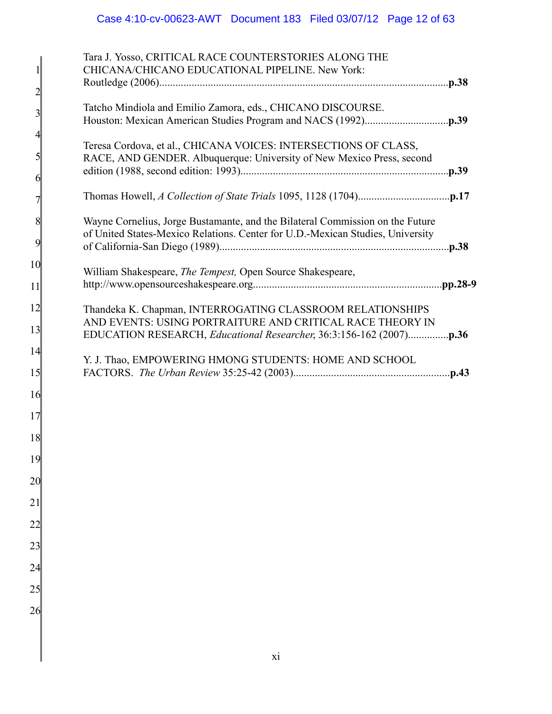2

3

4

5

6

7

8

9

10

11

12

13

14

15

16

17

18

19

20

21

22

23

24

25

| Tara J. Yosso, CRITICAL RACE COUNTERSTORIES ALONG THE<br>CHICANA/CHICANO EDUCATIONAL PIPELINE. New York:                                                        |  |
|-----------------------------------------------------------------------------------------------------------------------------------------------------------------|--|
|                                                                                                                                                                 |  |
| Tatcho Mindiola and Emilio Zamora, eds., CHICANO DISCOURSE.                                                                                                     |  |
| Teresa Cordova, et al., CHICANA VOICES: INTERSECTIONS OF CLASS,<br>RACE, AND GENDER. Albuquerque: University of New Mexico Press, second                        |  |
|                                                                                                                                                                 |  |
| Wayne Cornelius, Jorge Bustamante, and the Bilateral Commission on the Future<br>of United States-Mexico Relations. Center for U.D.-Mexican Studies, University |  |
| William Shakespeare, The Tempest, Open Source Shakespeare,                                                                                                      |  |
| Thandeka K. Chapman, INTERROGATING CLASSROOM RELATIONSHIPS<br>AND EVENTS: USING PORTRAITURE AND CRITICAL RACE THEORY IN                                         |  |
| Y. J. Thao, EMPOWERING HMONG STUDENTS: HOME AND SCHOOL                                                                                                          |  |
|                                                                                                                                                                 |  |
|                                                                                                                                                                 |  |
|                                                                                                                                                                 |  |
|                                                                                                                                                                 |  |
|                                                                                                                                                                 |  |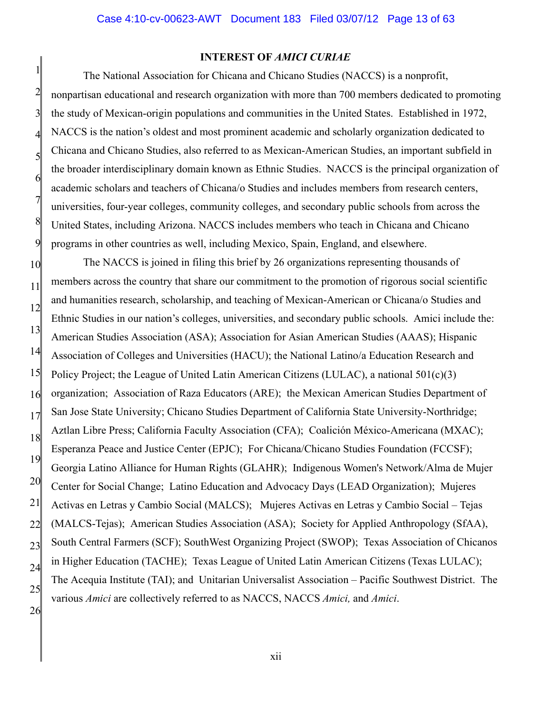#### **INTEREST OF** *AMICI CURIAE*

The National Association for Chicana and Chicano Studies (NACCS) is a nonprofit, nonpartisan educational and research organization with more than 700 members dedicated to promoting the study of Mexican-origin populations and communities in the United States. Established in 1972, NACCS is the nation's oldest and most prominent academic and scholarly organization dedicated to Chicana and Chicano Studies, also referred to as Mexican-American Studies, an important subfield in the broader interdisciplinary domain known as Ethnic Studies. NACCS is the principal organization of academic scholars and teachers of Chicana/o Studies and includes members from research centers, universities, four-year colleges, community colleges, and secondary public schools from across the United States, including Arizona. NACCS includes members who teach in Chicana and Chicano programs in other countries as well, including Mexico, Spain, England, and elsewhere. 1 2 3 4 5 6 7 8 9

The NACCS is joined in filing this brief by 26 organizations representing thousands of members across the country that share our commitment to the promotion of rigorous social scientific and humanities research, scholarship, and teaching of Mexican-American or Chicana/o Studies and Ethnic Studies in our nation's colleges, universities, and secondary public schools. Amici include the: American Studies Association (ASA); Association for Asian American Studies (AAAS); Hispanic Association of Colleges and Universities (HACU); the National Latino/a Education Research and Policy Project; the League of United Latin American Citizens (LULAC), a national  $501(c)(3)$ organization; Association of Raza Educators (ARE); the Mexican American Studies Department of San Jose State University; Chicano Studies Department of California State University-Northridge; Aztlan Libre Press; California Faculty Association (CFA); Coalición México-Americana (MXAC); Esperanza Peace and Justice Center (EPJC); For Chicana/Chicano Studies Foundation (FCCSF); Georgia Latino Alliance for Human Rights (GLAHR); Indigenous Women's Network/Alma de Mujer Center for Social Change; Latino Education and Advocacy Days (LEAD Organization); Mujeres Activas en Letras y Cambio Social (MALCS); Mujeres Activas en Letras y Cambio Social – Tejas (MALCS-Tejas); American Studies Association (ASA); Society for Applied Anthropology (SfAA), South Central Farmers (SCF); SouthWest Organizing Project (SWOP); Texas Association of Chicanos in Higher Education (TACHE); Texas League of United Latin American Citizens (Texas LULAC); The Acequia Institute (TAI); and Unitarian Universalist Association – Pacific Southwest District. The various *Amici* are collectively referred to as NACCS, NACCS *Amici,* and *Amici*. 10 11 12 13 14 15 16 17 18 19 20 21 22 23 24 25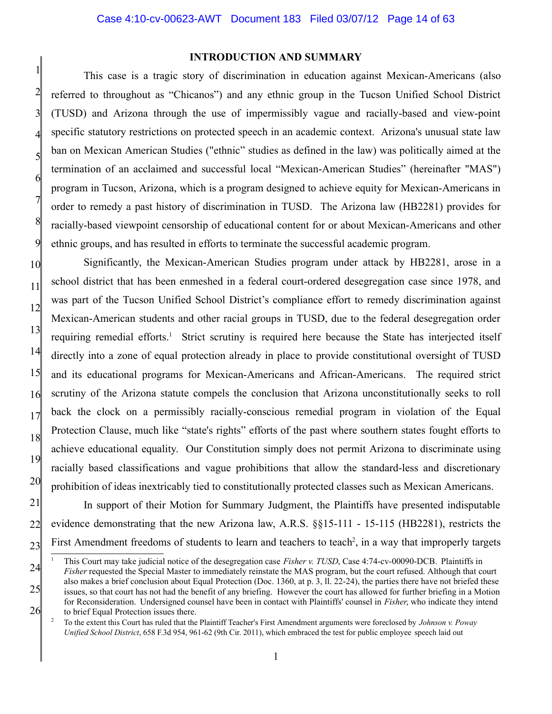#### **INTRODUCTION AND SUMMARY**

This case is a tragic story of discrimination in education against Mexican-Americans (also referred to throughout as "Chicanos") and any ethnic group in the Tucson Unified School District (TUSD) and Arizona through the use of impermissibly vague and racially-based and view-point specific statutory restrictions on protected speech in an academic context. Arizona's unusual state law ban on Mexican American Studies ("ethnic" studies as defined in the law) was politically aimed at the termination of an acclaimed and successful local "Mexican-American Studies" (hereinafter "MAS") program in Tucson, Arizona, which is a program designed to achieve equity for Mexican-Americans in order to remedy a past history of discrimination in TUSD. The Arizona law (HB2281) provides for racially-based viewpoint censorship of educational content for or about Mexican-Americans and other ethnic groups, and has resulted in efforts to terminate the successful academic program.

Significantly, the Mexican-American Studies program under attack by HB2281, arose in a school district that has been enmeshed in a federal court-ordered desegregation case since 1978, and was part of the Tucson Unified School District's compliance effort to remedy discrimination against Mexican-American students and other racial groups in TUSD, due to the federal desegregation order requiring remedial efforts.<sup>[1](#page-13-0)</sup> Strict scrutiny is required here because the State has interjected itself directly into a zone of equal protection already in place to provide constitutional oversight of TUSD and its educational programs for Mexican-Americans and African-Americans. The required strict scrutiny of the Arizona statute compels the conclusion that Arizona unconstitutionally seeks to roll back the clock on a permissibly racially-conscious remedial program in violation of the Equal Protection Clause, much like "state's rights" efforts of the past where southern states fought efforts to achieve educational equality. Our Constitution simply does not permit Arizona to discriminate using racially based classifications and vague prohibitions that allow the standard-less and discretionary prohibition of ideas inextricably tied to constitutionally protected classes such as Mexican Americans.

In support of their Motion for Summary Judgment, the Plaintiffs have presented indisputable evidence demonstrating that the new Arizona law, A.R.S. §§15-111 - 15-115 (HB2281), restricts the First Amendment freedoms of students to learn and teachers to teach<sup>[2](#page-13-1)</sup>, in a way that improperly targets

1

2

3

4

<span id="page-13-0"></span><sup>1</sup> This Court may take judicial notice of the desegregation case *Fisher v. TUSD*, Case 4:74-cv-00090-DCB. Plaintiffs in *Fisher* requested the Special Master to immediately reinstate the MAS program, but the court refused. Although that court also makes a brief conclusion about Equal Protection (Doc. 1360, at p. 3, ll. 22-24), the parties there have not briefed these issues, so that court has not had the benefit of any briefing. However the court has allowed for further briefing in a Motion for Reconsideration. Undersigned counsel have been in contact with Plaintiffs' counsel in *Fisher*, who indicate they intend to brief Equal Protection issues there. 26

<span id="page-13-1"></span><sup>2</sup> To the extent this Court has ruled that the Plaintiff Teacher's First Amendment arguments were foreclosed by *Johnson v. Poway Unified School District*, 658 F.3d 954, 961-62 (9th Cir. 2011), which embraced the test for public employee speech laid out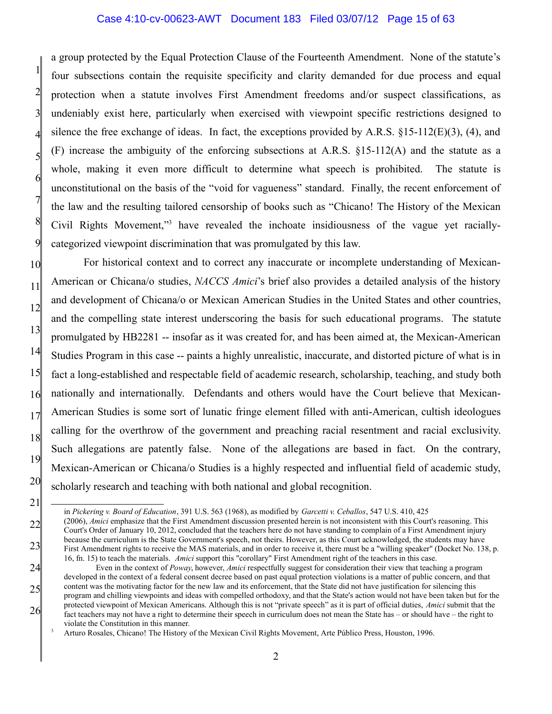#### Case 4:10-cv-00623-AWT Document 183 Filed 03/07/12 Page 15 of 63

a group protected by the Equal Protection Clause of the Fourteenth Amendment. None of the statute's four subsections contain the requisite specificity and clarity demanded for due process and equal protection when a statute involves First Amendment freedoms and/or suspect classifications, as undeniably exist here, particularly when exercised with viewpoint specific restrictions designed to silence the free exchange of ideas. In fact, the exceptions provided by A.R.S. §15-112(E)(3), (4), and (F) increase the ambiguity of the enforcing subsections at A.R.S. §15-112(A) and the statute as a whole, making it even more difficult to determine what speech is prohibited. The statute is unconstitutional on the basis of the "void for vagueness" standard. Finally, the recent enforcement of the law and the resulting tailored censorship of books such as "Chicano! The History of the Mexican Civil Rights Movement,"[3](#page-14-0) have revealed the inchoate insidiousness of the vague yet raciallycategorized viewpoint discrimination that was promulgated by this law. 1 2 3 4 5 6 7 8 9

For historical context and to correct any inaccurate or incomplete understanding of Mexican-American or Chicana/o studies, *NACCS Amici*'s brief also provides a detailed analysis of the history and development of Chicana/o or Mexican American Studies in the United States and other countries, and the compelling state interest underscoring the basis for such educational programs. The statute promulgated by HB2281 -- insofar as it was created for, and has been aimed at, the Mexican-American Studies Program in this case -- paints a highly unrealistic, inaccurate, and distorted picture of what is in fact a long-established and respectable field of academic research, scholarship, teaching, and study both nationally and internationally. Defendants and others would have the Court believe that Mexican-American Studies is some sort of lunatic fringe element filled with anti-American, cultish ideologues calling for the overthrow of the government and preaching racial resentment and racial exclusivity. Such allegations are patently false. None of the allegations are based in fact. On the contrary, Mexican-American or Chicana/o Studies is a highly respected and influential field of academic study, scholarly research and teaching with both national and global recognition. 10 11 12 13 14 15 16 17 18 19 20

22

23

24

25

<sup>21</sup>

in *Pickering v. Board of Education*, 391 U.S. 563 (1968), as modified by *Garcetti v. Ceballos*, 547 U.S. 410, 425

<sup>(2006),</sup> *Amici* emphasize that the First Amendment discussion presented herein is not inconsistent with this Court's reasoning. This Court's Order of January 10, 2012, concluded that the teachers here do not have standing to complain of a First Amendment injury because the curriculum is the State Government's speech, not theirs. However, as this Court acknowledged, the students may have First Amendment rights to receive the MAS materials, and in order to receive it, there must be a "willing speaker" (Docket No. 138, p. 16, fn. 15) to teach the materials. *Amici* support this "corollary" First Amendment right of the teachers in this case.

Even in the context of *Poway*, however, *Amici* respectfully suggest for consideration their view that teaching a program developed in the context of a federal consent decree based on past equal protection violations is a matter of public concern, and that content was the motivating factor for the new law and its enforcement, that the State did not have justification for silencing this program and chilling viewpoints and ideas with compelled orthodoxy, and that the State's action would not have been taken but for the protected viewpoint of Mexican Americans. Although this is not "private speech" as it is part of official duties, *Amici* submit that the fact teachers may not have a right to determine their speech in curriculum does not mean the State has – or should have – the right to violate the Constitution in this manner.

<span id="page-14-0"></span><sup>3</sup> Arturo Rosales, Chicano! The History of the Mexican Civil Rights Movement, Arte Público Press, Houston, 1996.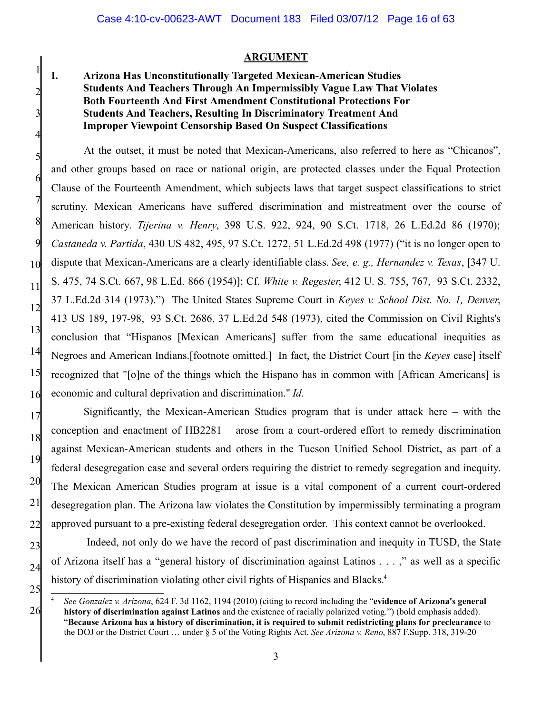### **ARGUMENT**

### **I. Arizona Has Unconstitutionally Targeted Mexican-American Studies Students And Teachers Through An Impermissibly Vague Law That Violates Both Fourteenth And First Amendment Constitutional Protections For Students And Teachers, Resulting In Discriminatory Treatment And Improper Viewpoint Censorship Based On Suspect Classifications**

At the outset, it must be noted that Mexican-Americans, also referred to here as "Chicanos", and other groups based on race or national origin, are protected classes under the Equal Protection Clause of the Fourteenth Amendment, which subjects laws that target suspect classifications to strict scrutiny. Mexican Americans have suffered discrimination and mistreatment over the course of American history. *Tijerina v. Henry*, 398 U.S. 922, 924, 90 S.Ct. 1718, 26 L.Ed.2d 86 (1970); *Castaneda v. Partida*, 430 US 482, 495, 97 S.Ct. 1272, 51 L.Ed.2d 498 (1977) ("it is no longer open to dispute that Mexican-Americans are a clearly identifiable class. *See, e. g., Hernandez v. Texas*, [347 U. S. 475, 74 S.Ct. 667, 98 L.Ed. 866 (1954)]; Cf. *White v. Regester*, 412 U. S. 755, 767, 93 S.Ct. 2332, 37 L.Ed.2d 314 (1973).") The United States Supreme Court in *Keyes v. School Dist. No. 1, Denver*, 413 US 189, 197-98, 93 S.Ct. 2686, 37 L.Ed.2d 548 (1973), cited the Commission on Civil Rights's conclusion that "Hispanos [Mexican Americans] suffer from the same educational inequities as Negroes and American Indians.[footnote omitted.] In fact, the District Court [in the *Keyes* case] itself recognized that "[o]ne of the things which the Hispano has in common with [African Americans] is economic and cultural deprivation and discrimination." *Id.* 

Significantly, the Mexican-American Studies program that is under attack here – with the conception and enactment of HB2281 – arose from a court-ordered effort to remedy discrimination against Mexican-American students and others in the Tucson Unified School District, as part of a federal desegregation case and several orders requiring the district to remedy segregation and inequity. The Mexican American Studies program at issue is a vital component of a current court-ordered desegregation plan. The Arizona law violates the Constitution by impermissibly terminating a program approved pursuant to a pre-existing federal desegregation order. This context cannot be overlooked.

Indeed, not only do we have the record of past discrimination and inequity in TUSD, the State of Arizona itself has a "general history of discrimination against Latinos . . . ," as well as a specific history of discrimination violating other civil rights of Hispanics and Blacks.<sup>[4](#page-15-0)</sup>

1

2

<span id="page-15-0"></span><sup>4</sup> *See Gonzalez v. Arizona*, 624 F. 3d 1162, 1194 (2010) (citing to record including the "**evidence of Arizona's general history of discrimination against Latinos** and the existence of racially polarized voting.") (bold emphasis added). "**Because Arizona has a history of discrimination, it is required to submit redistricting plans for preclearance** to the DOJ or the District Court … under § 5 of the Voting Rights Act. *See Arizona v. Reno*, 887 F.Supp. 318, 319-20 26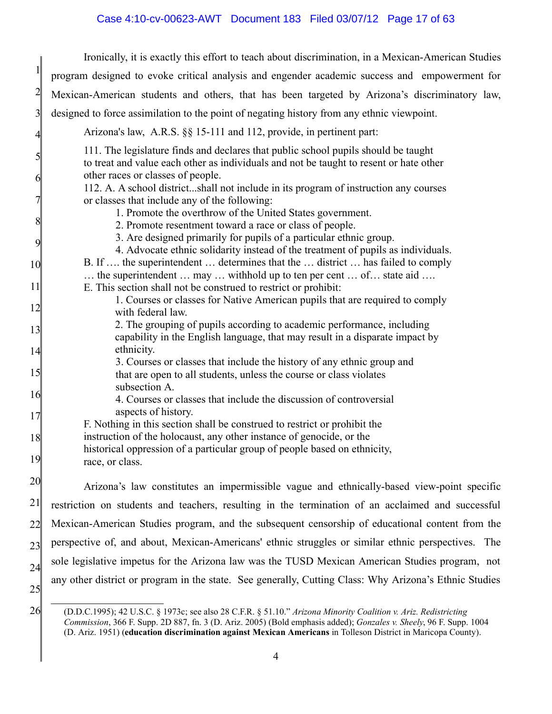### Case 4:10-cv-00623-AWT Document 183 Filed 03/07/12 Page 17 of 63

|                | Ironically, it is exactly this effort to teach about discrimination, in a Mexican-American Studies                                                                           |
|----------------|------------------------------------------------------------------------------------------------------------------------------------------------------------------------------|
| $\mathbf{1}$   | program designed to evoke critical analysis and engender academic success and empowerment for                                                                                |
| $\overline{c}$ | Mexican-American students and others, that has been targeted by Arizona's discriminatory law,                                                                                |
| 3              | designed to force assimilation to the point of negating history from any ethnic viewpoint.                                                                                   |
| 4              | Arizona's law, A.R.S. §§ 15-111 and 112, provide, in pertinent part:                                                                                                         |
| 5              | 111. The legislature finds and declares that public school pupils should be taught<br>to treat and value each other as individuals and not be taught to resent or hate other |
| 6              | other races or classes of people.<br>112. A. A school districtshall not include in its program of instruction any courses                                                    |
|                | or classes that include any of the following:                                                                                                                                |
| 8              | 1. Promote the overthrow of the United States government.<br>2. Promote resentment toward a race or class of people.                                                         |
| 9              | 3. Are designed primarily for pupils of a particular ethnic group.<br>4. Advocate ethnic solidarity instead of the treatment of pupils as individuals.                       |
| 10             | B. If  the superintendent  determines that the  district  has failed to comply                                                                                               |
| 11             | the superintendent  may  withhold up to ten per cent  of state aid<br>E. This section shall not be construed to restrict or prohibit:                                        |
| 12             | 1. Courses or classes for Native American pupils that are required to comply                                                                                                 |
|                | with federal law.<br>2. The grouping of pupils according to academic performance, including                                                                                  |
| 13             | capability in the English language, that may result in a disparate impact by                                                                                                 |
| 14             | ethnicity.<br>3. Courses or classes that include the history of any ethnic group and                                                                                         |
| 15             | that are open to all students, unless the course or class violates                                                                                                           |
| 16             | subsection A.<br>4. Courses or classes that include the discussion of controversial                                                                                          |
| 17             | aspects of history.                                                                                                                                                          |
| 18             | F. Nothing in this section shall be construed to restrict or prohibit the<br>instruction of the holocaust, any other instance of genocide, or the                            |
| 19             | historical oppression of a particular group of people based on ethnicity,<br>race, or class.                                                                                 |
| 20             | Arizona's law constitutes an impermissible vague and ethnically-based view-point specific                                                                                    |
| 21             | restriction on students and teachers, resulting in the termination of an acclaimed and successful                                                                            |
| 22             | Mexican-American Studies program, and the subsequent censorship of educational content from the                                                                              |
| 23             | perspective of, and about, Mexican-Americans' ethnic struggles or similar ethnic perspectives. The                                                                           |
| 24             | sole legislative impetus for the Arizona law was the TUSD Mexican American Studies program, not                                                                              |
| 25             | any other district or program in the state. See generally, Cutting Class: Why Arizona's Ethnic Studies                                                                       |

<sup>(</sup>D.D.C.1995); 42 U.S.C. § 1973c; see also 28 C.F.R. § 51.10." *Arizona Minority Coalition v. Ariz. Redistricting Commission*, 366 F. Supp. 2D 887, fn. 3 (D. Ariz. 2005) (Bold emphasis added); *Gonzales v. Sheely*, 96 F. Supp. 1004 (D. Ariz. 1951) (**education discrimination against Mexican Americans** in Tolleson District in Maricopa County).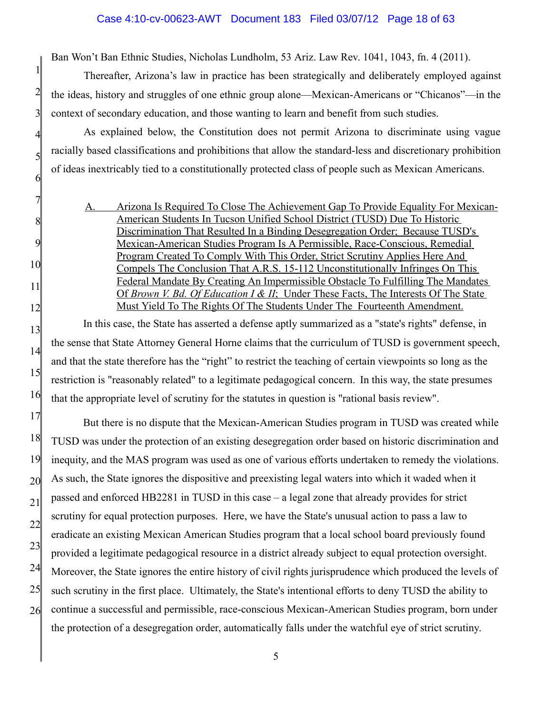#### Case 4:10-cv-00623-AWT Document 183 Filed 03/07/12 Page 18 of 63

Ban Won't Ban Ethnic Studies, Nicholas Lundholm, 53 Ariz. Law Rev. 1041, 1043, fn. 4 (2011).

1

2

3

4

5

6

7

8

9

10

11

12

13

14

15

16

Thereafter, Arizona's law in practice has been strategically and deliberately employed against the ideas, history and struggles of one ethnic group alone—Mexican-Americans or "Chicanos"—in the context of secondary education, and those wanting to learn and benefit from such studies.

As explained below, the Constitution does not permit Arizona to discriminate using vague racially based classifications and prohibitions that allow the standard-less and discretionary prohibition of ideas inextricably tied to a constitutionally protected class of people such as Mexican Americans.

 A. Arizona Is Required To Close The Achievement Gap To Provide Equality For Mexican-American Students In Tucson Unified School District (TUSD) Due To Historic Discrimination That Resulted In a Binding Desegregation Order; Because TUSD's Mexican-American Studies Program Is A Permissible, Race-Conscious, Remedial Program Created To Comply With This Order, Strict Scrutiny Applies Here And Compels The Conclusion That A.R.S. 15-112 Unconstitutionally Infringes On This Federal Mandate By Creating An Impermissible Obstacle To Fulfilling The Mandates Of *Brown V. Bd. Of Education I & II* ; Under These Facts, The Interests Of The State Must Yield To The Rights Of The Students Under The Fourteenth Amendment.

In this case, the State has asserted a defense aptly summarized as a "state's rights" defense, in the sense that State Attorney General Horne claims that the curriculum of TUSD is government speech, and that the state therefore has the "right" to restrict the teaching of certain viewpoints so long as the restriction is "reasonably related" to a legitimate pedagogical concern. In this way, the state presumes that the appropriate level of scrutiny for the statutes in question is "rational basis review".

But there is no dispute that the Mexican-American Studies program in TUSD was created while TUSD was under the protection of an existing desegregation order based on historic discrimination and inequity, and the MAS program was used as one of various efforts undertaken to remedy the violations. As such, the State ignores the dispositive and preexisting legal waters into which it waded when it passed and enforced HB2281 in TUSD in this case – a legal zone that already provides for strict scrutiny for equal protection purposes. Here, we have the State's unusual action to pass a law to eradicate an existing Mexican American Studies program that a local school board previously found provided a legitimate pedagogical resource in a district already subject to equal protection oversight. Moreover, the State ignores the entire history of civil rights jurisprudence which produced the levels of such scrutiny in the first place. Ultimately, the State's intentional efforts to deny TUSD the ability to continue a successful and permissible, race-conscious Mexican-American Studies program, born under the protection of a desegregation order, automatically falls under the watchful eye of strict scrutiny. 17 18 19 20 21 22 23 24 25 26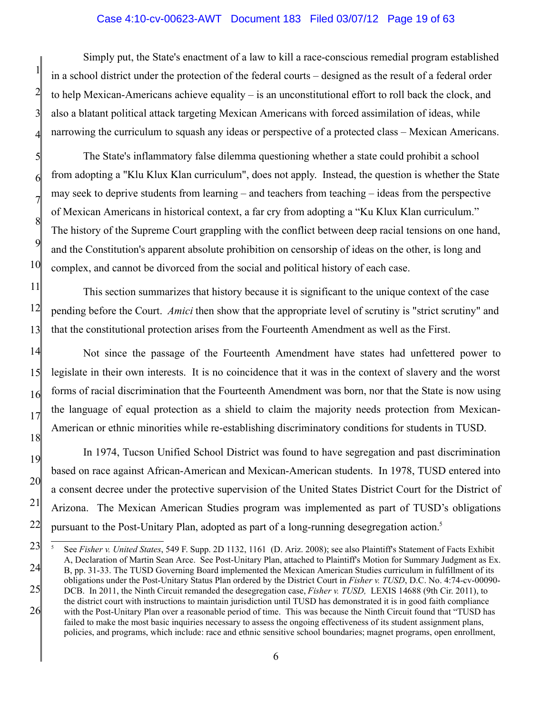#### Case 4:10-cv-00623-AWT Document 183 Filed 03/07/12 Page 19 of 63

Simply put, the State's enactment of a law to kill a race-conscious remedial program established in a school district under the protection of the federal courts – designed as the result of a federal order to help Mexican-Americans achieve equality – is an unconstitutional effort to roll back the clock, and also a blatant political attack targeting Mexican Americans with forced assimilation of ideas, while narrowing the curriculum to squash any ideas or perspective of a protected class – Mexican Americans.

The State's inflammatory false dilemma questioning whether a state could prohibit a school from adopting a "Klu Klux Klan curriculum", does not apply. Instead, the question is whether the State may seek to deprive students from learning – and teachers from teaching – ideas from the perspective of Mexican Americans in historical context, a far cry from adopting a "Ku Klux Klan curriculum." The history of the Supreme Court grappling with the conflict between deep racial tensions on one hand, and the Constitution's apparent absolute prohibition on censorship of ideas on the other, is long and complex, and cannot be divorced from the social and political history of each case.

This section summarizes that history because it is significant to the unique context of the case pending before the Court. *Amici* then show that the appropriate level of scrutiny is "strict scrutiny" and that the constitutional protection arises from the Fourteenth Amendment as well as the First.

Not since the passage of the Fourteenth Amendment have states had unfettered power to legislate in their own interests. It is no coincidence that it was in the context of slavery and the worst forms of racial discrimination that the Fourteenth Amendment was born, nor that the State is now using the language of equal protection as a shield to claim the majority needs protection from Mexican-American or ethnic minorities while re-establishing discriminatory conditions for students in TUSD.

In 1974, Tucson Unified School District was found to have segregation and past discrimination based on race against African-American and Mexican-American students. In 1978, TUSD entered into a consent decree under the protective supervision of the United States District Court for the District of Arizona. The Mexican American Studies program was implemented as part of TUSD's obligations pursuant to the Post-Unitary Plan, adopted as part of a long-running desegregation action.<sup>[5](#page-18-0)</sup>

1

<span id="page-18-0"></span><sup>5</sup> See *Fisher v. United States*, 549 F. Supp. 2D 1132, 1161 (D. Ariz. 2008); see also Plaintiff's Statement of Facts Exhibit A, Declaration of Martin Sean Arce. See Post-Unitary Plan, attached to Plaintiff's Motion for Summary Judgment as Ex. B, pp. 31-33. The TUSD Governing Board implemented the Mexican American Studies curriculum in fulfillment of its obligations under the Post-Unitary Status Plan ordered by the District Court in *Fisher v. TUSD*, D.C. No. 4:74-cv-00090- DCB. In 2011, the Ninth Circuit remanded the desegregation case, *Fisher v. TUSD,* LEXIS 14688 (9th Cir. 2011), to the district court with instructions to maintain jurisdiction until TUSD has demonstrated it is in good faith compliance with the Post-Unitary Plan over a reasonable period of time. This was because the Ninth Circuit found that "TUSD has failed to make the most basic inquiries necessary to assess the ongoing effectiveness of its student assignment plans, policies, and programs, which include: race and ethnic sensitive school boundaries; magnet programs, open enrollment,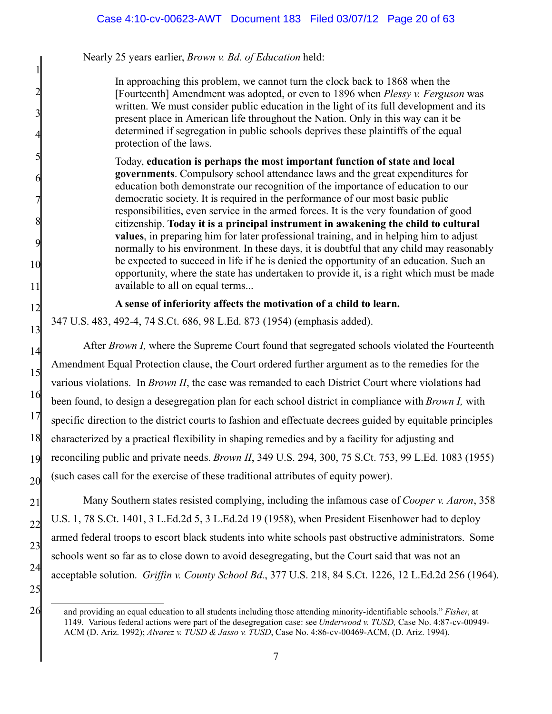Nearly 25 years earlier, *Brown v. Bd. of Education* held:

In approaching this problem, we cannot turn the clock back to 1868 when the [Fourteenth] Amendment was adopted, or even to 1896 when *Plessy v. Ferguson* was written. We must consider public education in the light of its full development and its present place in American life throughout the Nation. Only in this way can it be determined if segregation in public schools deprives these plaintiffs of the equal protection of the laws.

Today, **education is perhaps the most important function of state and local governments**. Compulsory school attendance laws and the great expenditures for education both demonstrate our recognition of the importance of education to our democratic society. It is required in the performance of our most basic public responsibilities, even service in the armed forces. It is the very foundation of good citizenship. **Today it is a principal instrument in awakening the child to cultural values**, in preparing him for later professional training, and in helping him to adjust normally to his environment. In these days, it is doubtful that any child may reasonably be expected to succeed in life if he is denied the opportunity of an education. Such an opportunity, where the state has undertaken to provide it, is a right which must be made available to all on equal terms...

### **A sense of inferiority affects the motivation of a child to learn.**

347 U.S. 483, 492-4, 74 S.Ct. 686, 98 L.Ed. 873 (1954) (emphasis added).

After *Brown I*, where the Supreme Court found that segregated schools violated the Fourteenth Amendment Equal Protection clause, the Court ordered further argument as to the remedies for the various violations. In *Brown II*, the case was remanded to each District Court where violations had been found, to design a desegregation plan for each school district in compliance with *Brown I,* with specific direction to the district courts to fashion and effectuate decrees guided by equitable principles characterized by a practical flexibility in shaping remedies and by a facility for adjusting and reconciling public and private needs. *Brown II*, 349 U.S. 294, 300, 75 S.Ct. 753, 99 L.Ed. 1083 (1955) (such cases call for the exercise of these traditional attributes of equity power).

Many Southern states resisted complying, including the infamous case of *Cooper v. Aaron*, 358 U.S. 1, 78 S.Ct. 1401, 3 L.Ed.2d 5, 3 L.Ed.2d 19 (1958), when President Eisenhower had to deploy armed federal troops to escort black students into white schools past obstructive administrators. Some schools went so far as to close down to avoid desegregating, but the Court said that was not an acceptable solution. *Griffin v. County School Bd.*, 377 U.S. 218, 84 S.Ct. 1226, 12 L.Ed.2d 256 (1964).

25 26

1

2

3

4

5

6

7

8

9

10

11

12

13

14

15

16

17

18

19

20

21

22

23

and providing an equal education to all students including those attending minority-identifiable schools." *Fisher*, at 1149. Various federal actions were part of the desegregation case: see *Underwood v. TUSD,* Case No. 4:87-cv-00949- ACM (D. Ariz. 1992); *Alvarez v. TUSD & Jasso v. TUSD*, Case No. 4:86-cv-00469-ACM, (D. Ariz. 1994).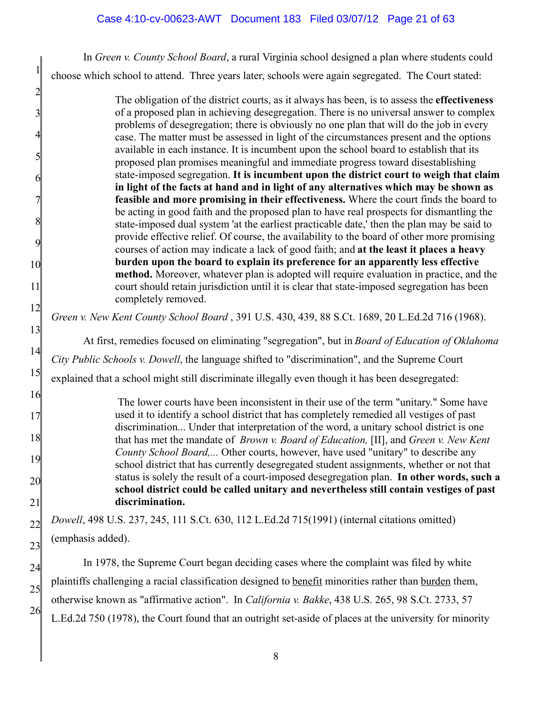In *Green v. County School Board*, a rural Virginia school designed a plan where students could choose which school to attend. Three years later, schools were again segregated. The Court stated: The obligation of the district courts, as it always has been, is to assess the **effectiveness** of a proposed plan in achieving desegregation. There is no universal answer to complex problems of desegregation; there is obviously no one plan that will do the job in every case. The matter must be assessed in light of the circumstances present and the options available in each instance. It is incumbent upon the school board to establish that its proposed plan promises meaningful and immediate progress toward disestablishing state-imposed segregation. **It is incumbent upon the district court to weigh that claim in light of the facts at hand and in light of any alternatives which may be shown as feasible and more promising in their effectiveness.** Where the court finds the board to be acting in good faith and the proposed plan to have real prospects for dismantling the state-imposed dual system 'at the earliest practicable date,' then the plan may be said to provide effective relief. Of course, the availability to the board of other more promising courses of action may indicate a lack of good faith; and **at the least it places a heavy burden upon the board to explain its preference for an apparently less effective method.** Moreover, whatever plan is adopted will require evaluation in practice, and the court should retain jurisdiction until it is clear that state-imposed segregation has been completely removed. *Green v. New Kent County School Board* , 391 U.S. 430, 439, 88 S.Ct. 1689, 20 L.Ed.2d 716 (1968). At first, remedies focused on eliminating "segregation", but in *Board of Education of Oklahoma City Public Schools v. Dowell*, the language shifted to "discrimination", and the Supreme Court explained that a school might still discriminate illegally even though it has been desegregated: The lower courts have been inconsistent in their use of the term "unitary." Some have used it to identify a school district that has completely remedied all vestiges of past discrimination... Under that interpretation of the word, a unitary school district is one that has met the mandate of *Brown v. Board of Education,* [II], and *Green v. New Kent County School Board,...* Other courts, however, have used "unitary" to describe any school district that has currently desegregated student assignments, whether or not that status is solely the result of a court-imposed desegregation plan. **In other words, such a school district could be called unitary and nevertheless still contain vestiges of past discrimination.** *Dowell*, 498 U.S. 237, 245, 111 S.Ct. 630, 112 L.Ed.2d 715(1991) (internal citations omitted) (emphasis added). In 1978, the Supreme Court began deciding cases where the complaint was filed by white plaintiffs challenging a racial classification designed to benefit minorities rather than burden them, otherwise known as "affirmative action". In *California v. Bakke*, 438 U.S. 265, 98 S.Ct. 2733, 57 L.Ed.2d 750 (1978), the Court found that an outright set-aside of places at the university for minority 1 2 3 4 5 6 7 8 9 10 11 12 13 14 15 16 17 18 19 20 21 22 23 24 25 26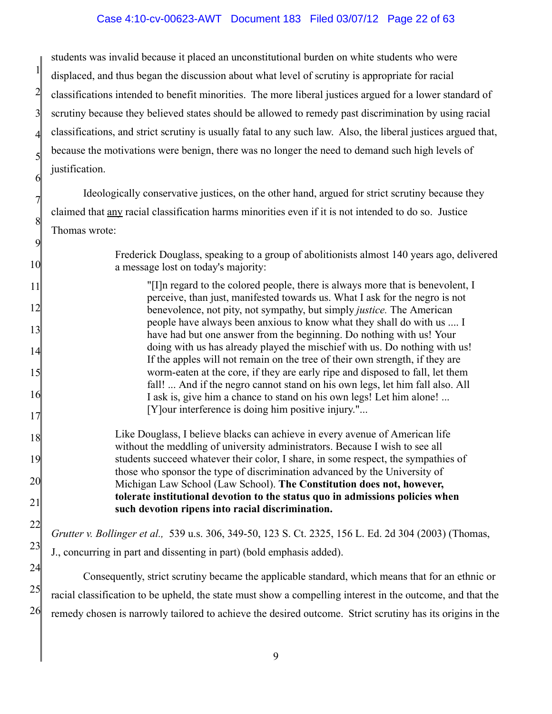### Case 4:10-cv-00623-AWT Document 183 Filed 03/07/12 Page 22 of 63

students was invalid because it placed an unconstitutional burden on white students who were displaced, and thus began the discussion about what level of scrutiny is appropriate for racial classifications intended to benefit minorities. The more liberal justices argued for a lower standard of scrutiny because they believed states should be allowed to remedy past discrimination by using racial classifications, and strict scrutiny is usually fatal to any such law. Also, the liberal justices argued that, because the motivations were benign, there was no longer the need to demand such high levels of justification. 1 2 3 4 5 6

Ideologically conservative justices, on the other hand, argued for strict scrutiny because they claimed that any racial classification harms minorities even if it is not intended to do so. Justice Thomas wrote:

7

8

9

10

11

12

13

14

15

16

17

18

19

20

21

22

23

Frederick Douglass, speaking to a group of abolitionists almost 140 years ago, delivered a message lost on today's majority:

"[I]n regard to the colored people, there is always more that is benevolent, I perceive, than just, manifested towards us. What I ask for the negro is not benevolence, not pity, not sympathy, but simply *justice.* The American people have always been anxious to know what they shall do with us .... I have had but one answer from the beginning. Do nothing with us! Your doing with us has already played the mischief with us. Do nothing with us! If the apples will not remain on the tree of their own strength, if they are worm-eaten at the core, if they are early ripe and disposed to fall, let them fall! ... And if the negro cannot stand on his own legs, let him fall also. All I ask is, give him a chance to stand on his own legs! Let him alone! ... [Y]our interference is doing him positive injury."...

Like Douglass, I believe blacks can achieve in every avenue of American life without the meddling of university administrators. Because I wish to see all students succeed whatever their color, I share, in some respect, the sympathies of those who sponsor the type of discrimination advanced by the University of Michigan Law School (Law School). **The Constitution does not, however, tolerate institutional devotion to the status quo in admissions policies when such devotion ripens into racial discrimination.**

*Grutter v. Bollinger et al.,* 539 u.s. 306, 349-50, 123 S. Ct. 2325, 156 L. Ed. 2d 304 (2003) (Thomas, J., concurring in part and dissenting in part) (bold emphasis added).

Consequently, strict scrutiny became the applicable standard, which means that for an ethnic or racial classification to be upheld, the state must show a compelling interest in the outcome, and that the remedy chosen is narrowly tailored to achieve the desired outcome. Strict scrutiny has its origins in the 24 25 26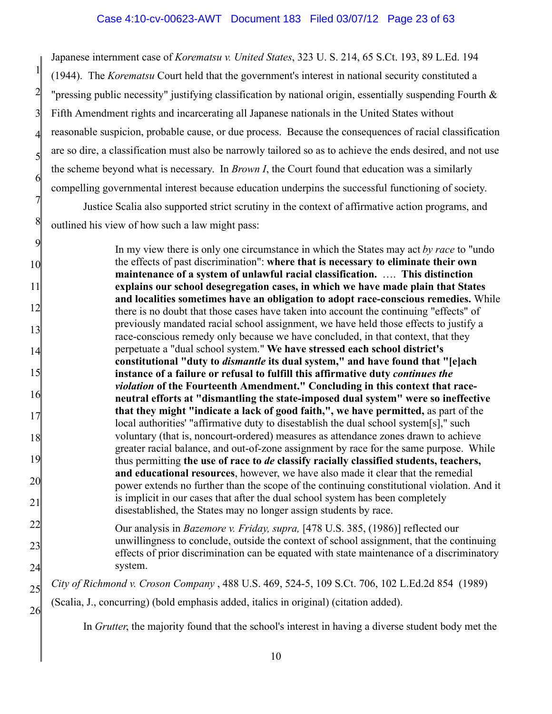Japanese internment case of *Korematsu v. United States*, 323 U. S. 214, 65 S.Ct. 193, 89 L.Ed. 194 (1944). The *Korematsu* Court held that the government's interest in national security constituted a "pressing public necessity" justifying classification by national origin, essentially suspending Fourth & Fifth Amendment rights and incarcerating all Japanese nationals in the United States without reasonable suspicion, probable cause, or due process. Because the consequences of racial classification are so dire, a classification must also be narrowly tailored so as to achieve the ends desired, and not use the scheme beyond what is necessary. In *Brown I*, the Court found that education was a similarly compelling governmental interest because education underpins the successful functioning of society. Justice Scalia also supported strict scrutiny in the context of affirmative action programs, and outlined his view of how such a law might pass: 1 2 3 4 5 6 7 8

9

10

11

12

13

14

15

16

17

18

19

20

21

25

26

In my view there is only one circumstance in which the States may act *by race* to "undo the effects of past discrimination": **where that is necessary to eliminate their own maintenance of a system of unlawful racial classification.** …. **This distinction explains our school desegregation cases, in which we have made plain that States and localities sometimes have an obligation to adopt race-conscious remedies.** While there is no doubt that those cases have taken into account the continuing "effects" of previously mandated racial school assignment, we have held those effects to justify a race-conscious remedy only because we have concluded, in that context, that they perpetuate a "dual school system." **We have stressed each school district's constitutional "duty to** *dismantle* **its dual system," and have found that "[e]ach instance of a failure or refusal to fulfill this affirmative duty** *continues the violation* **of the Fourteenth Amendment." Concluding in this context that raceneutral efforts at "dismantling the state-imposed dual system" were so ineffective that they might "indicate a lack of good faith,", we have permitted,** as part of the local authorities' "affirmative duty to disestablish the dual school system[s]," such voluntary (that is, noncourt-ordered) measures as attendance zones drawn to achieve greater racial balance, and out-of-zone assignment by race for the same purpose. While thus permitting **the use of race to** *de* **classify racially classified students, teachers, and educational resources**, however, we have also made it clear that the remedial power extends no further than the scope of the continuing constitutional violation. And it is implicit in our cases that after the dual school system has been completely disestablished, the States may no longer assign students by race.

Our analysis in *Bazemore v. Friday, supra,* [478 U.S. 385, (1986)] reflected our unwillingness to conclude, outside the context of school assignment, that the continuing effects of prior discrimination can be equated with state maintenance of a discriminatory system. 22 23 24

*City of Richmond v. Croson Company* , 488 U.S. 469, 524-5, 109 S.Ct. 706, 102 L.Ed.2d 854 (1989)

(Scalia, J., concurring) (bold emphasis added, italics in original) (citation added).

In *Grutter*, the majority found that the school's interest in having a diverse student body met the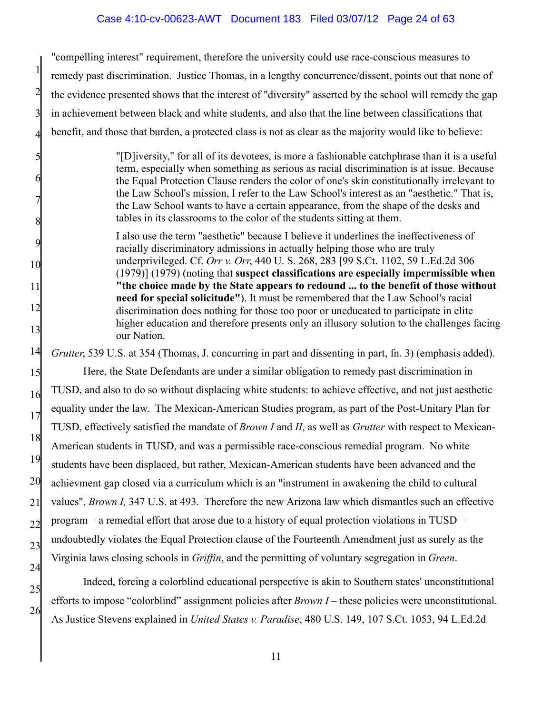"compelling interest" requirement, therefore the university could use race-conscious measures to remedy past discrimination. Justice Thomas, in a lengthy concurrence/dissent, points out that none of the evidence presented shows that the interest of "diversity" asserted by the school will remedy the gap in achievement between black and white students, and also that the line between classifications that benefit, and those that burden, a protected class is not as clear as the majority would like to believe: 1 2 3 4

5

6

7

8

9

10

11

12

13

25

26

"[D]iversity," for all of its devotees, is more a fashionable catchphrase than it is a useful term, especially when something as serious as racial discrimination is at issue. Because the Equal Protection Clause renders the color of one's skin constitutionally irrelevant to the Law School's mission, I refer to the Law School's interest as an "aesthetic." That is, the Law School wants to have a certain appearance, from the shape of the desks and tables in its classrooms to the color of the students sitting at them.

I also use the term "aesthetic" because I believe it underlines the ineffectiveness of racially discriminatory admissions in actually helping those who are truly underprivileged. Cf. *Orr v. Orr*, 440 U. S. 268, 283 [99 S.Ct. 1102, 59 L.Ed.2d 306 (1979)] (1979) (noting that **suspect classifications are especially impermissible when "the choice made by the State appears to redound ... to the benefit of those without need for special solicitude"**). It must be remembered that the Law School's racial discrimination does nothing for those too poor or uneducated to participate in elite higher education and therefore presents only an illusory solution to the challenges facing our Nation.

*Grutter*, 539 U.S. at 354 (Thomas, J. concurring in part and dissenting in part, fn. 3) (emphasis added). Here, the State Defendants are under a similar obligation to remedy past discrimination in TUSD, and also to do so without displacing white students: to achieve effective, and not just aesthetic equality under the law. The Mexican-American Studies program, as part of the Post-Unitary Plan for TUSD, effectively satisfied the mandate of *Brown I* and *II*, as well as *Grutter* with respect to Mexican-American students in TUSD, and was a permissible race-conscious remedial program. No white students have been displaced, but rather, Mexican-American students have been advanced and the achievment gap closed via a curriculum which is an "instrument in awakening the child to cultural values", *Brown I,* 347 U.S. at 493. Therefore the new Arizona law which dismantles such an effective program – a remedial effort that arose due to a history of equal protection violations in TUSD – undoubtedly violates the Equal Protection clause of the Fourteenth Amendment just as surely as the Virginia laws closing schools in *Griffin*, and the permitting of voluntary segregation in *Green*. 14 15 16 17 18 19 20 21 22 23 24

Indeed, forcing a colorblind educational perspective is akin to Southern states' unconstitutional efforts to impose "colorblind" assignment policies after *Brown I* – these policies were unconstitutional. As Justice Stevens explained in *United States v. Paradise*, 480 U.S. 149, 107 S.Ct. 1053, 94 L.Ed.2d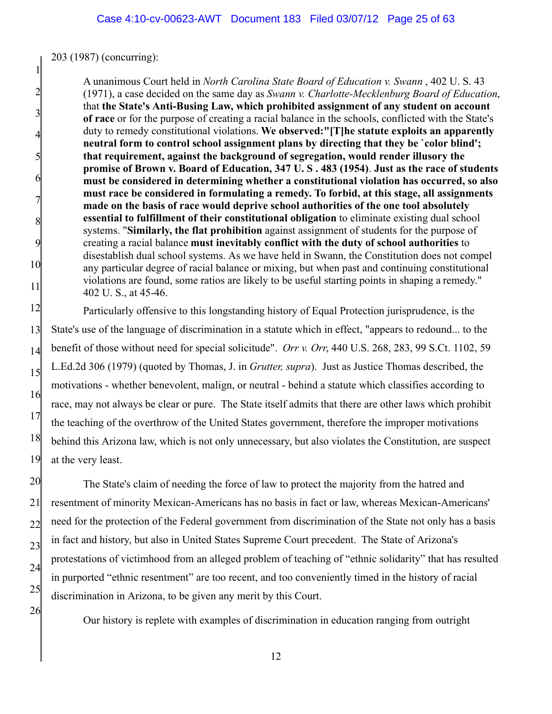203 (1987) (concurring):

1

2

3

4

5

6

7

8

9

10

11

26

A unanimous Court held in *North Carolina State Board of Education v. Swann* , 402 U. S. 43 (1971), a case decided on the same day as *Swann v. Charlotte-Mecklenburg Board of Education*, that **the State's Anti-Busing Law, which prohibited assignment of any student on account of race** or for the purpose of creating a racial balance in the schools, conflicted with the State's duty to remedy constitutional violations. **We observed:"[T]he statute exploits an apparently neutral form to control school assignment plans by directing that they be `color blind'; that requirement, against the background of segregation, would render illusory the promise of Brown v. Board of Education, 347 U. S . 483 (1954)**. **Just as the race of students must be considered in determining whether a constitutional violation has occurred, so also must race be considered in formulating a remedy. To forbid, at this stage, all assignments made on the basis of race would deprive school authorities of the one tool absolutely essential to fulfillment of their constitutional obligation** to eliminate existing dual school systems. "**Similarly, the flat prohibition** against assignment of students for the purpose of creating a racial balance **must inevitably conflict with the duty of school authorities** to disestablish dual school systems. As we have held in Swann, the Constitution does not compel any particular degree of racial balance or mixing, but when past and continuing constitutional violations are found, some ratios are likely to be useful starting points in shaping a remedy." 402 U. S., at 45-46.

Particularly offensive to this longstanding history of Equal Protection jurisprudence, is the State's use of the language of discrimination in a statute which in effect, "appears to redound... to the benefit of those without need for special solicitude". *Orr v. Orr*, 440 U.S. 268, 283, 99 S.Ct. 1102, 59 L.Ed.2d 306 (1979) (quoted by Thomas, J. in *Grutter, supra*). Just as Justice Thomas described, the motivations - whether benevolent, malign, or neutral - behind a statute which classifies according to race, may not always be clear or pure. The State itself admits that there are other laws which prohibit the teaching of the overthrow of the United States government, therefore the improper motivations behind this Arizona law, which is not only unnecessary, but also violates the Constitution, are suspect at the very least. 12 13 14 15 16 17 18 19

The State's claim of needing the force of law to protect the majority from the hatred and resentment of minority Mexican-Americans has no basis in fact or law, whereas Mexican-Americans' need for the protection of the Federal government from discrimination of the State not only has a basis in fact and history, but also in United States Supreme Court precedent. The State of Arizona's protestations of victimhood from an alleged problem of teaching of "ethnic solidarity" that has resulted in purported "ethnic resentment" are too recent, and too conveniently timed in the history of racial discrimination in Arizona, to be given any merit by this Court. 20 21 22 23 24 25

Our history is replete with examples of discrimination in education ranging from outright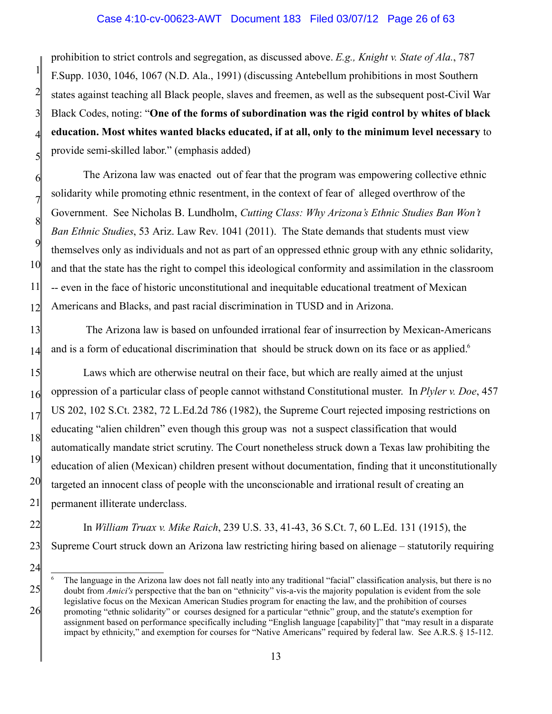prohibition to strict controls and segregation, as discussed above. *E.g., Knight v. State of Ala.*, 787 F.Supp. 1030, 1046, 1067 (N.D. Ala., 1991) (discussing Antebellum prohibitions in most Southern states against teaching all Black people, slaves and freemen, as well as the subsequent post-Civil War Black Codes, noting: "**One of the forms of subordination was the rigid control by whites of black education. Most whites wanted blacks educated, if at all, only to the minimum level necessary** to provide semi-skilled labor." (emphasis added) 3 5

1

2

4

11

24

The Arizona law was enacted out of fear that the program was empowering collective ethnic solidarity while promoting ethnic resentment, in the context of fear of alleged overthrow of the Government. See Nicholas B. Lundholm, *Cutting Class: Why Arizona's Ethnic Studies Ban Won't Ban Ethnic Studies*, 53 Ariz. Law Rev. 1041 (2011). The State demands that students must view themselves only as individuals and not as part of an oppressed ethnic group with any ethnic solidarity, and that the state has the right to compel this ideological conformity and assimilation in the classroom -- even in the face of historic unconstitutional and inequitable educational treatment of Mexican Americans and Blacks, and past racial discrimination in TUSD and in Arizona. 6 7 8 9 10 12

 The Arizona law is based on unfounded irrational fear of insurrection by Mexican-Americans and is a form of educational discrimination that should be struck down on its face or as applied.<sup>[6](#page-25-0)</sup> 13 14

Laws which are otherwise neutral on their face, but which are really aimed at the unjust oppression of a particular class of people cannot withstand Constitutional muster. In *Plyler v. Doe*, 457 US 202, 102 S.Ct. 2382, 72 L.Ed.2d 786 (1982), the Supreme Court rejected imposing restrictions on educating "alien children" even though this group was not a suspect classification that would automatically mandate strict scrutiny. The Court nonetheless struck down a Texas law prohibiting the education of alien (Mexican) children present without documentation, finding that it unconstitutionally targeted an innocent class of people with the unconscionable and irrational result of creating an permanent illiterate underclass. 15 16 17 18 19 20 21

In *William Truax v. Mike Raich*, 239 U.S. 33, 41-43, 36 S.Ct. 7, 60 L.Ed. 131 (1915), the Supreme Court struck down an Arizona law restricting hiring based on alienage – statutorily requiring 22 23

<span id="page-25-0"></span>The language in the Arizona law does not fall neatly into any traditional "facial" classification analysis, but there is no doubt from *Amici's* perspective that the ban on "ethnicity" vis-a-vis the majority population is evident from the sole legislative focus on the Mexican American Studies program for enacting the law, and the prohibition of courses promoting "ethnic solidarity" or courses designed for a particular "ethnic" group, and the statute's exemption for assignment based on performance specifically including "English language [capability]" that "may result in a disparate impact by ethnicity," and exemption for courses for "Native Americans" required by federal law. See A.R.S. § 15-112. 25 26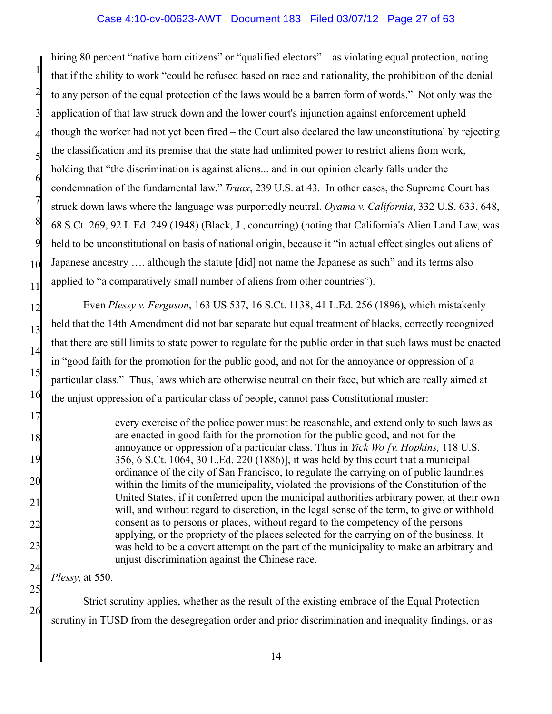### Case 4:10-cv-00623-AWT Document 183 Filed 03/07/12 Page 27 of 63

hiring 80 percent "native born citizens" or "qualified electors" – as violating equal protection, noting that if the ability to work "could be refused based on race and nationality, the prohibition of the denial to any person of the equal protection of the laws would be a barren form of words." Not only was the application of that law struck down and the lower court's injunction against enforcement upheld – though the worker had not yet been fired – the Court also declared the law unconstitutional by rejecting the classification and its premise that the state had unlimited power to restrict aliens from work, holding that "the discrimination is against aliens... and in our opinion clearly falls under the condemnation of the fundamental law." *Truax*, 239 U.S. at 43. In other cases, the Supreme Court has struck down laws where the language was purportedly neutral. *Oyama v. California*, 332 U.S. 633, 648, 68 S.Ct. 269, 92 L.Ed. 249 (1948) (Black, J., concurring) (noting that California's Alien Land Law, was held to be unconstitutional on basis of national origin, because it "in actual effect singles out aliens of Japanese ancestry …. although the statute [did] not name the Japanese as such" and its terms also applied to "a comparatively small number of aliens from other countries"). 1 2 3 4 5 6 7 8 9 10 11

Even *Plessy v. Ferguson*, 163 US 537, 16 S.Ct. 1138, 41 L.Ed. 256 (1896), which mistakenly held that the 14th Amendment did not bar separate but equal treatment of blacks, correctly recognized that there are still limits to state power to regulate for the public order in that such laws must be enacted in "good faith for the promotion for the public good, and not for the annoyance or oppression of a particular class." Thus, laws which are otherwise neutral on their face, but which are really aimed at the unjust oppression of a particular class of people, cannot pass Constitutional muster: 12 14 15

> every exercise of the police power must be reasonable, and extend only to such laws as are enacted in good faith for the promotion for the public good, and not for the annoyance or oppression of a particular class. Thus in *Yick Wo [v. Hopkins,* 118 U.S. 356, 6 S.Ct. 1064, 30 L.Ed. 220 (1886)], it was held by this court that a municipal ordinance of the city of San Francisco, to regulate the carrying on of public laundries within the limits of the municipality, violated the provisions of the Constitution of the United States, if it conferred upon the municipal authorities arbitrary power, at their own will, and without regard to discretion, in the legal sense of the term, to give or withhold consent as to persons or places, without regard to the competency of the persons applying, or the propriety of the places selected for the carrying on of the business. It was held to be a covert attempt on the part of the municipality to make an arbitrary and unjust discrimination against the Chinese race.

*Plessy*, at 550.

13

16

17

18

19

20

21

22

23

24

25

26

Strict scrutiny applies, whether as the result of the existing embrace of the Equal Protection scrutiny in TUSD from the desegregation order and prior discrimination and inequality findings, or as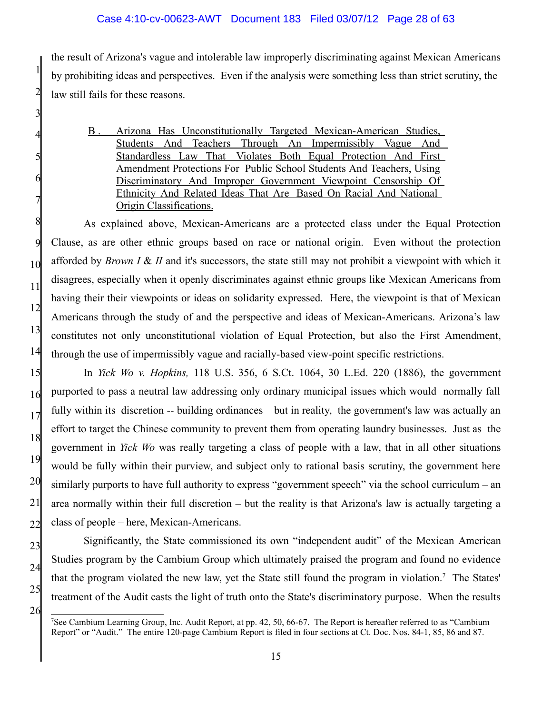### Case 4:10-cv-00623-AWT Document 183 Filed 03/07/12 Page 28 of 63

the result of Arizona's vague and intolerable law improperly discriminating against Mexican Americans by prohibiting ideas and perspectives. Even if the analysis were something less than strict scrutiny, the law still fails for these reasons.

 B . Arizona Has Unconstitutionally Targeted Mexican-American Studies, Students And Teachers Through An Impermissibly Vague And Standardless Law That Violates Both Equal Protection And First Amendment Protections For Public School Students And Teachers, Using Discriminatory And Improper Government Viewpoint Censorship Of Ethnicity And Related Ideas That Are Based On Racial And National Origin Classifications.

As explained above, Mexican-Americans are a protected class under the Equal Protection Clause, as are other ethnic groups based on race or national origin. Even without the protection afforded by *Brown I* & *II* and it's successors, the state still may not prohibit a viewpoint with which it disagrees, especially when it openly discriminates against ethnic groups like Mexican Americans from having their their viewpoints or ideas on solidarity expressed. Here, the viewpoint is that of Mexican Americans through the study of and the perspective and ideas of Mexican-Americans. Arizona's law constitutes not only unconstitutional violation of Equal Protection, but also the First Amendment, through the use of impermissibly vague and racially-based view-point specific restrictions.

In *Yick Wo v. Hopkins,* 118 U.S. 356, 6 S.Ct. 1064, 30 L.Ed. 220 (1886), the government purported to pass a neutral law addressing only ordinary municipal issues which would normally fall fully within its discretion -- building ordinances – but in reality, the government's law was actually an effort to target the Chinese community to prevent them from operating laundry businesses. Just as the government in *Yick Wo* was really targeting a class of people with a law, that in all other situations would be fully within their purview, and subject only to rational basis scrutiny, the government here similarly purports to have full authority to express "government speech" via the school curriculum – an area normally within their full discretion – but the reality is that Arizona's law is actually targeting a class of people – here, Mexican-Americans.

Significantly, the State commissioned its own "independent audit" of the Mexican American Studies program by the Cambium Group which ultimately praised the program and found no evidence that the program violated the new law, yet the State still found the program in violation.<sup>[7](#page-27-0)</sup> The States' treatment of the Audit casts the light of truth onto the State's discriminatory purpose. When the results

26

<span id="page-27-0"></span><sup>7</sup>See Cambium Learning Group, Inc. Audit Report, at pp. 42, 50, 66-67. The Report is hereafter referred to as "Cambium Report" or "Audit." The entire 120-page Cambium Report is filed in four sections at Ct. Doc. Nos. 84-1, 85, 86 and 87.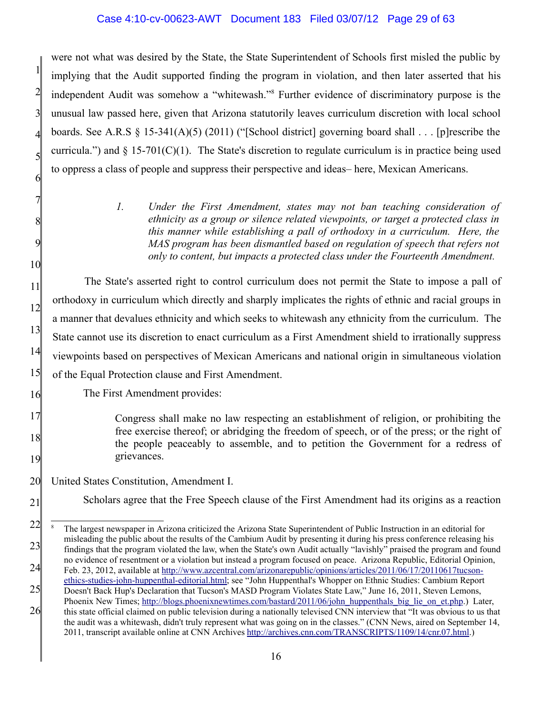### Case 4:10-cv-00623-AWT Document 183 Filed 03/07/12 Page 29 of 63

were not what was desired by the State, the State Superintendent of Schools first misled the public by implying that the Audit supported finding the program in violation, and then later asserted that his independent Audit was somehow a "whitewash."[8](#page-28-0) Further evidence of discriminatory purpose is the unusual law passed here, given that Arizona statutorily leaves curriculum discretion with local school boards. See A.R.S § 15-341(A)(5) (2011) ("[School district] governing board shall . . . [p]rescribe the curricula.") and  $\S$  15-701(C)(1). The State's discretion to regulate curriculum is in practice being used to oppress a class of people and suppress their perspective and ideas– here, Mexican Americans. 1 3 5

> *1. Under the First Amendment, states may not ban teaching consideration of ethnicity as a group or silence related viewpoints, or target a protected class in this manner while establishing a pall of orthodoxy in a curriculum. Here, the MAS program has been dismantled based on regulation of speech that refers not only to content, but impacts a protected class under the Fourteenth Amendment.*

The State's asserted right to control curriculum does not permit the State to impose a pall of orthodoxy in curriculum which directly and sharply implicates the rights of ethnic and racial groups in a manner that devalues ethnicity and which seeks to whitewash any ethnicity from the curriculum. The State cannot use its discretion to enact curriculum as a First Amendment shield to irrationally suppress viewpoints based on perspectives of Mexican Americans and national origin in simultaneous violation of the Equal Protection clause and First Amendment. 11 12 13 14 15

The First Amendment provides:

2

4

6

7

8

9

10

16

17

18

19

21

- Congress shall make no law respecting an establishment of religion, or prohibiting the free exercise thereof; or abridging the freedom of speech, or of the press; or the right of the people peaceably to assemble, and to petition the Government for a redress of grievances.
- United States Constitution, Amendment I. 20

<span id="page-28-0"></span>Scholars agree that the Free Speech clause of the First Amendment had its origins as a reaction

<sup>8</sup> The largest newspaper in Arizona criticized the Arizona State Superintendent of Public Instruction in an editorial for misleading the public about the results of the Cambium Audit by presenting it during his press conference releasing his findings that the program violated the law, when the State's own Audit actually "lavishly" praised the program and found no evidence of resentment or a violation but instead a program focused on peace. Arizona Republic, Editorial Opinion, Feb. 23, 2012, available at [http://www.azcentral.com/arizonarepublic/opinions/articles/2011/06/17/20110617tucson](http://www.azcentral.com/arizonarepublic/opinions/articles/2011/06/17/20110617tucson-ethics-studies-john-huppenthal-editorial.html)[ethics-studies-john-huppenthal-editorial.html;](http://www.azcentral.com/arizonarepublic/opinions/articles/2011/06/17/20110617tucson-ethics-studies-john-huppenthal-editorial.html) see "John Huppenthal's Whopper on Ethnic Studies: Cambium Report 22 23 24

Doesn't Back Hup's Declaration that Tucson's MASD Program Violates State Law," June 16, 2011, Steven Lemons, Phoenix New Times; [http://blogs.phoenixnewtimes.com/bastard/2011/06/john\\_huppenthals\\_big\\_lie\\_on\\_et.php.](http://blogs.phoenixnewtimes.com/bastard/2011/06/john_huppenthals_big_lie_on_et.php)) Later, this state official claimed on public television during a nationally televised CNN interview that "It was obvious to us that the audit was a whitewash, didn't truly represent what was going on in the classes." (CNN News, aired on September 14, 2011, transcript available online at CNN Archives [http://archives.cnn.com/TRANSCRIPTS/1109/14/cnr.07.html.](http://archives.cnn.com/TRANSCRIPTS/1109/14/cnr.07.html)) 25 26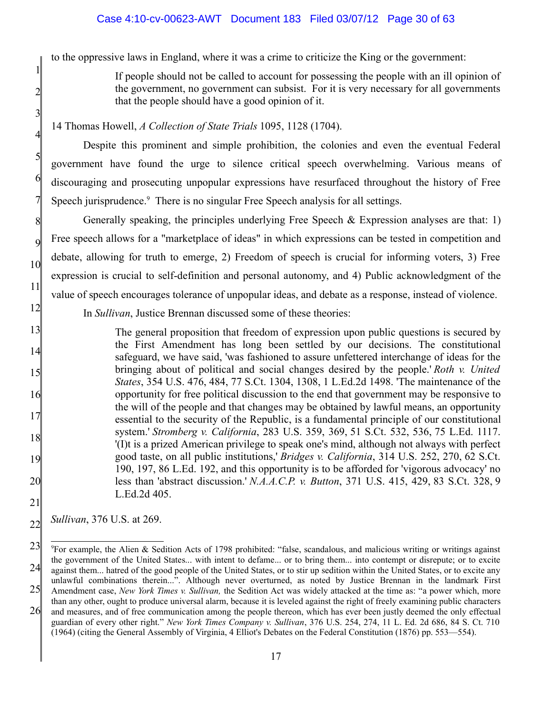to the oppressive laws in England, where it was a crime to criticize the King or the government:

If people should not be called to account for possessing the people with an ill opinion of the government, no government can subsist. For it is very necessary for all governments that the people should have a good opinion of it.

14 Thomas Howell, *A Collection of State Trials* 1095, 1128 (1704).

Despite this prominent and simple prohibition, the colonies and even the eventual Federal government have found the urge to silence critical speech overwhelming. Various means of discouraging and prosecuting unpopular expressions have resurfaced throughout the history of Free Speech jurisprudence.<sup>[9](#page-29-0)</sup> There is no singular Free Speech analysis for all settings.

Generally speaking, the principles underlying Free Speech & Expression analyses are that: 1) Free speech allows for a "marketplace of ideas" in which expressions can be tested in competition and debate, allowing for truth to emerge, 2) Freedom of speech is crucial for informing voters, 3) Free expression is crucial to self-definition and personal autonomy, and 4) Public acknowledgment of the value of speech encourages tolerance of unpopular ideas, and debate as a response, instead of violence.

In *Sullivan*, Justice Brennan discussed some of these theories:

The general proposition that freedom of expression upon public questions is secured by the First Amendment has long been settled by our decisions. The constitutional safeguard, we have said, 'was fashioned to assure unfettered interchange of ideas for the bringing about of political and social changes desired by the people.' *Roth v. United States*, 354 U.S. 476, 484, 77 S.Ct. 1304, 1308, 1 L.Ed.2d 1498. 'The maintenance of the opportunity for free political discussion to the end that government may be responsive to the will of the people and that changes may be obtained by lawful means, an opportunity essential to the security of the Republic, is a fundamental principle of our constitutional system.' *Stromberg v. California*, 283 U.S. 359, 369, 51 S.Ct. 532, 536, 75 L.Ed. 1117. '(I)t is a prized American privilege to speak one's mind, although not always with perfect good taste, on all public institutions,' *Bridges v. California*, 314 U.S. 252, 270, 62 S.Ct. 190, 197, 86 L.Ed. 192, and this opportunity is to be afforded for 'vigorous advocacy' no less than 'abstract discussion.' *N.A.A.C.P. v. Button*, 371 U.S. 415, 429, 83 S.Ct. 328, 9 L.Ed.2d 405.

*Sullivan*, 376 U.S. at 269.

1

2

<span id="page-29-0"></span><sup>9</sup>For example, the Alien & Sedition Acts of 1798 prohibited: "false, scandalous, and malicious writing or writings against the government of the United States... with intent to defame... or to bring them... into contempt or disrepute; or to excite against them... hatred of the good people of the United States, or to stir up sedition within the United States, or to excite any unlawful combinations therein...". Although never overturned, as noted by Justice Brennan in the landmark First Amendment case, *New York Times v. Sullivan,* the Sedition Act was widely attacked at the time as: "a power which, more than any other, ought to produce universal alarm, because it is leveled against the right of freely examining public characters and measures, and of free communication among the people thereon, which has ever been justly deemed the only effectual guardian of every other right." *New York Times Company v. Sullivan*, 376 U.S. 254, 274, 11 L. Ed. 2d 686, 84 S. Ct. 710 (1964) (citing the General Assembly of Virginia, 4 Elliot's Debates on the Federal Constitution (1876) pp. 553—554). 23 24 25 26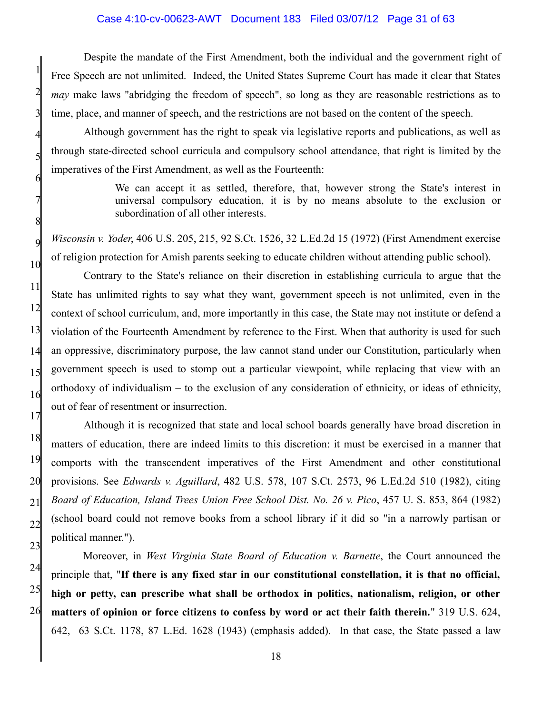#### Case 4:10-cv-00623-AWT Document 183 Filed 03/07/12 Page 31 of 63

Despite the mandate of the First Amendment, both the individual and the government right of Free Speech are not unlimited. Indeed, the United States Supreme Court has made it clear that States *may* make laws "abridging the freedom of speech", so long as they are reasonable restrictions as to time, place, and manner of speech, and the restrictions are not based on the content of the speech.

Although government has the right to speak via legislative reports and publications, as well as through state-directed school curricula and compulsory school attendance, that right is limited by the imperatives of the First Amendment, as well as the Fourteenth:

> We can accept it as settled, therefore, that, however strong the State's interest in universal compulsory education, it is by no means absolute to the exclusion or subordination of all other interests.

*Wisconsin v. Yoder*, 406 U.S. 205, 215, 92 S.Ct. 1526, 32 L.Ed.2d 15 (1972) (First Amendment exercise of religion protection for Amish parents seeking to educate children without attending public school).

Contrary to the State's reliance on their discretion in establishing curricula to argue that the State has unlimited rights to say what they want, government speech is not unlimited, even in the context of school curriculum, and, more importantly in this case, the State may not institute or defend a violation of the Fourteenth Amendment by reference to the First. When that authority is used for such an oppressive, discriminatory purpose, the law cannot stand under our Constitution, particularly when government speech is used to stomp out a particular viewpoint, while replacing that view with an orthodoxy of individualism – to the exclusion of any consideration of ethnicity, or ideas of ethnicity, out of fear of resentment or insurrection.

Although it is recognized that state and local school boards generally have broad discretion in matters of education, there are indeed limits to this discretion: it must be exercised in a manner that comports with the transcendent imperatives of the First Amendment and other constitutional provisions. See *Edwards v. Aguillard*, 482 U.S. 578, 107 S.Ct. 2573, 96 L.Ed.2d 510 (1982), citing *Board of Education, Island Trees Union Free School Dist. No. 26 v. Pico*, 457 U. S. 853, 864 (1982) (school board could not remove books from a school library if it did so "in a narrowly partisan or political manner.").

Moreover, in *West Virginia State Board of Education v. Barnette*, the Court announced the principle that, "**If there is any fixed star in our constitutional constellation, it is that no official, high or petty, can prescribe what shall be orthodox in politics, nationalism, religion, or other matters of opinion or force citizens to confess by word or act their faith therein.**" 319 U.S. 624, 642, 63 S.Ct. 1178, 87 L.Ed. 1628 (1943) (emphasis added). In that case, the State passed a law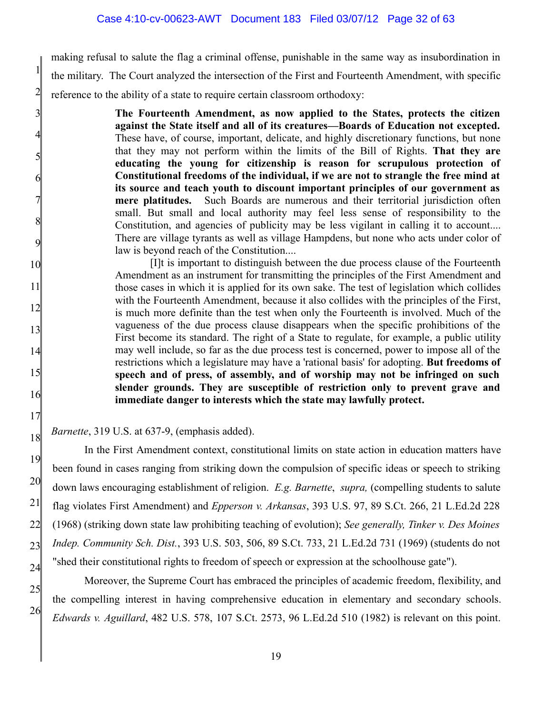making refusal to salute the flag a criminal offense, punishable in the same way as insubordination in the military. The Court analyzed the intersection of the First and Fourteenth Amendment, with specific reference to the ability of a state to require certain classroom orthodoxy:

**The Fourteenth Amendment, as now applied to the States, protects the citizen against the State itself and all of its creatures—Boards of Education not excepted.** These have, of course, important, delicate, and highly discretionary functions, but none that they may not perform within the limits of the Bill of Rights. **That they are educating the young for citizenship is reason for scrupulous protection of Constitutional freedoms of the individual, if we are not to strangle the free mind at its source and teach youth to discount important principles of our government as mere platitudes.** Such Boards are numerous and their territorial jurisdiction often small. But small and local authority may feel less sense of responsibility to the Constitution, and agencies of publicity may be less vigilant in calling it to account.... There are village tyrants as well as village Hampdens, but none who acts under color of law is beyond reach of the Constitution....

[I]t is important to distinguish between the due process clause of the Fourteenth Amendment as an instrument for transmitting the principles of the First Amendment and those cases in which it is applied for its own sake. The test of legislation which collides with the Fourteenth Amendment, because it also collides with the principles of the First, is much more definite than the test when only the Fourteenth is involved. Much of the vagueness of the due process clause disappears when the specific prohibitions of the First become its standard. The right of a State to regulate, for example, a public utility may well include, so far as the due process test is concerned, power to impose all of the restrictions which a legislature may have a 'rational basis' for adopting. **But freedoms of speech and of press, of assembly, and of worship may not be infringed on such slender grounds. They are susceptible of restriction only to prevent grave and immediate danger to interests which the state may lawfully protect.** 

*Barnette*, 319 U.S. at 637-9, (emphasis added).

1

2

3

4

5

6

7

8

9

10

11

12

13

14

15

16

17

18

19

20

21

22

23

24

25

26

In the First Amendment context, constitutional limits on state action in education matters have been found in cases ranging from striking down the compulsion of specific ideas or speech to striking down laws encouraging establishment of religion. *E.g. Barnette*, *supra,* (compelling students to salute flag violates First Amendment) and *Epperson v. Arkansas*, 393 U.S. 97, 89 S.Ct. 266, 21 L.Ed.2d 228 (1968) (striking down state law prohibiting teaching of evolution); *See generally, Tinker v. Des Moines Indep. Community Sch. Dist.*, 393 U.S. 503, 506, 89 S.Ct. 733, 21 L.Ed.2d 731 (1969) (students do not "shed their constitutional rights to freedom of speech or expression at the schoolhouse gate").

Moreover, the Supreme Court has embraced the principles of academic freedom, flexibility, and the compelling interest in having comprehensive education in elementary and secondary schools. *Edwards v. Aguillard*, 482 U.S. 578, 107 S.Ct. 2573, 96 L.Ed.2d 510 (1982) is relevant on this point.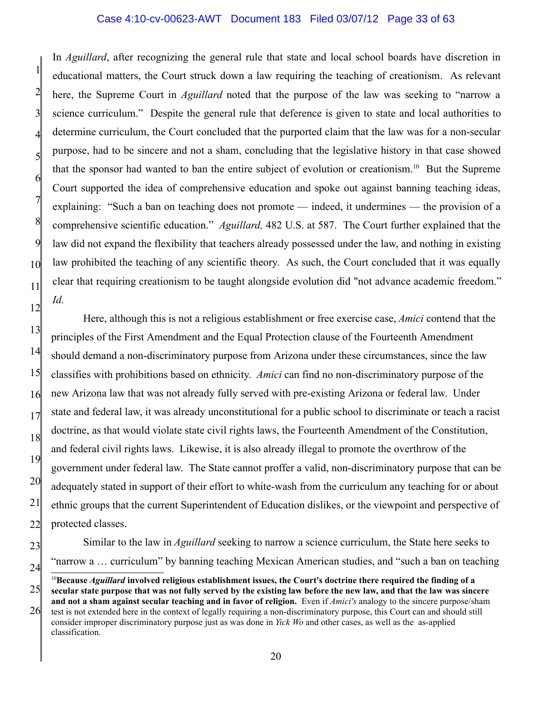#### Case 4:10-cv-00623-AWT Document 183 Filed 03/07/12 Page 33 of 63

1

2

3

4

5

6

7

8

9

10

11

12

23

24

In *Aguillard*, after recognizing the general rule that state and local school boards have discretion in educational matters, the Court struck down a law requiring the teaching of creationism. As relevant here, the Supreme Court in *Aguillard* noted that the purpose of the law was seeking to "narrow a science curriculum." Despite the general rule that deference is given to state and local authorities to determine curriculum, the Court concluded that the purported claim that the law was for a non-secular purpose, had to be sincere and not a sham, concluding that the legislative history in that case showed that the sponsor had wanted to ban the entire subject of evolution or creationism.[10](#page-32-0) But the Supreme Court supported the idea of comprehensive education and spoke out against banning teaching ideas, explaining: "Such a ban on teaching does not promote — indeed, it undermines — the provision of a comprehensive scientific education." *Aguillard,* 482 U.S. at 587. The Court further explained that the law did not expand the flexibility that teachers already possessed under the law, and nothing in existing law prohibited the teaching of any scientific theory. As such, the Court concluded that it was equally clear that requiring creationism to be taught alongside evolution did "not advance academic freedom." *Id.*

Here, although this is not a religious establishment or free exercise case, *Amici* contend that the principles of the First Amendment and the Equal Protection clause of the Fourteenth Amendment should demand a non-discriminatory purpose from Arizona under these circumstances, since the law classifies with prohibitions based on ethnicity. *Amici* can find no non-discriminatory purpose of the new Arizona law that was not already fully served with pre-existing Arizona or federal law. Under state and federal law, it was already unconstitutional for a public school to discriminate or teach a racist doctrine, as that would violate state civil rights laws, the Fourteenth Amendment of the Constitution, and federal civil rights laws. Likewise, it is also already illegal to promote the overthrow of the government under federal law. The State cannot proffer a valid, non-discriminatory purpose that can be adequately stated in support of their effort to white-wash from the curriculum any teaching for or about ethnic groups that the current Superintendent of Education dislikes, or the viewpoint and perspective of protected classes. 13 14 15 16 17 18 19 20 21 22

Similar to the law in *Aguillard* seeking to narrow a science curriculum, the State here seeks to "narrow a … curriculum" by banning teaching Mexican American studies, and "such a ban on teaching

<span id="page-32-0"></span><sup>10</sup>**Because** *Aguillard* **involved religious establishment issues, the Court's doctrine there required the finding of a secular state purpose that was not fully served by the existing law before the new law, and that the law was sincere and not a sham against secular teaching and in favor of religion.** Even if *Amici's* analogy to the sincere purpose/sham test is not extended here in the context of legally requiring a non-discriminatory purpose, this Court can and should still consider improper discriminatory purpose just as was done in *Yick Wo* and other cases, as well as the as-applied classification. 25 26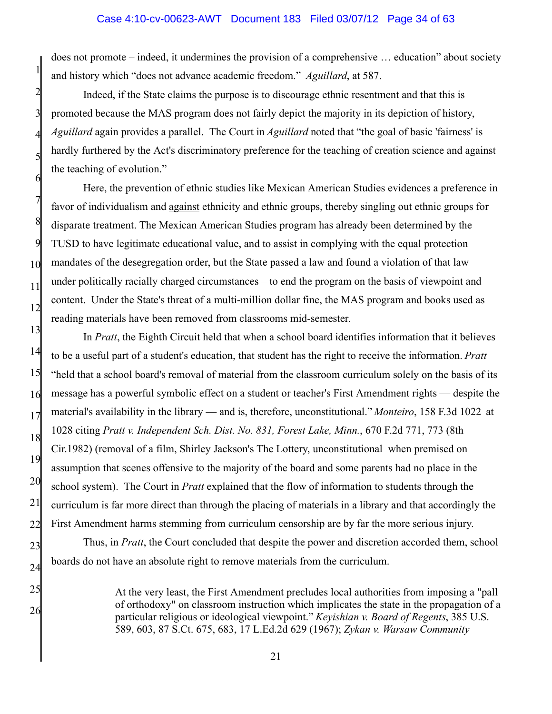does not promote – indeed, it undermines the provision of a comprehensive … education" about society and history which "does not advance academic freedom." *Aguillard*, at 587.

1

2

3

4

5

6

7

9

10

11

23

24

25

26

Indeed, if the State claims the purpose is to discourage ethnic resentment and that this is promoted because the MAS program does not fairly depict the majority in its depiction of history, *Aguillard* again provides a parallel. The Court in *Aguillard* noted that "the goal of basic 'fairness' is hardly furthered by the Act's discriminatory preference for the teaching of creation science and against the teaching of evolution."

Here, the prevention of ethnic studies like Mexican American Studies evidences a preference in favor of individualism and against ethnicity and ethnic groups, thereby singling out ethnic groups for disparate treatment. The Mexican American Studies program has already been determined by the TUSD to have legitimate educational value, and to assist in complying with the equal protection mandates of the desegregation order, but the State passed a law and found a violation of that law – under politically racially charged circumstances – to end the program on the basis of viewpoint and content. Under the State's threat of a multi-million dollar fine, the MAS program and books used as reading materials have been removed from classrooms mid-semester. 8 12

In *Pratt*, the Eighth Circuit held that when a school board identifies information that it believes to be a useful part of a student's education, that student has the right to receive the information. *Pratt* "held that a school board's removal of material from the classroom curriculum solely on the basis of its message has a powerful symbolic effect on a student or teacher's First Amendment rights — despite the material's availability in the library — and is, therefore, unconstitutional." *Monteiro*, 158 F.3d 1022 at 1028 citing *Pratt v. Independent Sch. Dist. No. 831, Forest Lake, Minn.*, 670 F.2d 771, 773 (8th Cir.1982) (removal of a film, Shirley Jackson's The Lottery, unconstitutional when premised on assumption that scenes offensive to the majority of the board and some parents had no place in the school system). The Court in *Pratt* explained that the flow of information to students through the curriculum is far more direct than through the placing of materials in a library and that accordingly the First Amendment harms stemming from curriculum censorship are by far the more serious injury. 13 14 15 16 17 18 19 20 21 22

Thus, in *Pratt*, the Court concluded that despite the power and discretion accorded them, school boards do not have an absolute right to remove materials from the curriculum.

> At the very least, the First Amendment precludes local authorities from imposing a "pall of orthodoxy" on classroom instruction which implicates the state in the propagation of a particular religious or ideological viewpoint." *Keyishian v. Board of Regents*, 385 U.S. 589, 603, 87 S.Ct. 675, 683, 17 L.Ed.2d 629 (1967); *Zykan v. Warsaw Community*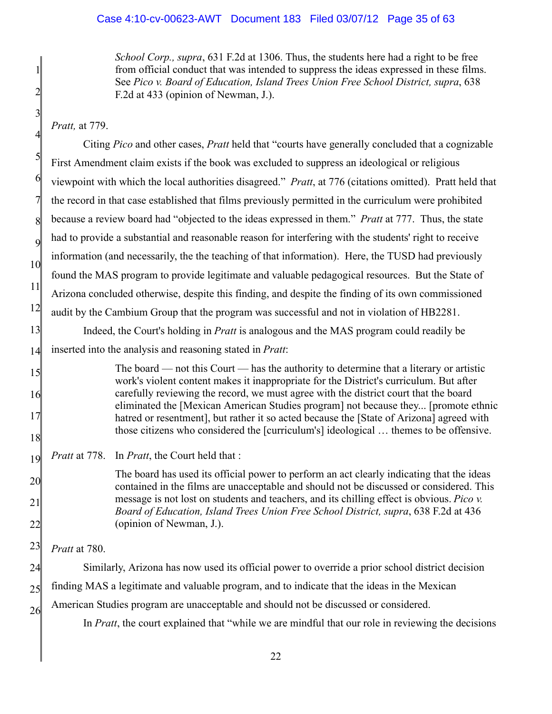#### Case 4:10-cv-00623-AWT Document 183 Filed 03/07/12 Page 35 of 63

*School Corp., supra*, 631 F.2d at 1306. Thus, the students here had a right to be free from official conduct that was intended to suppress the ideas expressed in these films. See *Pico v. Board of Education, Island Trees Union Free School District, supra*, 638 F.2d at 433 (opinion of Newman, J.).

*Pratt,* at 779.

1

2

3

15

16

17

18

20

21

22

Citing *Pico* and other cases, *Pratt* held that "courts have generally concluded that a cognizable First Amendment claim exists if the book was excluded to suppress an ideological or religious viewpoint with which the local authorities disagreed." *Pratt*, at 776 (citations omitted). Pratt held that the record in that case established that films previously permitted in the curriculum were prohibited because a review board had "objected to the ideas expressed in them." *Pratt* at 777. Thus, the state had to provide a substantial and reasonable reason for interfering with the students' right to receive information (and necessarily, the the teaching of that information). Here, the TUSD had previously found the MAS program to provide legitimate and valuable pedagogical resources. But the State of Arizona concluded otherwise, despite this finding, and despite the finding of its own commissioned audit by the Cambium Group that the program was successful and not in violation of HB2281. 4 5 6 7 8 9 10 11 12

Indeed, the Court's holding in *Pratt* is analogous and the MAS program could readily be inserted into the analysis and reasoning stated in *Pratt*: 13 14

> The board — not this Court — has the authority to determine that a literary or artistic work's violent content makes it inappropriate for the District's curriculum. But after carefully reviewing the record, we must agree with the district court that the board eliminated the [Mexican American Studies program] not because they... [promote ethnic hatred or resentment], but rather it so acted because the [State of Arizona] agreed with those citizens who considered the [curriculum's] ideological … themes to be offensive.

*Pratt* at 778. In *Pratt*, the Court held that : 19

> The board has used its official power to perform an act clearly indicating that the ideas contained in the films are unacceptable and should not be discussed or considered. This message is not lost on students and teachers, and its chilling effect is obvious. *Pico v. Board of Education, Island Trees Union Free School District, supra*, 638 F.2d at 436 (opinion of Newman, J.).

*Pratt* at 780. 23

Similarly, Arizona has now used its official power to override a prior school district decision finding MAS a legitimate and valuable program, and to indicate that the ideas in the Mexican American Studies program are unacceptable and should not be discussed or considered. 24 25 26

In *Pratt*, the court explained that "while we are mindful that our role in reviewing the decisions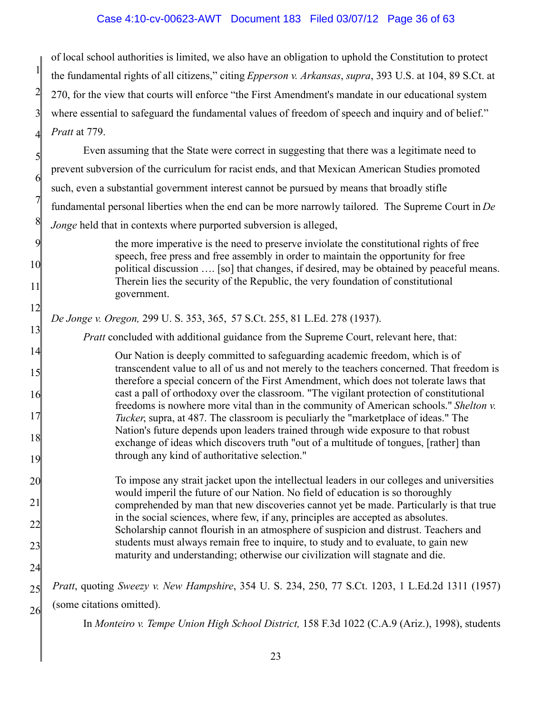### Case 4:10-cv-00623-AWT Document 183 Filed 03/07/12 Page 36 of 63

of local school authorities is limited, we also have an obligation to uphold the Constitution to protect the fundamental rights of all citizens," citing *Epperson v. Arkansas*, *supra*, 393 U.S. at 104, 89 S.Ct. at 270, for the view that courts will enforce "the First Amendment's mandate in our educational system where essential to safeguard the fundamental values of freedom of speech and inquiry and of belief." *Pratt* at 779. 1 2 3 4

Even assuming that the State were correct in suggesting that there was a legitimate need to prevent subversion of the curriculum for racist ends, and that Mexican American Studies promoted such, even a substantial government interest cannot be pursued by means that broadly stifle fundamental personal liberties when the end can be more narrowly tailored. The Supreme Court in *De Jonge* held that in contexts where purported subversion is alleged, 5 6 7 8

> the more imperative is the need to preserve inviolate the constitutional rights of free speech, free press and free assembly in order to maintain the opportunity for free political discussion …. [so] that changes, if desired, may be obtained by peaceful means. Therein lies the security of the Republic, the very foundation of constitutional government.

*De Jonge v. Oregon,* 299 U. S. 353, 365, 57 S.Ct. 255, 81 L.Ed. 278 (1937).

9

10

11

12

13

14

15

16

17

18

19

20

21

22

23

24

*Pratt* concluded with additional guidance from the Supreme Court, relevant here, that:

Our Nation is deeply committed to safeguarding academic freedom, which is of transcendent value to all of us and not merely to the teachers concerned. That freedom is therefore a special concern of the First Amendment, which does not tolerate laws that cast a pall of orthodoxy over the classroom. "The vigilant protection of constitutional freedoms is nowhere more vital than in the community of American schools." *Shelton v. Tucker*, supra, at 487. The classroom is peculiarly the "marketplace of ideas." The Nation's future depends upon leaders trained through wide exposure to that robust exchange of ideas which discovers truth "out of a multitude of tongues, [rather] than through any kind of authoritative selection."

To impose any strait jacket upon the intellectual leaders in our colleges and universities would imperil the future of our Nation. No field of education is so thoroughly comprehended by man that new discoveries cannot yet be made. Particularly is that true in the social sciences, where few, if any, principles are accepted as absolutes. Scholarship cannot flourish in an atmosphere of suspicion and distrust. Teachers and students must always remain free to inquire, to study and to evaluate, to gain new maturity and understanding; otherwise our civilization will stagnate and die.

*Pratt*, quoting *Sweezy v. New Hampshire*, 354 U. S. 234, 250, 77 S.Ct. 1203, 1 L.Ed.2d 1311 (1957) (some citations omitted). 25 26

In *Monteiro v. Tempe Union High School District,* 158 F.3d 1022 (C.A.9 (Ariz.), 1998), students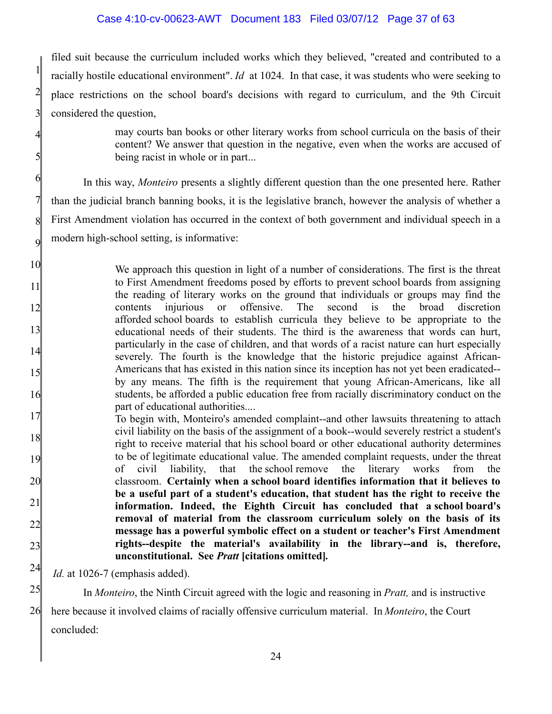### Case 4:10-cv-00623-AWT Document 183 Filed 03/07/12 Page 37 of 63

filed suit because the curriculum included works which they believed, "created and contributed to a racially hostile educational environment". *Id* at 1024. In that case, it was students who were seeking to place restrictions on the school board's decisions with regard to curriculum, and the 9th Circuit considered the question, 2 3

> may courts ban books or other literary works from school curricula on the basis of their content? We answer that question in the negative, even when the works are accused of being racist in whole or in part...

In this way, *Monteiro* presents a slightly different question than the one presented here. Rather than the judicial branch banning books, it is the legislative branch, however the analysis of whether a First Amendment violation has occurred in the context of both government and individual speech in a modern high-school setting, is informative: 6 7 8 9

We approach this question in light of a number of considerations. The first is the threat to First Amendment freedoms posed by efforts to prevent school boards from assigning the reading of literary works on the ground that individuals or groups may find the contents injurious or offensive. The second is the broad discretion afforded school boards to establish curricula they believe to be appropriate to the educational needs of their students. The third is the awareness that words can hurt, particularly in the case of children, and that words of a racist nature can hurt especially severely. The fourth is the knowledge that the historic prejudice against African-Americans that has existed in this nation since its inception has not yet been eradicated- by any means. The fifth is the requirement that young African-Americans, like all students, be afforded a public education free from racially discriminatory conduct on the part of educational authorities....

- To begin with, Monteiro's amended complaint--and other lawsuits threatening to attach civil liability on the basis of the assignment of a book--would severely restrict a student's right to receive material that his school board or other educational authority determines to be of legitimate educational value. The amended complaint requests, under the threat of civil liability, that the school remove the literary works from the classroom. **Certainly when a school board identifies information that it believes to be a useful part of a student's education, that student has the right to receive the information. Indeed, the Eighth Circuit has concluded that a school board's removal of material from the classroom curriculum solely on the basis of its message has a powerful symbolic effect on a student or teacher's First Amendment rights--despite the material's availability in the library--and is, therefore, unconstitutional. See** *Pratt* **[citations omitted]***.*  17 18 19 20 21 22 23
- *Id.* at 1026-7 (emphasis added). 24

1

4

5

10

11

12

13

14

15

16

25

In *Monteiro*, the Ninth Circuit agreed with the logic and reasoning in *Pratt,* and is instructive

here because it involved claims of racially offensive curriculum material. In *Monteiro*, the Court concluded: 26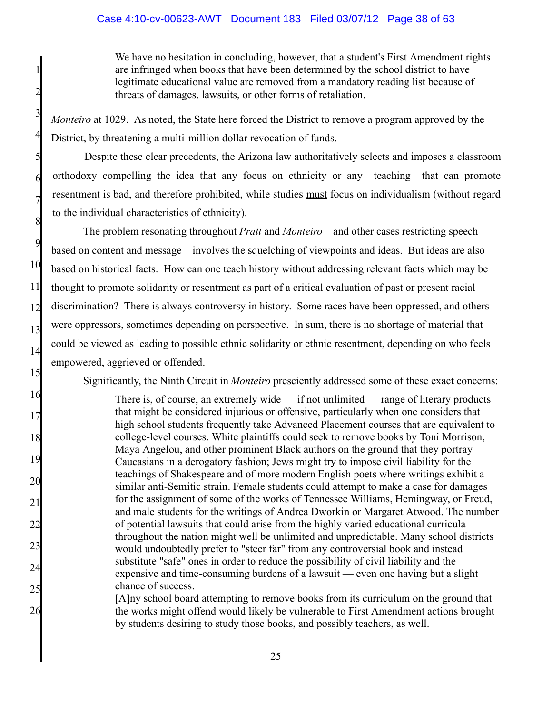We have no hesitation in concluding, however, that a student's First Amendment rights are infringed when books that have been determined by the school district to have legitimate educational value are removed from a mandatory reading list because of threats of damages, lawsuits, or other forms of retaliation.

*Monteiro* at 1029. As noted, the State here forced the District to remove a program approved by the District, by threatening a multi-million dollar revocation of funds.

1

2

3

4

5

6

7

15

16

17

18

19

20

21

22

23

24

25

26

Despite these clear precedents, the Arizona law authoritatively selects and imposes a classroom orthodoxy compelling the idea that any focus on ethnicity or any teaching that can promote resentment is bad, and therefore prohibited, while studies must focus on individualism (without regard to the individual characteristics of ethnicity).

The problem resonating throughout *Pratt* and *Monteiro* – and other cases restricting speech based on content and message – involves the squelching of viewpoints and ideas. But ideas are also based on historical facts. How can one teach history without addressing relevant facts which may be thought to promote solidarity or resentment as part of a critical evaluation of past or present racial discrimination? There is always controversy in history. Some races have been oppressed, and others were oppressors, sometimes depending on perspective. In sum, there is no shortage of material that could be viewed as leading to possible ethnic solidarity or ethnic resentment, depending on who feels empowered, aggrieved or offended. 8 9 10 11 12 13 14

Significantly, the Ninth Circuit in *Monteiro* presciently addressed some of these exact concerns:

There is, of course, an extremely wide — if not unlimited — range of literary products that might be considered injurious or offensive, particularly when one considers that high school students frequently take Advanced Placement courses that are equivalent to college-level courses. White plaintiffs could seek to remove books by Toni Morrison, Maya Angelou, and other prominent Black authors on the ground that they portray Caucasians in a derogatory fashion; Jews might try to impose civil liability for the teachings of Shakespeare and of more modern English poets where writings exhibit a similar anti-Semitic strain. Female students could attempt to make a case for damages for the assignment of some of the works of Tennessee Williams, Hemingway, or Freud, and male students for the writings of Andrea Dworkin or Margaret Atwood. The number of potential lawsuits that could arise from the highly varied educational curricula throughout the nation might well be unlimited and unpredictable. Many school districts would undoubtedly prefer to "steer far" from any controversial book and instead substitute "safe" ones in order to reduce the possibility of civil liability and the expensive and time-consuming burdens of a lawsuit — even one having but a slight chance of success.

[A]ny school board attempting to remove books from its curriculum on the ground that the works might offend would likely be vulnerable to First Amendment actions brought by students desiring to study those books, and possibly teachers, as well.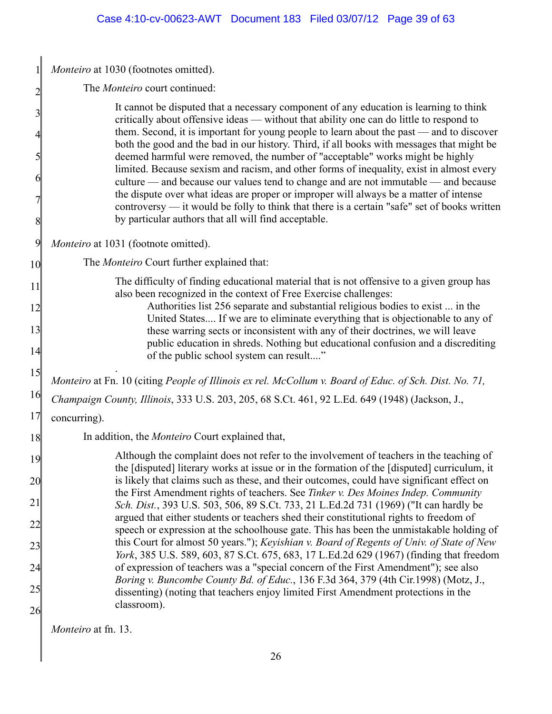| 1                                                                                                                                                                                          | <i>Monteiro</i> at 1030 (footnotes omitted).                                                                                                                                                                                                                                 |
|--------------------------------------------------------------------------------------------------------------------------------------------------------------------------------------------|------------------------------------------------------------------------------------------------------------------------------------------------------------------------------------------------------------------------------------------------------------------------------|
| $\overline{c}$                                                                                                                                                                             | The <i>Monteiro</i> court continued:                                                                                                                                                                                                                                         |
| 3                                                                                                                                                                                          | It cannot be disputed that a necessary component of any education is learning to think<br>critically about offensive ideas — without that ability one can do little to respond to                                                                                            |
| them. Second, it is important for young people to learn about the past — and to discover<br>4<br>both the good and the bad in our history. Third, if all books with messages that might be |                                                                                                                                                                                                                                                                              |
| 5<br>6                                                                                                                                                                                     | deemed harmful were removed, the number of "acceptable" works might be highly<br>limited. Because sexism and racism, and other forms of inequality, exist in almost every                                                                                                    |
| 7                                                                                                                                                                                          | culture — and because our values tend to change and are not immutable — and because<br>the dispute over what ideas are proper or improper will always be a matter of intense<br>controversy — it would be folly to think that there is a certain "safe" set of books written |
| 8                                                                                                                                                                                          | by particular authors that all will find acceptable.                                                                                                                                                                                                                         |
| 9                                                                                                                                                                                          | <i>Monteiro</i> at 1031 (footnote omitted).                                                                                                                                                                                                                                  |
| 10                                                                                                                                                                                         | The <i>Monteiro</i> Court further explained that:                                                                                                                                                                                                                            |
| 11                                                                                                                                                                                         | The difficulty of finding educational material that is not offensive to a given group has<br>also been recognized in the context of Free Exercise challenges:                                                                                                                |
| 12                                                                                                                                                                                         | Authorities list 256 separate and substantial religious bodies to exist  in the<br>United States If we are to eliminate everything that is objectionable to any of                                                                                                           |
| 13<br>14                                                                                                                                                                                   | these warring sects or inconsistent with any of their doctrines, we will leave<br>public education in shreds. Nothing but educational confusion and a discrediting<br>of the public school system can result"                                                                |
| 15                                                                                                                                                                                         | Monteiro at Fn. 10 (citing People of Illinois ex rel. McCollum v. Board of Educ. of Sch. Dist. No. 71,                                                                                                                                                                       |
| 16                                                                                                                                                                                         | Champaign County, Illinois, 333 U.S. 203, 205, 68 S.Ct. 461, 92 L.Ed. 649 (1948) (Jackson, J.,                                                                                                                                                                               |
| 17                                                                                                                                                                                         | concurring).                                                                                                                                                                                                                                                                 |
| 18                                                                                                                                                                                         | In addition, the Monteiro Court explained that,                                                                                                                                                                                                                              |
| 19                                                                                                                                                                                         | Although the complaint does not refer to the involvement of teachers in the teaching of<br>the [disputed] literary works at issue or in the formation of the [disputed] curriculum, it                                                                                       |
| 20                                                                                                                                                                                         | is likely that claims such as these, and their outcomes, could have significant effect on<br>the First Amendment rights of teachers. See Tinker v. Des Moines Indep. Community                                                                                               |
| 21                                                                                                                                                                                         | Sch. Dist., 393 U.S. 503, 506, 89 S.Ct. 733, 21 L.Ed.2d 731 (1969) ("It can hardly be<br>argued that either students or teachers shed their constitutional rights to freedom of                                                                                              |
| 22                                                                                                                                                                                         | speech or expression at the schoolhouse gate. This has been the unmistakable holding of                                                                                                                                                                                      |
| 23                                                                                                                                                                                         | this Court for almost 50 years."); Keyishian v. Board of Regents of Univ. of State of New<br>York, 385 U.S. 589, 603, 87 S.Ct. 675, 683, 17 L.Ed.2d 629 (1967) (finding that freedom                                                                                         |
| 24                                                                                                                                                                                         | of expression of teachers was a "special concern of the First Amendment"); see also<br>Boring v. Buncombe County Bd. of Educ., 136 F.3d 364, 379 (4th Cir.1998) (Motz, J.,                                                                                                   |
| 25<br>$26\overline{)}$                                                                                                                                                                     | dissenting) (noting that teachers enjoy limited First Amendment protections in the<br>classroom).                                                                                                                                                                            |
|                                                                                                                                                                                            |                                                                                                                                                                                                                                                                              |

*Monteiro* at fn. 13.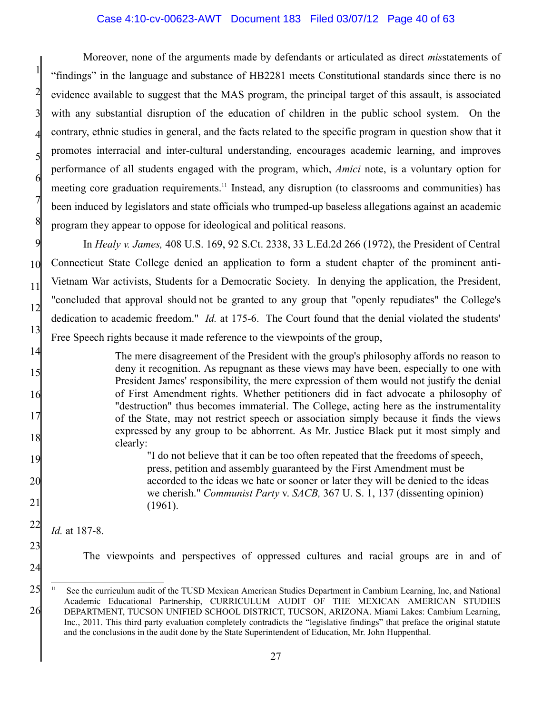### Case 4:10-cv-00623-AWT Document 183 Filed 03/07/12 Page 40 of 63

Moreover, none of the arguments made by defendants or articulated as direct *mis*statements of "findings" in the language and substance of HB2281 meets Constitutional standards since there is no evidence available to suggest that the MAS program, the principal target of this assault, is associated with any substantial disruption of the education of children in the public school system. On the contrary, ethnic studies in general, and the facts related to the specific program in question show that it promotes interracial and inter-cultural understanding, encourages academic learning, and improves performance of all students engaged with the program, which, *Amici* note, is a voluntary option for meeting core graduation requirements.<sup>[11](#page-39-0)</sup> Instead, any disruption (to classrooms and communities) has been induced by legislators and state officials who trumped-up baseless allegations against an academic program they appear to oppose for ideological and political reasons. 1 2 3 4 5 6 7 8

In *Healy v. James,* 408 U.S. 169, 92 S.Ct. 2338, 33 L.Ed.2d 266 (1972), the President of Central Connecticut State College denied an application to form a student chapter of the prominent anti-Vietnam War activists, Students for a Democratic Society. In denying the application, the President, "concluded that approval should not be granted to any group that "openly repudiates" the College's dedication to academic freedom." *Id.* at 175-6. The Court found that the denial violated the students' Free Speech rights because it made reference to the viewpoints of the group, 9 10 11 12 13

> The mere disagreement of the President with the group's philosophy affords no reason to deny it recognition. As repugnant as these views may have been, especially to one with President James' responsibility, the mere expression of them would not justify the denial of First Amendment rights. Whether petitioners did in fact advocate a philosophy of "destruction" thus becomes immaterial. The College, acting here as the instrumentality of the State, may not restrict speech or association simply because it finds the views expressed by any group to be abhorrent. As Mr. Justice Black put it most simply and clearly:

"I do not believe that it can be too often repeated that the freedoms of speech, press, petition and assembly guaranteed by the First Amendment must be accorded to the ideas we hate or sooner or later they will be denied to the ideas we cherish." *Communist Party* v. *SACB,* 367 U. S. 1, 137 (dissenting opinion) (1961).

*Id.* at 187-8.

14

15

16

17

18

19

20

21

22

23

24

The viewpoints and perspectives of oppressed cultures and racial groups are in and of

<span id="page-39-0"></span><sup>11</sup> See the curriculum audit of the TUSD Mexican American Studies Department in Cambium Learning, Inc, and National Academic Educational Partnership, CURRICULUM AUDIT OF THE MEXICAN AMERICAN STUDIES DEPARTMENT, TUCSON UNIFIED SCHOOL DISTRICT, TUCSON, ARIZONA. Miami Lakes: Cambium Learning, Inc., 2011. This third party evaluation completely contradicts the "legislative findings" that preface the original statute and the conclusions in the audit done by the State Superintendent of Education, Mr. John Huppenthal. 25 26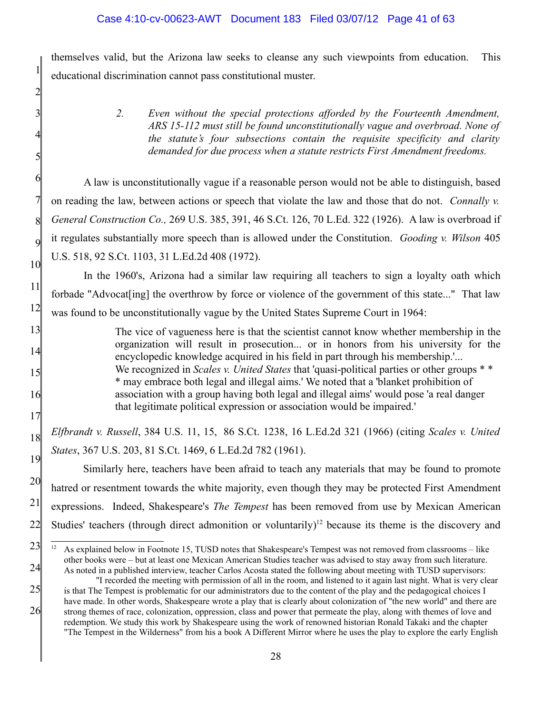themselves valid, but the Arizona law seeks to cleanse any such viewpoints from education. This educational discrimination cannot pass constitutional muster.

1

2

3

4

5

6

7

8

9

10

11

12

13

14

15

16

17

18

20

21

22

*2. Even without the special protections afforded by the Fourteenth Amendment, ARS 15-112 must still be found unconstitutionally vague and overbroad. None of the statute's four subsections contain the requisite specificity and clarity demanded for due process when a statute restricts First Amendment freedoms.* 

A law is unconstitutionally vague if a reasonable person would not be able to distinguish, based on reading the law, between actions or speech that violate the law and those that do not. *Connally v. General Construction Co.,* 269 U.S. 385, 391, 46 S.Ct. 126, 70 L.Ed. 322 (1926). A law is overbroad if it regulates substantially more speech than is allowed under the Constitution. *Gooding v. Wilson* 405 U.S. 518, 92 S.Ct. 1103, 31 L.Ed.2d 408 (1972).

In the 1960's, Arizona had a similar law requiring all teachers to sign a loyalty oath which forbade "Advocat [ing] the overthrow by force or violence of the government of this state..." That law was found to be unconstitutionally vague by the United States Supreme Court in 1964:

> The vice of vagueness here is that the scientist cannot know whether membership in the organization will result in prosecution... or in honors from his university for the encyclopedic knowledge acquired in his field in part through his membership.'... We recognized in *Scales v. United States* that 'quasi-political parties or other groups \* \* \* may embrace both legal and illegal aims.' We noted that a 'blanket prohibition of association with a group having both legal and illegal aims' would pose 'a real danger that legitimate political expression or association would be impaired.'

*Elfbrandt v. Russell*, 384 U.S. 11, 15, 86 S.Ct. 1238, 16 L.Ed.2d 321 (1966) (citing *Scales v. United States*, 367 U.S. 203, 81 S.Ct. 1469, 6 L.Ed.2d 782 (1961).

Similarly here, teachers have been afraid to teach any materials that may be found to promote hatred or resentment towards the white majority, even though they may be protected First Amendment expressions. Indeed, Shakespeare's *The Tempest* has been removed from use by Mexican American Studies' teachers (through direct admonition or voluntarily)<sup>[12](#page-40-0)</sup> because its theme is the discovery and 19

<span id="page-40-0"></span> $12$  As explained below in Footnote 15, TUSD notes that Shakespeare's Tempest was not removed from classrooms – like other books were – but at least one Mexican American Studies teacher was advised to stay away from such literature. As noted in a published interview, teacher Carlos Acosta stated the following about meeting with TUSD supervisors: 23 24

<sup>&</sup>quot;I recorded the meeting with permission of all in the room, and listened to it again last night. What is very clear is that The Tempest is problematic for our administrators due to the content of the play and the pedagogical choices I have made. In other words, Shakespeare wrote a play that is clearly about colonization of "the new world" and there are strong themes of race, colonization, oppression, class and power that permeate the play, along with themes of love and redemption. We study this work by Shakespeare using the work of renowned historian Ronald Takaki and the chapter "The Tempest in the Wilderness" from his a book A Different Mirror where he uses the play to explore the early English 25 26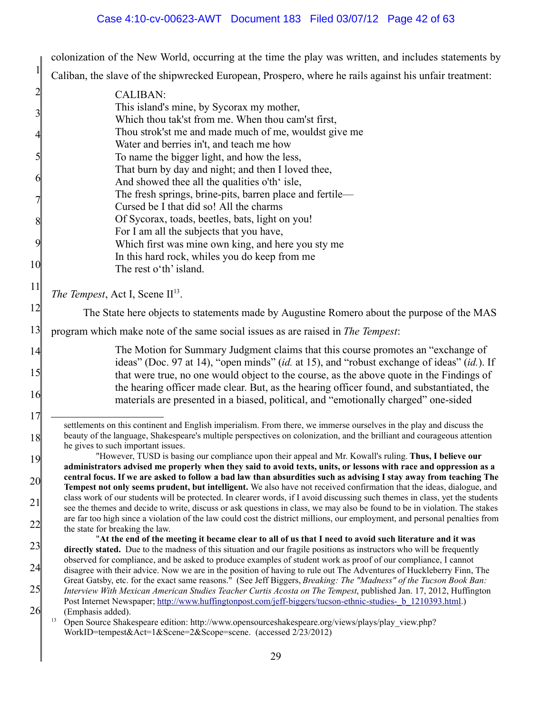<span id="page-41-0"></span>colonization of the New World, occurring at the time the play was written, and includes statements by Caliban, the slave of the shipwrecked European, Prospero, where he rails against his unfair treatment: CALIBAN: This island's mine, by Sycorax my mother, Which thou tak'st from me. When thou cam'st first, Thou strok'st me and made much of me, wouldst give me Water and berries in't, and teach me how To name the bigger light, and how the less, That burn by day and night; and then I loved thee, And showed thee all the qualities o'th' isle, The fresh springs, brine-pits, barren place and fertile— Cursed be I that did so! All the charms Of Sycorax, toads, beetles, bats, light on you! For I am all the subjects that you have, Which first was mine own king, and here you sty me In this hard rock, whiles you do keep from me The rest o'th' island. The Tempest, Act I, Scene II<sup>[13](#page-41-0)</sup>. The State here objects to statements made by Augustine Romero about the purpose of the MAS program which make note of the same social issues as are raised in *The Tempest*: The Motion for Summary Judgment claims that this course promotes an "exchange of ideas" (Doc. 97 at 14), "open minds" (*id.* at 15), and "robust exchange of ideas" (*id.*). If that were true, no one would object to the course, as the above quote in the Findings of the hearing officer made clear. But, as the hearing officer found, and substantiated, the materials are presented in a biased, political, and "emotionally charged" one-sided settlements on this continent and English imperialism. From there, we immerse ourselves in the play and discuss the beauty of the language, Shakespeare's multiple perspectives on colonization, and the brilliant and courageous attention he gives to such important issues. "However, TUSD is basing our compliance upon their appeal and Mr. Kowall's ruling. **Thus, I believe our administrators advised me properly when they said to avoid texts, units, or lessons with race and oppression as a central focus. If we are asked to follow a bad law than absurdities such as advising I stay away from teaching The Tempest not only seems prudent, but intelligent.** We also have not received confirmation that the ideas, dialogue, and class work of our students will be protected. In clearer words, if I avoid discussing such themes in class, yet the students see the themes and decide to write, discuss or ask questions in class, we may also be found to be in violation. The stakes are far too high since a violation of the law could cost the district millions, our employment, and personal penalties from the state for breaking the law. "**At the end of the meeting it became clear to all of us that I need to avoid such literature and it was** directly stated. Due to the madness of this situation and our fragile positions as instructors who will be frequently observed for compliance, and be asked to produce examples of student work as proof of our compliance, I cannot disagree with their advice. Now we are in the position of having to rule out The Adventures of Huckleberry Finn, The Great Gatsby, etc. for the exact same reasons." (See Jeff Biggers, *Breaking: The "Madness" of the Tucson Book Ban: Interview With Mexican American Studies Teacher Curtis Acosta on The Tempest*, published Jan. 17, 2012, Huffington Post Internet Newspaper; http://www.huffingtonpost.com/jeff-biggers/tucson-ethnic-studies- b 1210393.html.) (Emphasis added). <sup>13</sup> Open Source Shakespeare edition: http://www.opensourceshakespeare.org/views/plays/play\_view.php? WorkID=tempest&Act=1&Scene=2&Scope=scene. (accessed 2/23/2012) 1 2 3 4 5 6 7 8 9 10 11 12 13 14 15 16 17 18 19 20 21 22 23 24 25 26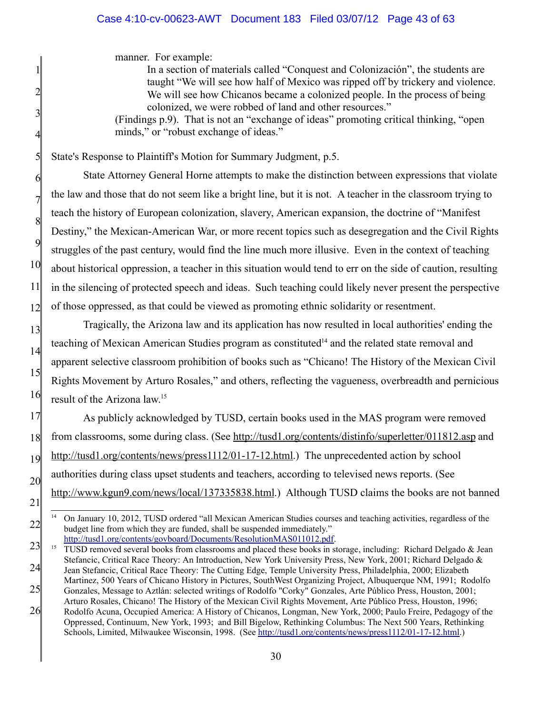manner. For example:

1

2

3

4

5

21

In a section of materials called "Conquest and Colonización", the students are taught "We will see how half of Mexico was ripped off by trickery and violence. We will see how Chicanos became a colonized people. In the process of being colonized, we were robbed of land and other resources."

(Findings p.9). That is not an "exchange of ideas" promoting critical thinking, "open minds," or "robust exchange of ideas."

State's Response to Plaintiff's Motion for Summary Judgment, p.5.

State Attorney General Horne attempts to make the distinction between expressions that violate the law and those that do not seem like a bright line, but it is not. A teacher in the classroom trying to teach the history of European colonization, slavery, American expansion, the doctrine of "Manifest Destiny," the Mexican-American War, or more recent topics such as desegregation and the Civil Rights struggles of the past century, would find the line much more illusive. Even in the context of teaching about historical oppression, a teacher in this situation would tend to err on the side of caution, resulting in the silencing of protected speech and ideas. Such teaching could likely never present the perspective of those oppressed, as that could be viewed as promoting ethnic solidarity or resentment. 6 7 8 9 10 11 12

Tragically, the Arizona law and its application has now resulted in local authorities' ending the teaching of Mexican American Studies program as constituted<sup>[14](#page-42-0)</sup> and the related state removal and apparent selective classroom prohibition of books such as "Chicano! The History of the Mexican Civil Rights Movement by Arturo Rosales," and others, reflecting the vagueness, overbreadth and pernicious result of the Arizona law.<sup>[15](#page-42-1)</sup> 13 14 15 16

As publicly acknowledged by TUSD, certain books used in the MAS program were removed from classrooms, some during class. (See<http://tusd1.org/contents/distinfo/superletter/011812.asp>and [http://tusd1.org/contents/news/press1112/01-17-12.html.](http://tusd1.org/contents/news/press1112/01-17-12.html)) The unprecedented action by school authorities during class upset students and teachers, according to televised news reports. (See [http://www.kgun9.com/news/local/137335838.html.](http://www.kgun9.com/news/local/137335838.html?utm_source=dlvr.it&utm_medium=twitter)) Although TUSD claims the books are not banned 17 18 19 20

<sup>&</sup>lt;sup>14</sup> On January 10, 2012, TUSD ordered "all Mexican American Studies courses and teaching activities, regardless of the budget line from which they are funded, shall be suspended immediately." 22

<span id="page-42-1"></span><span id="page-42-0"></span>[http://tusd1.org/contents/govboard/Documents/ResolutionMAS011012.pdf.](tusd1.org/contents/govboard/Documents/ResolutionMAS011012.pdf)

<sup>&</sup>lt;sup>15</sup> TUSD removed several books from classrooms and placed these books in storage, including: Richard Delgado & Jean Stefancic, Critical Race Theory: An Introduction, New York University Press, New York, 2001; Richard Delgado & Jean Stefancic, Critical Race Theory: The Cutting Edge, Temple University Press, Philadelphia, 2000; Elizabeth Martinez, 500 Years of Chicano History in Pictures, SouthWest Organizing Project, Albuquerque NM, 1991; Rodolfo 23 24

Gonzales, Message to Aztlán: selected writings of Rodolfo "Corky" Gonzales, Arte Público Press, Houston, 2001; Arturo Rosales, Chicano! The History of the Mexican Civil Rights Movement, Arte Público Press, Houston, 1996; Rodolfo Acuna, Occupied America: A History of Chicanos, Longman, New York, 2000; Paulo Freire, Pedagogy of the Oppressed, Continuum, New York, 1993; and Bill Bigelow, Rethinking Columbus: The Next 500 Years, Rethinking Schools, Limited, Milwaukee Wisconsin, 1998. (See [http://tusd1.org/contents/news/press1112/01-17-12.html.](http://tusd1.org/contents/news/press1112/01-17-12.html)) 25 26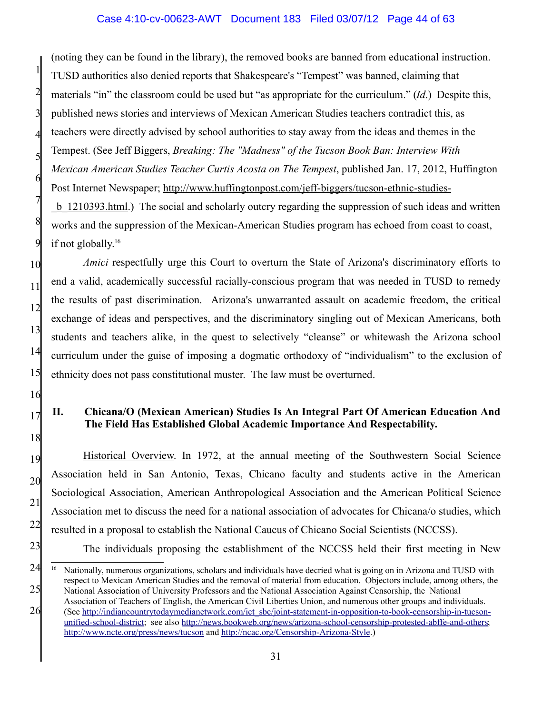#### Case 4:10-cv-00623-AWT Document 183 Filed 03/07/12 Page 44 of 63

(noting they can be found in the library), the removed books are banned from educational instruction. TUSD authorities also denied reports that Shakespeare's "Tempest" was banned, claiming that materials "in" the classroom could be used but "as appropriate for the curriculum." (*Id*.) Despite this, published news stories and interviews of Mexican American Studies teachers contradict this, as teachers were directly advised by school authorities to stay away from the ideas and themes in the Tempest. (See Jeff Biggers, *Breaking: The "Madness" of the Tucson Book Ban: Interview With Mexican American Studies Teacher Curtis Acosta on The Tempest*, published Jan. 17, 2012, Huffington Post Internet Newspaper; [http://www.huffingtonpost.com/jeff-biggers/tucson-ethnic-studies-](http://www.huffingtonpost.com/jeff-biggers/tucson-ethnic-studies-_b_1210393.html) [\\_b\\_1210393.html.](http://www.huffingtonpost.com/jeff-biggers/tucson-ethnic-studies-_b_1210393.html)) The social and scholarly outcry regarding the suppression of such ideas and written works and the suppression of the Mexican-American Studies program has echoed from coast to coast, 1 2 3 4 5 6 7 8

if not globally.<sup>[16](#page-43-0)</sup> 9

10

11

12

13

14

15

16

17

18

19

20

21

22

23

*Amici* respectfully urge this Court to overturn the State of Arizona's discriminatory efforts to end a valid, academically successful racially-conscious program that was needed in TUSD to remedy the results of past discrimination. Arizona's unwarranted assault on academic freedom, the critical exchange of ideas and perspectives, and the discriminatory singling out of Mexican Americans, both students and teachers alike, in the quest to selectively "cleanse" or whitewash the Arizona school curriculum under the guise of imposing a dogmatic orthodoxy of "individualism" to the exclusion of ethnicity does not pass constitutional muster. The law must be overturned.

## **II. Chicana/O (Mexican American) Studies Is An Integral Part Of American Education And The Field Has Established Global Academic Importance And Respectability.**

Historical Overview. In 1972, at the annual meeting of the Southwestern Social Science Association held in San Antonio, Texas, Chicano faculty and students active in the American Sociological Association, American Anthropological Association and the American Political Science Association met to discuss the need for a national association of advocates for Chicana/o studies, which resulted in a proposal to establish the National Caucus of Chicano Social Scientists (NCCSS).

<span id="page-43-0"></span>The individuals proposing the establishment of the NCCSS held their first meeting in New

(See [http://indiancountrytodaymedianetwork.com/ict\\_sbc/joint-statement-in-opposition-to-book-censorship-in-tucson](http://indiancountrytodaymedianetwork.com/ict_sbc/joint-statement-in-opposition-to-book-censorship-in-tucson-unified-school-district)[unified-school-district;](http://indiancountrytodaymedianetwork.com/ict_sbc/joint-statement-in-opposition-to-book-censorship-in-tucson-unified-school-district) see also [http://news.bookweb.org/news/arizona-school-censorship-protested-abffe-and-others;](http://news.bookweb.org/news/arizona-school-censorship-protested-abffe-and-others) <http://www.ncte.org/press/news/tucson>and [http://ncac.org/Censorship-Arizona-Style.](http://ncac.org/Censorship-Arizona-Style)) 26

Nationally, numerous organizations, scholars and individuals have decried what is going on in Arizona and TUSD with respect to Mexican American Studies and the removal of material from education. Objectors include, among others, the National Association of University Professors and the National Association Against Censorship, the National Association of Teachers of English, the American Civil Liberties Union, and numerous other groups and individuals. 24 25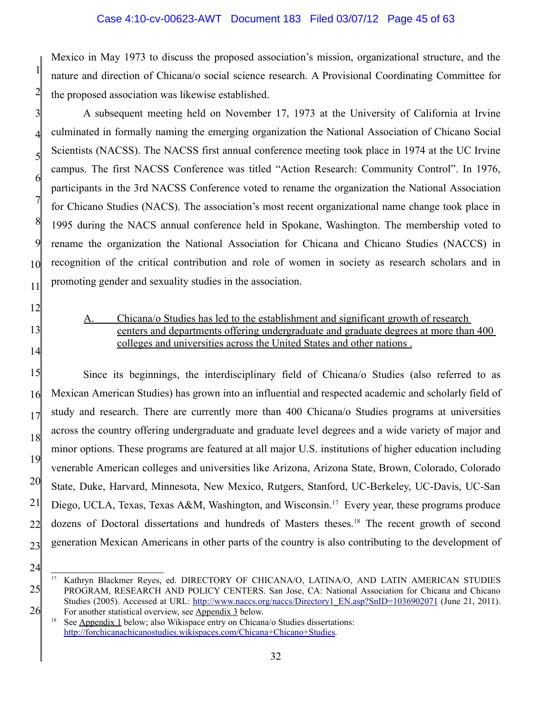Mexico in May 1973 to discuss the proposed association's mission, organizational structure, and the nature and direction of Chicana/o social science research. A Provisional Coordinating Committee for the proposed association was likewise established.

A subsequent meeting held on November 17, 1973 at the University of California at Irvine culminated in formally naming the emerging organization the National Association of Chicano Social Scientists (NACSS). The NACSS first annual conference meeting took place in 1974 at the UC Irvine campus. The first NACSS Conference was titled "Action Research: Community Control". In 1976, participants in the 3rd NACSS Conference voted to rename the organization the National Association for Chicano Studies (NACS). The association's most recent organizational name change took place in 1995 during the NACS annual conference held in Spokane, Washington. The membership voted to rename the organization the National Association for Chicana and Chicano Studies (NACCS) in recognition of the critical contribution and role of women in society as research scholars and in promoting gender and sexuality studies in the association.

### A. Chicana/o Studies has led to the establishment and significant growth of research centers and departments offering undergraduate and graduate degrees at more than 400 colleges and universities across the United States and other nations .

Since its beginnings, the interdisciplinary field of Chicana/o Studies (also referred to as Mexican American Studies) has grown into an influential and respected academic and scholarly field of study and research. There are currently more than 400 Chicana/o Studies programs at universities across the country offering undergraduate and graduate level degrees and a wide variety of major and minor options. These programs are featured at all major U.S. institutions of higher education including venerable American colleges and universities like Arizona, Arizona State, Brown, Colorado, Colorado State, Duke, Harvard, Minnesota, New Mexico, Rutgers, Stanford, UC-Berkeley, UC-Davis, UC-San Diego, UCLA, Texas, Texas A&M, Washington, and Wisconsin.<sup>[17](#page-44-0)</sup> Every year, these programs produce dozens of Doctoral dissertations and hundreds of Masters theses.<sup>[18](#page-44-1)</sup> The recent growth of second generation Mexican Americans in other parts of the country is also contributing to the development of

1

2

<span id="page-44-0"></span><sup>&</sup>lt;sup>17</sup> Kathryn Blackmer Reyes, ed. DIRECTORY OF CHICANA/O, LATINA/O, AND LATIN AMERICAN STUDIES PROGRAM, RESEARCH AND POLICY CENTERS. San Jose, CA: National Association for Chicana and Chicano Studies (2005). Accessed at URL: [http://www.naccs.org/naccs/Directory1\\_EN.asp?SnID=1036902071](http://www.naccs.org/naccs/Directory1_EN.asp?SnID=1036902071) (June 21, 2011). For another statistical overview, see Appendix 3 below.

<span id="page-44-1"></span><sup>&</sup>lt;sup>18</sup> See Appendix 1 below; also Wikispace entry on Chicana/o Studies dissertations: [http://forchicanachicanostudies.wikispaces.com/Chicana+Chicano+Studies.](http://forchicanachicanostudies.wikispaces.com/Chicana+Chicano+Studies)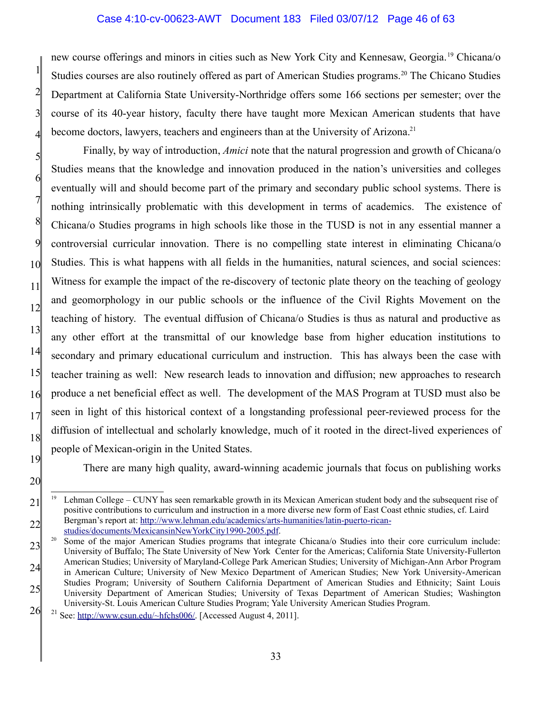#### Case 4:10-cv-00623-AWT Document 183 Filed 03/07/12 Page 46 of 63

new course offerings and minors in cities such as New York City and Kennesaw, Georgia.[19](#page-45-0) Chicana/o Studies courses are also routinely offered as part of American Studies programs.<sup>[20](#page-45-1)</sup> The Chicano Studies Department at California State University-Northridge offers some 166 sections per semester; over the course of its 40-year history, faculty there have taught more Mexican American students that have become doctors, lawyers, teachers and engineers than at the University of Arizona.<sup>[21](#page-45-2)</sup> 3

Finally, by way of introduction, *Amici* note that the natural progression and growth of Chicana/o Studies means that the knowledge and innovation produced in the nation's universities and colleges eventually will and should become part of the primary and secondary public school systems. There is nothing intrinsically problematic with this development in terms of academics. The existence of Chicana/o Studies programs in high schools like those in the TUSD is not in any essential manner a controversial curricular innovation. There is no compelling state interest in eliminating Chicana/o Studies. This is what happens with all fields in the humanities, natural sciences, and social sciences: Witness for example the impact of the re-discovery of tectonic plate theory on the teaching of geology and geomorphology in our public schools or the influence of the Civil Rights Movement on the teaching of history. The eventual diffusion of Chicana/o Studies is thus as natural and productive as any other effort at the transmittal of our knowledge base from higher education institutions to secondary and primary educational curriculum and instruction. This has always been the case with teacher training as well: New research leads to innovation and diffusion; new approaches to research produce a net beneficial effect as well. The development of the MAS Program at TUSD must also be seen in light of this historical context of a longstanding professional peer-reviewed process for the diffusion of intellectual and scholarly knowledge, much of it rooted in the direct-lived experiences of people of Mexican-origin in the United States. 5 6 7 8 9 10 11 12 13 14 15 16 17 18

There are many high quality, award-winning academic journals that focus on publishing works

1

2

4

19

<span id="page-45-0"></span><sup>&</sup>lt;sup>19</sup> Lehman College – CUNY has seen remarkable growth in its Mexican American student body and the subsequent rise of positive contributions to curriculum and instruction in a more diverse new form of East Coast ethnic studies, cf. Laird Bergman's report at: [http://www.lehman.edu/academics/arts-humanities/latin-puerto-rican](www.lehman.edu/academics/arts-humanities/latin-puerto-rican-studies/documents/MexicansinNewYorkCity1990-2005.pdf)[studies/documents/MexicansinNewYorkCity1990-2005.pdf.](www.lehman.edu/academics/arts-humanities/latin-puerto-rican-studies/documents/MexicansinNewYorkCity1990-2005.pdf) 21 22

<span id="page-45-1"></span><sup>&</sup>lt;sup>20</sup> Some of the major American Studies programs that integrate Chicana/o Studies into their core curriculum include: University of Buffalo; The State University of New York Center for the Americas; California State University-Fullerton American Studies; University of Maryland-College Park American Studies; University of Michigan-Ann Arbor Program in American Culture; University of New Mexico Department of American Studies; New York University-American Studies Program; University of Southern California Department of American Studies and Ethnicity; Saint Louis University Department of American Studies; University of Texas Department of American Studies; Washington University-St. Louis American Culture Studies Program; Yale University American Studies Program. 23 24 25

<span id="page-45-2"></span><sup>&</sup>lt;sup>21</sup> See: [http://www.csun.edu/~hfchs006/.](http://www.csun.edu/~hfchs006%05/) [Accessed August 4, 2011]. 26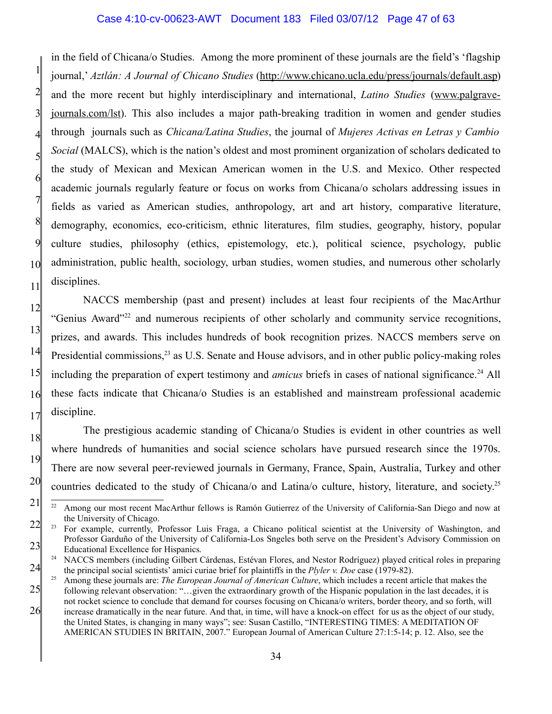#### Case 4:10-cv-00623-AWT Document 183 Filed 03/07/12 Page 47 of 63

in the field of Chicana/o Studies. Among the more prominent of these journals are the field's 'flagship journal,' *Aztlán: A Journal of Chicano Studies* [\(http://www.chicano.ucla.edu/press/journals/default.asp\)](http://www.chicano.ucla.edu/press/journals/default.asp) and the more recent but highly interdisciplinary and international, *Latino Studies* [\(www.palgrave](http://www.palgrave-journals.com/lst)[journals.com/lst\)](http://www.palgrave-journals.com/lst). This also includes a major path-breaking tradition in women and gender studies through journals such as *Chicana/Latina Studies*, the journal of *Mujeres Activas en Letras y Cambio Social* (MALCS), which is the nation's oldest and most prominent organization of scholars dedicated to the study of Mexican and Mexican American women in the U.S. and Mexico. Other respected academic journals regularly feature or focus on works from Chicana/o scholars addressing issues in fields as varied as American studies, anthropology, art and art history, comparative literature, demography, economics, eco-criticism, ethnic literatures, film studies, geography, history, popular culture studies, philosophy (ethics, epistemology, etc.), political science, psychology, public administration, public health, sociology, urban studies, women studies, and numerous other scholarly disciplines. 1 2 3 4 5 6 7 8 9 10 11

NACCS membership (past and present) includes at least four recipients of the MacArthur "Genius Award"<sup>[22](#page-46-0)</sup> and numerous recipients of other scholarly and community service recognitions, prizes, and awards. This includes hundreds of book recognition prizes. NACCS members serve on Presidential commissions,<sup>[23](#page-46-1)</sup> as U.S. Senate and House advisors, and in other public policy-making roles including the preparation of expert testimony and *amicus* briefs in cases of national significance.<sup>[24](#page-46-2)</sup> All these facts indicate that Chicana/o Studies is an established and mainstream professional academic discipline. 12 13 14 15 16 17

The prestigious academic standing of Chicana/o Studies is evident in other countries as well where hundreds of humanities and social science scholars have pursued research since the 1970s. There are now several peer-reviewed journals in Germany, France, Spain, Australia, Turkey and other countries dedicated to the study of Chicana/o and Latina/o culture, history, literature, and society.[25](#page-46-3)

18

19

<span id="page-46-0"></span><sup>&</sup>lt;sup>22</sup> Among our most recent MacArthur fellows is Ramón Gutierrez of the University of California-San Diego and now at the University of Chicago. 21

<span id="page-46-1"></span><sup>&</sup>lt;sup>23</sup> For example, currently, Professor Luis Fraga, a Chicano political scientist at the University of Washington, and Professor Garduño of the University of California-Los Sngeles both serve on the President's Advisory Commission on Educational Excellence for Hispanics. 22 23

<span id="page-46-2"></span><sup>&</sup>lt;sup>24</sup> NACCS members (including Gilbert Cárdenas, Estévan Flores, and Nestor Rodríguez) played critical roles in preparing the principal social scientists' amici curiae brief for plaintiffs in the *Plyler v. Doe* case (1979-82). 24

<span id="page-46-3"></span><sup>25</sup> Among these journals are: *The European Journal of American Culture*, which includes a recent article that makes the following relevant observation: "…given the extraordinary growth of the Hispanic population in the last decades, it is not rocket science to conclude that demand for courses focusing on Chicana/o writers, border theory, and so forth, will increase dramatically in the near future. And that, in time, will have a knock-on effect for us as the object of our study, the United States, is changing in many ways"; see: Susan Castillo, "INTERESTING TIMES: A MEDITATION OF AMERICAN STUDIES IN BRITAIN, 2007." European Journal of American Culture 27:1:5-14; p. 12. Also, see the 25 26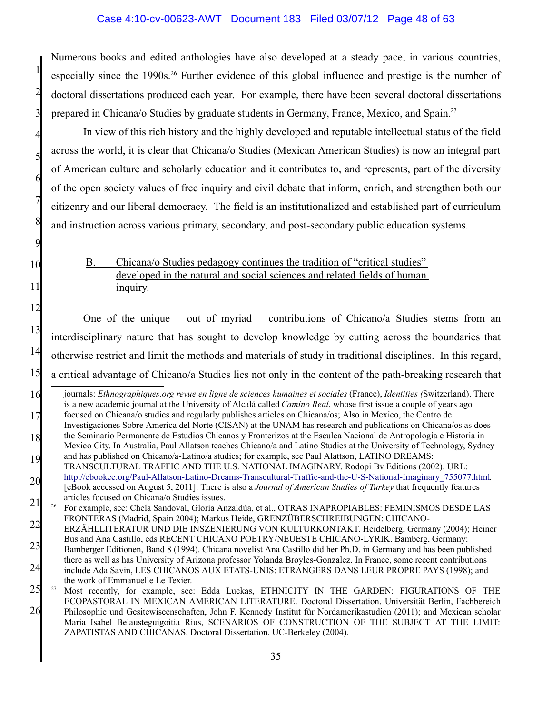Numerous books and edited anthologies have also developed at a steady pace, in various countries, especially since the 1990s.<sup>[26](#page-47-0)</sup> Further evidence of this global influence and prestige is the number of doctoral dissertations produced each year. For example, there have been several doctoral dissertations prepared in Chicana/o Studies by graduate students in Germany, France, Mexico, and Spain.[27](#page-47-1)

1

2

3

4

5

6

7

8

9

10

11

In view of this rich history and the highly developed and reputable intellectual status of the field across the world, it is clear that Chicana/o Studies (Mexican American Studies) is now an integral part of American culture and scholarly education and it contributes to, and represents, part of the diversity of the open society values of free inquiry and civil debate that inform, enrich, and strengthen both our citizenry and our liberal democracy. The field is an institutionalized and established part of curriculum and instruction across various primary, secondary, and post-secondary public education systems.

### B. Chicana/o Studies pedagogy continues the tradition of "critical studies" developed in the natural and social sciences and related fields of human inquiry.

One of the unique – out of myriad – contributions of Chicano/a Studies stems from an interdisciplinary nature that has sought to develop knowledge by cutting across the boundaries that otherwise restrict and limit the methods and materials of study in traditional disciplines. In this regard, a critical advantage of Chicano/a Studies lies not only in the content of the path-breaking research that 12 13 14 15

journals: *Ethnographiques.org revue en ligne de sciences humaines et sociales* (France), *Identities (*Switzerland). There is a new academic journal at the University of Alcalá called *Camino Real*, whose first issue a couple of years ago focused on Chicana/o studies and regularly publishes articles on Chicana/os; Also in Mexico, the Centro de 16 17

Investigaciones Sobre America del Norte (CISAN) at the UNAM has research and publications on Chicana/os as does the Seminario Permanente de Estudios Chicanos y Fronterizos at the Esculea Nacional de Antropología e Historia in Mexico City. In Australia, Paul Allatson teaches Chicano/a and Latino Studies at the University of Technology, Sydney 18

and has published on Chicano/a-Latino/a studies; for example, see Paul Alattson, LATINO DREAMS: TRANSCULTURAL TRAFFIC AND THE U.S. NATIONAL IMAGINARY. Rodopi Bv Editions (2002). URL: [http://ebookee.org/Paul-Allatson-Latino-Dreams-Transcultural-Traffic-and-the-U-S-National-Imaginary\\_755077.html.](http://ebookee.org/Paul-Allatson-Latino-Dreams-Transcultural-Traffic-and-the-U-S-National-Imaginary_755077.html) [eBook accessed on August 5, 2011]. There is also a *Journal of American Studies of Turkey* that frequently features articles focused on Chicana/o Studies issues. 19 20

<span id="page-47-0"></span><sup>26</sup> For example, see: Chela Sandoval, Gloria Anzaldúa, et al., OTRAS INAPROPIABLES: FEMINISMOS DESDE LAS FRONTERAS (Madrid, Spain 2004); Markus Heide, GRENZÜBERSCHREIBUNGEN: CHICANO-21

ERZÄHLLITERATUR UND DIE INSZENIERUNG VON KULTURKONTAKT. Heidelberg, Germany (2004); Heiner Bus and Ana Castillo, eds RECENT CHICANO POETRY/NEUESTE CHICANO-LYRIK. Bamberg, Germany: Bamberger Editionen, Band 8 (1994). Chicana novelist Ana Castillo did her Ph.D. in Germany and has been published there as well as has University of Arizona professor Yolanda Broyles-Gonzalez. In France, some recent contributions include Ada Savin, LES CHICANOS AUX ETATS-UNIS: ETRANGERS DANS LEUR PROPRE PAYS (1998); and the work of Emmanuelle Le Texier. 22 23 24

<span id="page-47-1"></span><sup>&</sup>lt;sup>27</sup> Most recently, for example, see: Edda Luckas, ETHNICITY IN THE GARDEN: FIGURATIONS OF THE ECOPASTORAL IN MEXICAN AMERICAN LITERATURE. Doctoral Dissertation. Universität Berlin, Fachbereich Philosophie und Gesitewiseenschaften, John F. Kennedy Institut für Nordamerikastudien (2011); and Mexican scholar Maria Isabel Belausteguigoitia Rius, SCENARIOS OF CONSTRUCTION OF THE SUBJECT AT THE LIMIT: ZAPATISTAS AND CHICANAS. Doctoral Dissertation. UC-Berkeley (2004). 25 26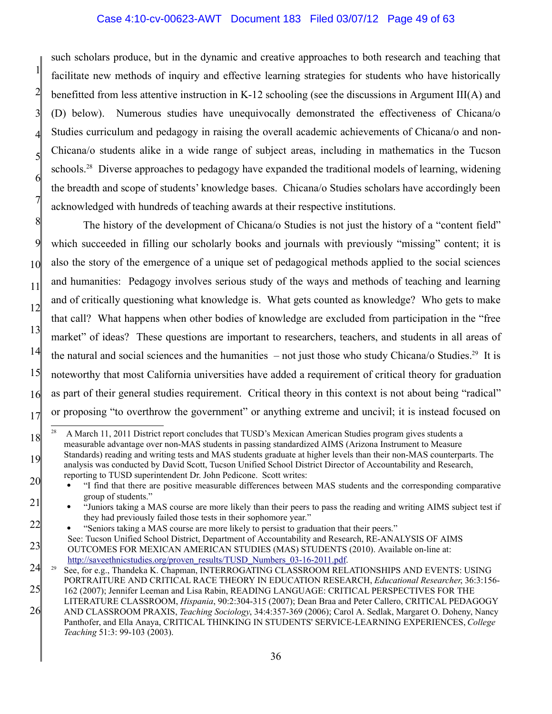### Case 4:10-cv-00623-AWT Document 183 Filed 03/07/12 Page 49 of 63

such scholars produce, but in the dynamic and creative approaches to both research and teaching that facilitate new methods of inquiry and effective learning strategies for students who have historically benefitted from less attentive instruction in K-12 schooling (see the discussions in Argument III(A) and (D) below). Numerous studies have unequivocally demonstrated the effectiveness of Chicana/o Studies curriculum and pedagogy in raising the overall academic achievements of Chicana/o and non-Chicana/o students alike in a wide range of subject areas, including in mathematics in the Tucson schools.<sup>[28](#page-48-0)</sup> Diverse approaches to pedagogy have expanded the traditional models of learning, widening the breadth and scope of students' knowledge bases. Chicana/o Studies scholars have accordingly been acknowledged with hundreds of teaching awards at their respective institutions. 1 2 3 4 5 6 7

The history of the development of Chicana/o Studies is not just the history of a "content field" which succeeded in filling our scholarly books and journals with previously "missing" content; it is also the story of the emergence of a unique set of pedagogical methods applied to the social sciences and humanities: Pedagogy involves serious study of the ways and methods of teaching and learning and of critically questioning what knowledge is. What gets counted as knowledge? Who gets to make that call? What happens when other bodies of knowledge are excluded from participation in the "free market" of ideas? These questions are important to researchers, teachers, and students in all areas of the natural and social sciences and the humanities – not just those who study Chicana/o Studies.<sup>[29](#page-48-1)</sup> It is noteworthy that most California universities have added a requirement of critical theory for graduation as part of their general studies requirement. Critical theory in this context is not about being "radical" or proposing "to overthrow the government" or anything extreme and uncivil; it is instead focused on 8 9 10 11 12 13 14 15 16 17

21

<span id="page-48-0"></span><sup>28</sup> A March 11, 2011 District report concludes that TUSD's Mexican American Studies program gives students a measurable advantage over non-MAS students in passing standardized AIMS (Arizona Instrument to Measure Standards) reading and writing tests and MAS students graduate at higher levels than their non-MAS counterparts. The analysis was conducted by David Scott, Tucson Unified School District Director of Accountability and Research, reporting to TUSD superintendent Dr. John Pedicone. Scott writes: 18 19 20

"I find that there are positive measurable differences between MAS students and the corresponding comparative group of students."

"Juniors taking a MAS course are more likely than their peers to pass the reading and writing AIMS subject test if they had previously failed those tests in their sophomore year."

"Seniors taking a MAS course are more likely to persist to graduation that their peers."

See: Tucson Unified School District, Department of Accountability and Research, RE-ANALYSIS OF AIMS OUTCOMES FOR MEXICAN AMERICAN STUDIES (MAS) STUDENTS (2010). Available on-line at: [http://saveethnicstudies.org/proven\\_results/TUSD\\_Numbers\\_03-16-2011.pdf.](saveethnicstudies.org/proven_results/TUSD_Numbers_03-16-2011.pdf) 23

<span id="page-48-1"></span>See, for e.g., Thandeka K. Chapman, INTERROGATING CLASSROOM RELATIONSHIPS AND EVENTS: USING PORTRAITURE AND CRITICAL RACE THEORY IN EDUCATION RESEARCH, *Educational Researcher*, 36:3:156- 162 (2007); Jennifer Leeman and Lisa Rabin, READING LANGUAGE: CRITICAL PERSPECTIVES FOR THE LITERATURE CLASSROOM, *Hispania*, 90:2:304-315 (2007); Dean Braa and Peter Callero, CRITICAL PEDAGOGY AND CLASSROOM PRAXIS, *Teaching Sociology*, 34:4:357-369 (2006); Carol A. Sedlak, Margaret O. Doheny, Nancy 24 25 26

Panthofer, and Ella Anaya, CRITICAL THINKING IN STUDENTS' SERVICE-LEARNING EXPERIENCES, *College Teaching* 51:3: 99-103 (2003).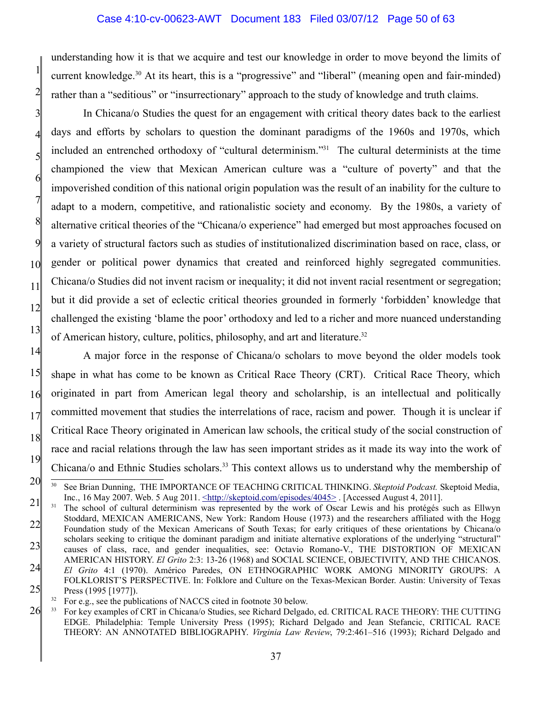#### Case 4:10-cv-00623-AWT Document 183 Filed 03/07/12 Page 50 of 63

understanding how it is that we acquire and test our knowledge in order to move beyond the limits of current knowledge.<sup>[30](#page-49-0)</sup> At its heart, this is a "progressive" and "liberal" (meaning open and fair-minded) rather than a "seditious" or "insurrectionary" approach to the study of knowledge and truth claims.

1

2

3

4

5

6

7

8

9

10

11

12

13

In Chicana/o Studies the quest for an engagement with critical theory dates back to the earliest days and efforts by scholars to question the dominant paradigms of the 1960s and 1970s, which included an entrenched orthodoxy of "cultural determinism."[31](#page-49-1) The cultural determinists at the time championed the view that Mexican American culture was a "culture of poverty" and that the impoverished condition of this national origin population was the result of an inability for the culture to adapt to a modern, competitive, and rationalistic society and economy. By the 1980s, a variety of alternative critical theories of the "Chicana/o experience" had emerged but most approaches focused on a variety of structural factors such as studies of institutionalized discrimination based on race, class, or gender or political power dynamics that created and reinforced highly segregated communities. Chicana/o Studies did not invent racism or inequality; it did not invent racial resentment or segregation; but it did provide a set of eclectic critical theories grounded in formerly 'forbidden' knowledge that challenged the existing 'blame the poor' orthodoxy and led to a richer and more nuanced understanding of American history, culture, politics, philosophy, and art and literature.<sup>[32](#page-49-2)</sup>

A major force in the response of Chicana/o scholars to move beyond the older models took shape in what has come to be known as Critical Race Theory (CRT). Critical Race Theory, which originated in part from American legal theory and scholarship, is an intellectual and politically committed movement that studies the interrelations of race, racism and power. Though it is unclear if Critical Race Theory originated in American law schools, the critical study of the social construction of race and racial relations through the law has seen important strides as it made its way into the work of Chicana/o and Ethnic Studies scholars.<sup>[33](#page-49-3)</sup> This context allows us to understand why the membership of 14 15 16 17 18 19

<span id="page-49-0"></span><sup>30</sup> See Brian Dunning, THE IMPORTANCE OF TEACHING CRITICAL THINKING. *Skeptoid Podcast.* Skeptoid Media, Inc., 16 May 2007. Web. 5 Aug 2011. [<http://skeptoid.com/episodes/4045>](http://skeptoid.com/episodes/4045) . [Accessed August 4, 2011]. 20

<span id="page-49-1"></span><sup>&</sup>lt;sup>31</sup> The school of cultural determinism was represented by the work of Oscar Lewis and his protégés such as Ellwyn Stoddard, MEXICAN AMERICANS, New York: Random House (1973) and the researchers affiliated with the Hogg Foundation study of the Mexican Americans of South Texas; for early critiques of these orientations by Chicana/o scholars seeking to critique the dominant paradigm and initiate alternative explorations of the underlying "structural" causes of class, race, and gender inequalities, see: Octavio Romano-V., THE DISTORTION OF MEXICAN AMERICAN HISTORY. *El Grito* 2:3: 13-26 (1968) and SOCIAL SCIENCE, OBJECTIVITY, AND THE CHICANOS. *El Grito* 4:1 (1970). Américo Paredes, ON ETHNOGRAPHIC WORK AMONG MINORITY GROUPS: A FOLKLORIST'S PERSPECTIVE. In: Folklore and Culture on the Texas-Mexican Border. Austin: University of Texas Press (1995 [1977]). 21 22 23 24 25

<span id="page-49-3"></span><span id="page-49-2"></span>For e.g., see the publications of NACCS cited in footnote 30 below.

<sup>33</sup> For key examples of CRT in Chicana/o Studies, see Richard Delgado, ed. CRITICAL RACE THEORY: THE CUTTING EDGE. Philadelphia: Temple University Press (1995); Richard Delgado and Jean Stefancic, CRITICAL RACE THEORY: AN ANNOTATED BIBLIOGRAPHY. *Virginia Law Review*, 79:2:461–516 (1993); Richard Delgado and 26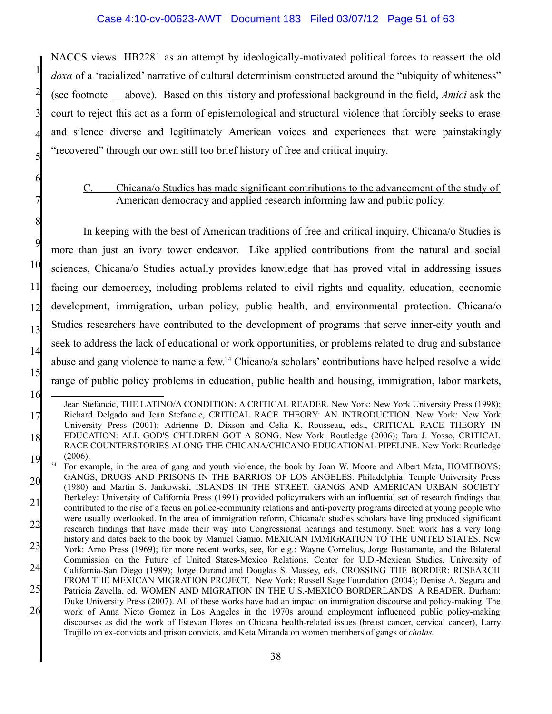#### Case 4:10-cv-00623-AWT Document 183 Filed 03/07/12 Page 51 of 63

NACCS views HB2281 as an attempt by ideologically-motivated political forces to reassert the old doxa of a 'racialized' narrative of cultural determinism constructed around the "ubiquity of whiteness" (see footnote \_\_ above). Based on this history and professional background in the field, *Amici* ask the court to reject this act as a form of epistemological and structural violence that forcibly seeks to erase and silence diverse and legitimately American voices and experiences that were painstakingly "recovered" through our own still too brief history of free and critical inquiry.

1

2

3

4

5

6

7

### C. Chicana/o Studies has made significant contributions to the advancement of the study of American democracy and applied research informing law and public policy.

In keeping with the best of American traditions of free and critical inquiry, Chicana/o Studies is more than just an ivory tower endeavor. Like applied contributions from the natural and social sciences, Chicana/o Studies actually provides knowledge that has proved vital in addressing issues facing our democracy, including problems related to civil rights and equality, education, economic development, immigration, urban policy, public health, and environmental protection. Chicana/o Studies researchers have contributed to the development of programs that serve inner-city youth and seek to address the lack of educational or work opportunities, or problems related to drug and substance abuse and gang violence to name a few.<sup>[34](#page-50-0)</sup> Chicano/a scholars' contributions have helped resolve a wide range of public policy problems in education, public health and housing, immigration, labor markets, 8 9 10 11 12 13 14 15

Jean Stefancic, THE LATINO/A CONDITION: A CRITICAL READER. New York: New York University Press (1998); Richard Delgado and Jean Stefancic, CRITICAL RACE THEORY: AN INTRODUCTION. New York: New York University Press (2001); Adrienne D. Dixson and Celia K. Rousseau, eds., CRITICAL RACE THEORY IN EDUCATION: ALL GOD'S CHILDREN GOT A SONG. New York: Routledge (2006); Tara J. Yosso, CRITICAL RACE COUNTERSTORIES ALONG THE CHICANA/CHICANO EDUCATIONAL PIPELINE. New York: Routledge (2006). 16 17 18 19

<span id="page-50-0"></span><sup>&</sup>lt;sup>34</sup> For example, in the area of gang and youth violence, the book by Joan W. Moore and Albert Mata, HOMEBOYS: GANGS, DRUGS AND PRISONS IN THE BARRIOS OF LOS ANGELES. Philadelphia: Temple University Press (1980) and Martin S. Jankowski, ISLANDS IN THE STREET: GANGS AND AMERICAN URBAN SOCIETY Berkeley: University of California Press (1991) provided policymakers with an influential set of research findings that contributed to the rise of a focus on police-community relations and anti-poverty programs directed at young people who were usually overlooked. In the area of immigration reform, Chicana/o studies scholars have ling produced significant research findings that have made their way into Congressional hearings and testimony. Such work has a very long history and dates back to the book by Manuel Gamio, MEXICAN IMMIGRATION TO THE UNITED STATES. New York: Arno Press (1969); for more recent works, see, for e.g.: Wayne Cornelius, Jorge Bustamante, and the Bilateral Commission on the Future of United States-Mexico Relations. Center for U.D.-Mexican Studies, University of California-San Diego (1989); Jorge Durand and Douglas S. Massey, eds. CROSSING THE BORDER: RESEARCH FROM THE MEXICAN MIGRATION PROJECT. New York: Russell Sage Foundation (2004); Denise A. Segura and Patricia Zavella, ed. WOMEN AND MIGRATION IN THE U.S.-MEXICO BORDERLANDS: A READER. Durham: Duke University Press (2007). All of these works have had an impact on immigration discourse and policy-making. The work of Anna Nieto Gomez in Los Angeles in the 1970s around employment influenced public policy-making discourses as did the work of Estevan Flores on Chicana health-related issues (breast cancer, cervical cancer), Larry Trujillo on ex-convicts and prison convicts, and Keta Miranda on women members of gangs or *cholas.* 20 21 22 23 24 25 26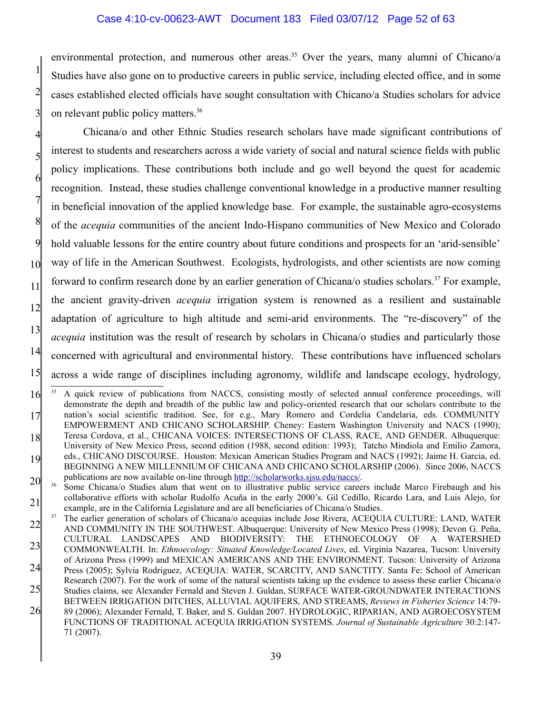#### Case 4:10-cv-00623-AWT Document 183 Filed 03/07/12 Page 52 of 63

environmental protection, and numerous other areas.<sup>[35](#page-51-0)</sup> Over the years, many alumni of Chicano/a Studies have also gone on to productive careers in public service, including elected office, and in some cases established elected officials have sought consultation with Chicano/a Studies scholars for advice on relevant public policy matters.<sup>[36](#page-51-1)</sup>

1

2

3

Chicana/o and other Ethnic Studies research scholars have made significant contributions of interest to students and researchers across a wide variety of social and natural science fields with public policy implications. These contributions both include and go well beyond the quest for academic recognition. Instead, these studies challenge conventional knowledge in a productive manner resulting in beneficial innovation of the applied knowledge base. For example, the sustainable agro-ecosystems of the *acequia* communities of the ancient Indo-Hispano communities of New Mexico and Colorado hold valuable lessons for the entire country about future conditions and prospects for an 'arid-sensible' way of life in the American Southwest. Ecologists, hydrologists, and other scientists are now coming forward to confirm research done by an earlier generation of Chicana/o studies scholars.<sup>[37](#page-51-2)</sup> For example, the ancient gravity-driven *acequia* irrigation system is renowned as a resilient and sustainable adaptation of agriculture to high altitude and semi-arid environments. The "re-discovery" of the *acequia* institution was the result of research by scholars in Chicana/o studies and particularly those concerned with agricultural and environmental history. These contributions have influenced scholars across a wide range of disciplines including agronomy, wildlife and landscape ecology, hydrology, 4 5 6 7 8 9 10 11 12 13 14 15

<span id="page-51-0"></span><sup>35</sup> A quick review of publications from NACCS, consisting mostly of selected annual conference proceedings, will demonstrate the depth and breadth of the public law and policy-oriented research that our scholars contribute to the nation's social scientific tradition. See, for e.g., Mary Romero and Cordelia Candelaria, eds. COMMUNITY EMPOWERMENT AND CHICANO SCHOLARSHIP. Cheney: Eastern Washington University and NACS (1990); Teresa Cordova, et al., CHICANA VOICES: INTERSECTIONS OF CLASS, RACE, AND GENDER. Albuquerque: University of New Mexico Press, second edition (1988, second edition: 1993); Tatcho Mindiola and Emilio Zamora, eds., CHICANO DISCOURSE. Houston: Mexican American Studies Program and NACS (1992); Jaime H. Garcia, ed. BEGINNING A NEW MILLENNIUM OF CHICANA AND CHICANO SCHOLARSHIP (2006). Since 2006, NACCS publications are now available on-line through [http://scholarworks.sjsu.edu/naccs/.](http://scholarworks.sjsu.edu/naccs/) 16 17 18 19

<span id="page-51-1"></span>Some Chicana/o Studies alum that went on to illustrative public service careers include Marco Firebaugh and his collaborative efforts with scholar Rudolfo Acuña in the early 2000's. Gil Cedillo, Ricardo Lara, and Luis Alejo, for example, are in the California Legislature and are all beneficiaries of Chicana/o Studies. 20 21

<span id="page-51-2"></span><sup>37</sup> The earlier generation of scholars of Chicana/o acequias include Jose Rivera, ACEQUIA CULTURE: LAND, WATER AND COMMUNITY IN THE SOUTHWEST. Albuquerque: University of New Mexico Press (1998); Devon G. Peña, CULTURAL LANDSCAPES AND BIODIVERSITY: THE ETHNOECOLOGY OF A WATERSHED COMMONWEALTH. In: *Ethnoecology: Situated Knowledge/Located Lives*, ed. Virginia Nazarea, Tucson: University of Arizona Press (1999) and MEXICAN AMERICANS AND THE ENVIRONMENT. Tucson: University of Arizona Press (2005); Sylvia Rodriguez, ACEQUIA: WATER, SCARCITY, AND SANCTITY. Santa Fe: School of American Research (2007). For the work of some of the natural scientists taking up the evidence to assess these earlier Chicana/o Studies claims, see Alexander Fernald and Steven J. Guldan, SURFACE WATER-GROUNDWATER INTERACTIONS BETWEEN IRRIGATION DITCHES, ALLUVIAL AQUIFERS, AND STREAMS, *Reviews in Fisheries Science* 14:79- 89 (2006); Alexander Fernald, T. Baker, and S. Guldan 2007. HYDROLOGIC, RIPARIAN, AND AGROECOSYSTEM FUNCTIONS OF TRADITIONAL ACEQUIA IRRIGATION SYSTEMS. *Journal of Sustainable Agriculture* 30:2:147- 71 (2007). 22 23 24 25 26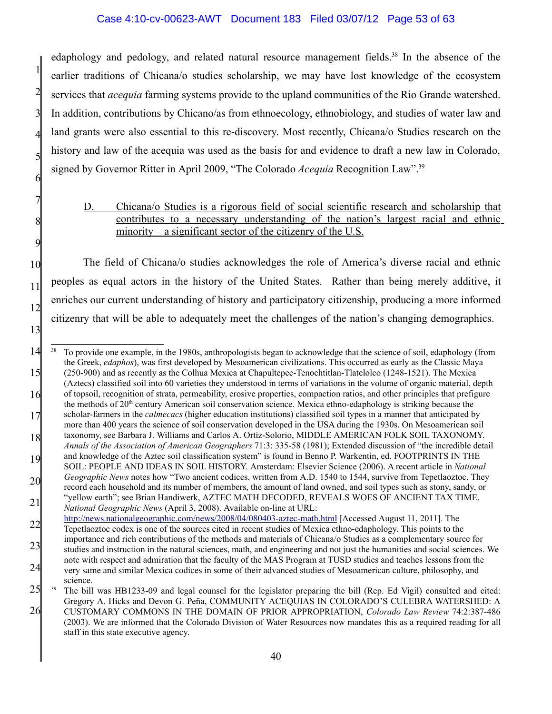### Case 4:10-cv-00623-AWT Document 183 Filed 03/07/12 Page 53 of 63

edaphology and pedology, and related natural resource management fields.<sup>[38](#page-52-0)</sup> In the absence of the earlier traditions of Chicana/o studies scholarship, we may have lost knowledge of the ecosystem services that *acequia* farming systems provide to the upland communities of the Rio Grande watershed. In addition, contributions by Chicano/as from ethnoecology, ethnobiology, and studies of water law and land grants were also essential to this re-discovery. Most recently, Chicana/o Studies research on the history and law of the acequia was used as the basis for and evidence to draft a new law in Colorado, signed by Governor Ritter in April 2009, "The Colorado *Acequia* Recognition Law".<sup>[39](#page-52-1)</sup>

### D. Chicana/o Studies is a rigorous field of social scientific research and scholarship that contributes to a necessary understanding of the nation's largest racial and ethnic minority – a significant sector of the citizenry of the U.S.

The field of Chicana/o studies acknowledges the role of America's diverse racial and ethnic peoples as equal actors in the history of the United States. Rather than being merely additive, it enriches our current understanding of history and participatory citizenship, producing a more informed citizenry that will be able to adequately meet the challenges of the nation's changing demographics.

<span id="page-52-0"></span><sup>38</sup> To provide one example, in the 1980s, anthropologists began to acknowledge that the science of soil, edaphology (from the Greek, *edaphos*), was first developed by Mesoamerican civilizations. This occurred as early as the Classic Maya (250-900) and as recently as the Colhua Mexica at Chapultepec-Tenochtitlan-Tlatelolco (1248-1521). The Mexica (Aztecs) classified soil into 60 varieties they understood in terms of variations in the volume of organic material, depth of topsoil, recognition of strata, permeability, erosive properties, compaction ratios, and other principles that prefigure

- the methods of  $20<sup>th</sup>$  century American soil conservation science. Mexica ethno-edaphology is striking because the scholar-farmers in the *calmecacs* (higher education institutions) classified soil types in a manner that anticipated by more than 400 years the science of soil conservation developed in the USA during the 1930s. On Mesoamerican soil taxonomy, see Barbara J. Williams and Carlos A. Ortíz-Solorio, MIDDLE AMERICAN FOLK SOIL TAXONOMY. *Annals of the Association of American Geographers* 71:3: 335-58 (1981); Extended discussion of "the incredible detail 17 18
- and knowledge of the Aztec soil classification system" is found in Benno P. Warkentin, ed. FOOTPRINTS IN THE SOIL: PEOPLE AND IDEAS IN SOIL HISTORY. Amsterdam: Elsevier Science (2006). A recent article in *National Geographic News* notes how "Two ancient codices, written from A.D. 1540 to 1544, survive from Tepetlaoztoc. They record each household and its number of members, the amount of land owned, and soil types such as stony, sandy, or "yellow earth"; see Brian Handiwerk, AZTEC MATH DECODED, REVEALS WOES OF ANCIENT TAX TIME. 19 20

*National Geographic News* (April 3, 2008). Available on-line at URL: <http://news.nationalgeographic.com/news/2008/04/080403-aztec-math.html>[Accessed August 11, 2011]. The Tepetlaoztoc codex is one of the sources cited in recent studies of Mexica ethno-edaphology. This points to the importance and rich contributions of the methods and materials of Chicana/o Studies as a complementary source for studies and instruction in the natural sciences, math, and engineering and not just the humanities and social sciences. We note with respect and admiration that the faculty of the MAS Program at TUSD studies and teaches lessons from the 22 23

very same and similar Mexica codices in some of their advanced studies of Mesoamerican culture, philosophy, and science. 24

<span id="page-52-1"></span><sup>39</sup> The bill was HB1233-09 and legal counsel for the legislator preparing the bill (Rep. Ed Vigil) consulted and cited: Gregory A. Hicks and Devon G. Peña, COMMUNITY ACEQUIAS IN COLORADO'S CULEBRA WATERSHED: A CUSTOMARY COMMONS IN THE DOMAIN OF PRIOR APPROPRIATION, *Colorado Law Review* 74:2:387-486 (2003). We are informed that the Colorado Division of Water Resources now mandates this as a required reading for all staff in this state executive agency. 25 26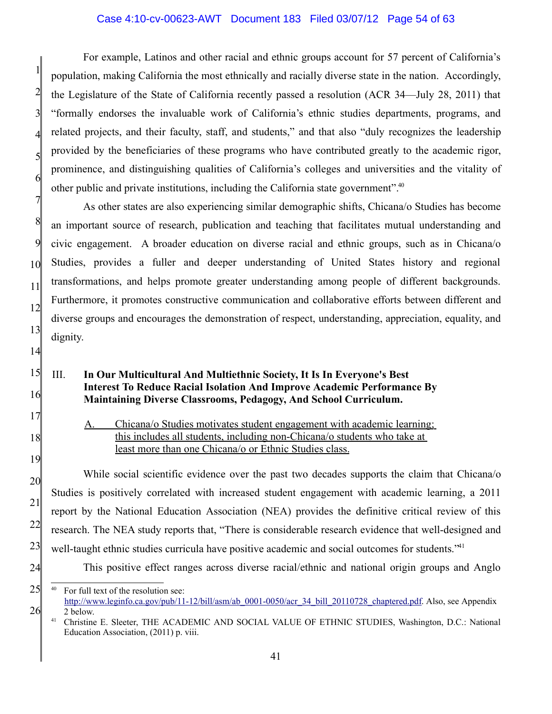#### Case 4:10-cv-00623-AWT Document 183 Filed 03/07/12 Page 54 of 63

For example, Latinos and other racial and ethnic groups account for 57 percent of California's population, making California the most ethnically and racially diverse state in the nation. Accordingly, the Legislature of the State of California recently passed a resolution (ACR 34—July 28, 2011) that "formally endorses the invaluable work of California's ethnic studies departments, programs, and related projects, and their faculty, staff, and students," and that also "duly recognizes the leadership provided by the beneficiaries of these programs who have contributed greatly to the academic rigor, prominence, and distinguishing qualities of California's colleges and universities and the vitality of other public and private institutions, including the California state government".[40](#page-53-0)

1

2

3

4

5

6

7

9

10

11

13

14

17

18

19

20

21

22

23

24

As other states are also experiencing similar demographic shifts, Chicana/o Studies has become an important source of research, publication and teaching that facilitates mutual understanding and civic engagement. A broader education on diverse racial and ethnic groups, such as in Chicana/o Studies, provides a fuller and deeper understanding of United States history and regional transformations, and helps promote greater understanding among people of different backgrounds. Furthermore, it promotes constructive communication and collaborative efforts between different and diverse groups and encourages the demonstration of respect, understanding, appreciation, equality, and dignity. 8 12

#### III. **In Our Multicultural And Multiethnic Society, It Is In Everyone's Best Interest To Reduce Racial Isolation And Improve Academic Performance By Maintaining Diverse Classrooms, Pedagogy, And School Curriculum.** 15 16

### A. Chicana/o Studies motivates student engagement with academic learning; this includes all students, including non-Chicana/o students who take at least more than one Chicana/o or Ethnic Studies class.

While social scientific evidence over the past two decades supports the claim that Chicana/o Studies is positively correlated with increased student engagement with academic learning, a 2011 report by the National Education Association (NEA) provides the definitive critical review of this research. The NEA study reports that, "There is considerable research evidence that well-designed and well-taught ethnic studies curricula have positive academic and social outcomes for students.<sup>"[41](#page-53-1)</sup>

<span id="page-53-0"></span>This positive effect ranges across diverse racial/ethnic and national origin groups and Anglo

<sup>40</sup> For full text of the resolution see: [http://www.leginfo.ca.gov/pub/11-12/bill/asm/ab\\_0001-0050/acr\\_34\\_bill\\_20110728\\_chaptered.pdf.](www.leginfo.ca.gov/pub/11-12/bill/asm/ab_0001-0050/acr_34_bill_20110728_chaptered.pdf) Also, see Appendix 2 below. 25 26

<span id="page-53-1"></span><sup>&</sup>lt;sup>41</sup> Christine E. Sleeter, THE ACADEMIC AND SOCIAL VALUE OF ETHNIC STUDIES, Washington, D.C.: National Education Association, (2011) p. viii.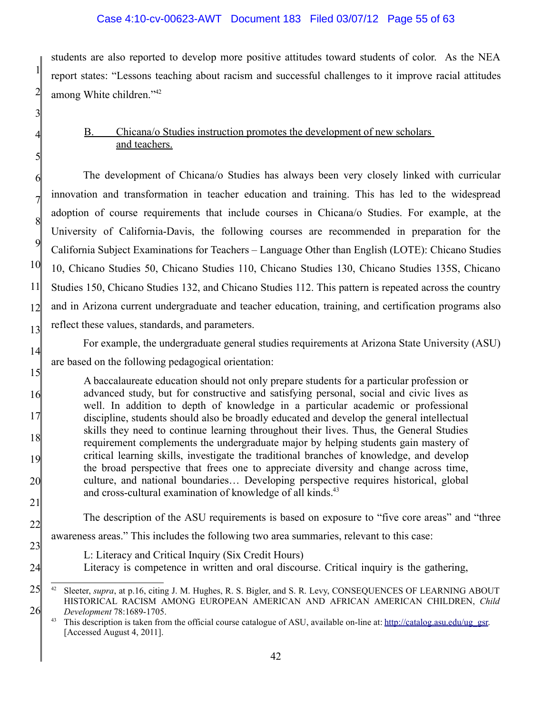### Case 4:10-cv-00623-AWT Document 183 Filed 03/07/12 Page 55 of 63

students are also reported to develop more positive attitudes toward students of color. As the NEA report states: "Lessons teaching about racism and successful challenges to it improve racial attitudes among White children."[42](#page-54-0)

## B. Chicana/o Studies instruction promotes the development of new scholars and teachers.

The development of Chicana/o Studies has always been very closely linked with curricular innovation and transformation in teacher education and training. This has led to the widespread adoption of course requirements that include courses in Chicana/o Studies. For example, at the University of California-Davis, the following courses are recommended in preparation for the California Subject Examinations for Teachers – Language Other than English (LOTE): Chicano Studies 10, Chicano Studies 50, Chicano Studies 110, Chicano Studies 130, Chicano Studies 135S, Chicano Studies 150, Chicano Studies 132, and Chicano Studies 112. This pattern is repeated across the country and in Arizona current undergraduate and teacher education, training, and certification programs also reflect these values, standards, and parameters.

For example, the undergraduate general studies requirements at Arizona State University (ASU) are based on the following pedagogical orientation:

A baccalaureate education should not only prepare students for a particular profession or advanced study, but for constructive and satisfying personal, social and civic lives as well. In addition to depth of knowledge in a particular academic or professional discipline, students should also be broadly educated and develop the general intellectual skills they need to continue learning throughout their lives. Thus, the General Studies requirement complements the undergraduate major by helping students gain mastery of critical learning skills, investigate the traditional branches of knowledge, and develop the broad perspective that frees one to appreciate diversity and change across time, culture, and national boundaries… Developing perspective requires historical, global and cross-cultural examination of knowledge of all kinds.<sup>[43](#page-54-1)</sup>

The description of the ASU requirements is based on exposure to "five core areas" and "three awareness areas." This includes the following two area summaries, relevant to this case: 22 23

- L: Literacy and Critical Inquiry (Six Credit Hours)
- <span id="page-54-0"></span>Literacy is competence in written and oral discourse. Critical inquiry is the gathering,

<sup>&</sup>lt;sup>42</sup> Sleeter, *supra*, at p.16, citing J. M. Hughes, R. S. Bigler, and S. R. Levy, CONSEQUENCES OF LEARNING ABOUT HISTORICAL RACISM AMONG EUROPEAN AMERICAN AND AFRICAN AMERICAN CHILDREN, *Child Development* 78:1689-1705. 25 26

<span id="page-54-1"></span><sup>43</sup> This description is taken from the official course catalogue of ASU, available on-line at: [http://catalog.asu.edu/ug\\_gsr.](http://catalog.asu.edu/ug_gsr) [Accessed August 4, 2011].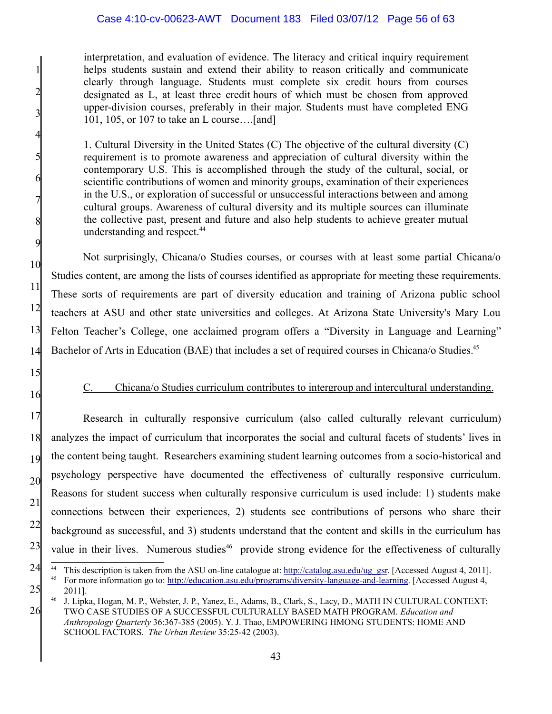### Case 4:10-cv-00623-AWT Document 183 Filed 03/07/12 Page 56 of 63

interpretation, and evaluation of evidence. The literacy and critical inquiry requirement helps students sustain and extend their ability to reason critically and communicate clearly through language. Students must complete six credit hours from courses designated as L, at least three credit hours of which must be chosen from approved upper-division courses, preferably in their major. Students must have completed ENG 101, 105, or 107 to take an L course….[and]

1

2

3

4

5

6

7

8

9

10

11

12

13

14

15

16

1. Cultural Diversity in the United States (C) The objective of the cultural diversity (C) requirement is to promote awareness and appreciation of cultural diversity within the contemporary U.S. This is accomplished through the study of the cultural, social, or scientific contributions of women and minority groups, examination of their experiences in the U.S., or exploration of successful or unsuccessful interactions between and among cultural groups. Awareness of cultural diversity and its multiple sources can illuminate the collective past, present and future and also help students to achieve greater mutual understanding and respect.<sup>[44](#page-55-0)</sup>

Not surprisingly, Chicana/o Studies courses, or courses with at least some partial Chicana/o Studies content, are among the lists of courses identified as appropriate for meeting these requirements. These sorts of requirements are part of diversity education and training of Arizona public school teachers at ASU and other state universities and colleges. At Arizona State University's Mary Lou Felton Teacher's College, one acclaimed program offers a "Diversity in Language and Learning" Bachelor of Arts in Education (BAE) that includes a set of required courses in Chicana/o Studies.<sup>[45](#page-55-1)</sup>

## C. Chicana/o Studies curriculum contributes to intergroup and intercultural understanding.

Research in culturally responsive curriculum (also called culturally relevant curriculum) analyzes the impact of curriculum that incorporates the social and cultural facets of students' lives in the content being taught. Researchers examining student learning outcomes from a socio-historical and psychology perspective have documented the effectiveness of culturally responsive curriculum. Reasons for student success when culturally responsive curriculum is used include: 1) students make connections between their experiences, 2) students see contributions of persons who share their background as successful, and 3) students understand that the content and skills in the curriculum has value in their lives. Numerous studies<sup>[46](#page-55-2)</sup> provide strong evidence for the effectiveness of culturally 17 18 19 20 21 22 23

<span id="page-55-1"></span><span id="page-55-0"></span><sup>&</sup>lt;sup>44</sup> This description is taken from the ASU on-line catalogue at:  $\frac{http://catalog_asu.edu/ug_gsr.}$  [Accessed August 4, 2011]. <sup>45</sup> For more information go to: [http://education.asu.edu/programs/diversity-language-and-learning.](http://education.asu.edu/programs/diversity-language-and-learning) [Accessed August 4, 2011]. 24 25

<span id="page-55-2"></span><sup>46</sup> J. Lipka, Hogan, M. P., Webster, J. P., Yanez, E., Adams, B., Clark, S., Lacy, D., MATH IN CULTURAL CONTEXT: TWO CASE STUDIES OF A SUCCESSFUL CULTURALLY BASED MATH PROGRAM. *Education and Anthropology Quarterly* 36:367-385 (2005). Y. J. Thao, EMPOWERING HMONG STUDENTS: HOME AND SCHOOL FACTORS. *The Urban Review* 35:25-42 (2003). 26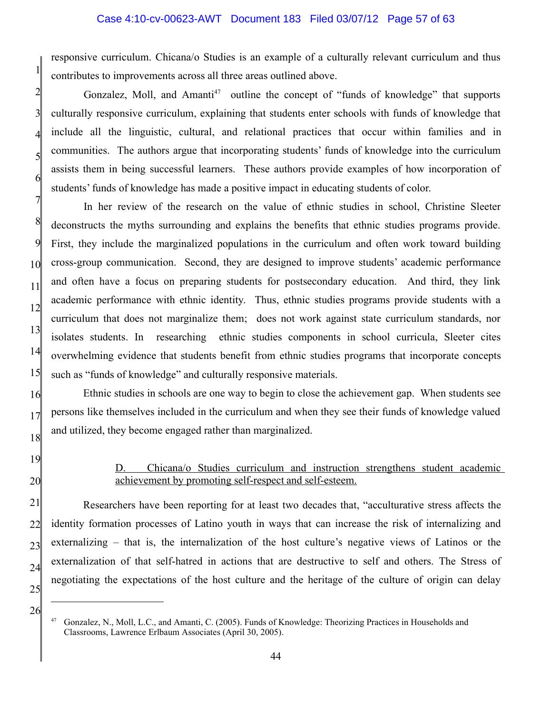responsive curriculum. Chicana/o Studies is an example of a culturally relevant curriculum and thus contributes to improvements across all three areas outlined above.

Gonzalez, Moll, and Amanti<sup>[47](#page-56-0)</sup> outline the concept of "funds of knowledge" that supports culturally responsive curriculum, explaining that students enter schools with funds of knowledge that include all the linguistic, cultural, and relational practices that occur within families and in communities. The authors argue that incorporating students' funds of knowledge into the curriculum assists them in being successful learners. These authors provide examples of how incorporation of students' funds of knowledge has made a positive impact in educating students of color.

In her review of the research on the value of ethnic studies in school, Christine Sleeter deconstructs the myths surrounding and explains the benefits that ethnic studies programs provide. First, they include the marginalized populations in the curriculum and often work toward building cross-group communication. Second, they are designed to improve students' academic performance and often have a focus on preparing students for postsecondary education. And third, they link academic performance with ethnic identity. Thus, ethnic studies programs provide students with a curriculum that does not marginalize them; does not work against state curriculum standards, nor isolates students. In researching ethnic studies components in school curricula, Sleeter cites overwhelming evidence that students benefit from ethnic studies programs that incorporate concepts such as "funds of knowledge" and culturally responsive materials. 7 8 9 10 11 12 13 14 15

Ethnic studies in schools are one way to begin to close the achievement gap. When students see persons like themselves included in the curriculum and when they see their funds of knowledge valued and utilized, they become engaged rather than marginalized. 16 17 18

### D. Chicana/o Studies curriculum and instruction strengthens student academic achievement by promoting self-respect and self-esteem.

Researchers have been reporting for at least two decades that, "acculturative stress affects the identity formation processes of Latino youth in ways that can increase the risk of internalizing and externalizing – that is, the internalization of the host culture's negative views of Latinos or the externalization of that self-hatred in actions that are destructive to self and others. The Stress of negotiating the expectations of the host culture and the heritage of the culture of origin can delay 21

19

20

22

23

24

25

1

2

3

4

5

<sup>26</sup>

<span id="page-56-0"></span><sup>47</sup> Gonzalez, N., Moll, L.C., and Amanti, C. (2005). Funds of Knowledge: Theorizing Practices in Households and Classrooms, Lawrence Erlbaum Associates (April 30, 2005).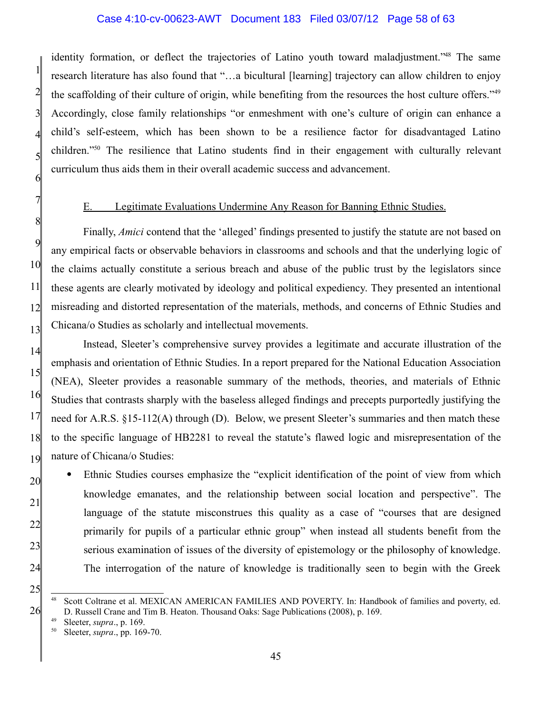#### Case 4:10-cv-00623-AWT Document 183 Filed 03/07/12 Page 58 of 63

identity formation, or deflect the trajectories of Latino youth toward maladjustment."[48](#page-57-0) The same research literature has also found that "…a bicultural [learning] trajectory can allow children to enjoy the scaffolding of their culture of origin, while benefiting from the resources the host culture offers."[49](#page-57-1) Accordingly, close family relationships "or enmeshment with one's culture of origin can enhance a child's self-esteem, which has been shown to be a resilience factor for disadvantaged Latino children."[50](#page-57-2) The resilience that Latino students find in their engagement with culturally relevant curriculum thus aids them in their overall academic success and advancement.

### E. Legitimate Evaluations Undermine Any Reason for Banning Ethnic Studies.

Finally, *Amici* contend that the 'alleged' findings presented to justify the statute are not based on any empirical facts or observable behaviors in classrooms and schools and that the underlying logic of the claims actually constitute a serious breach and abuse of the public trust by the legislators since these agents are clearly motivated by ideology and political expediency. They presented an intentional misreading and distorted representation of the materials, methods, and concerns of Ethnic Studies and Chicana/o Studies as scholarly and intellectual movements.

Instead, Sleeter's comprehensive survey provides a legitimate and accurate illustration of the emphasis and orientation of Ethnic Studies. In a report prepared for the National Education Association (NEA), Sleeter provides a reasonable summary of the methods, theories, and materials of Ethnic Studies that contrasts sharply with the baseless alleged findings and precepts purportedly justifying the need for A.R.S. §15-112(A) through (D). Below, we present Sleeter's summaries and then match these to the specific language of HB2281 to reveal the statute's flawed logic and misrepresentation of the nature of Chicana/o Studies: 14 15 16 18 19

- Ethnic Studies courses emphasize the "explicit identification of the point of view from which knowledge emanates, and the relationship between social location and perspective". The language of the statute misconstrues this quality as a case of "courses that are designed primarily for pupils of a particular ethnic group" when instead all students benefit from the serious examination of issues of the diversity of epistemology or the philosophy of knowledge. The interrogation of the nature of knowledge is traditionally seen to begin with the Greek
- 25 26

1

2

3

4

5

6

7

8

9

10

11

12

13

17

20

21

22

23

<span id="page-57-0"></span><sup>48</sup> Scott Coltrane et al. MEXICAN AMERICAN FAMILIES AND POVERTY. In: Handbook of families and poverty, ed. D. Russell Crane and Tim B. Heaton. Thousand Oaks: Sage Publications (2008), p. 169.

 $^{49}$  Sleeter, *supra*., p. 169.<br><sup>50</sup> Sleeter *supra* pp. 169

<span id="page-57-2"></span><span id="page-57-1"></span><sup>50</sup> Sleeter, *supra*., pp. 169-70.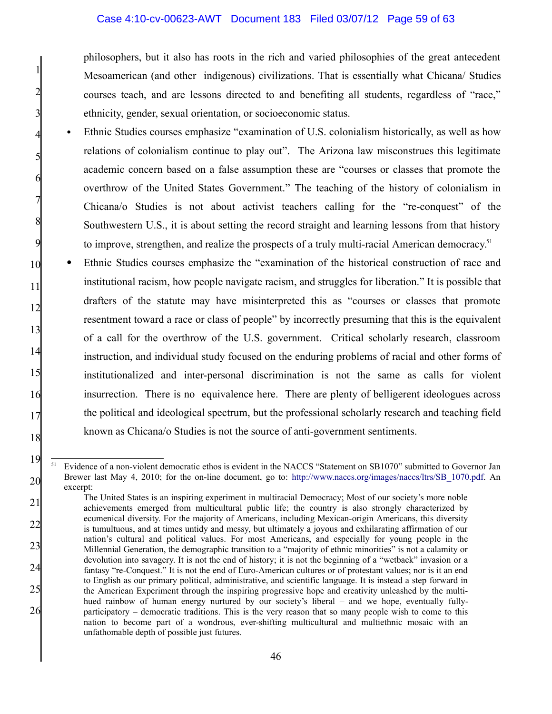#### Case 4:10-cv-00623-AWT Document 183 Filed 03/07/12 Page 59 of 63

1

2

3

4

5

6

7

8

9

philosophers, but it also has roots in the rich and varied philosophies of the great antecedent Mesoamerican (and other indigenous) civilizations. That is essentially what Chicana/ Studies courses teach, and are lessons directed to and benefiting all students, regardless of "race," ethnicity, gender, sexual orientation, or socioeconomic status.

- Ethnic Studies courses emphasize "examination of U.S. colonialism historically, as well as how relations of colonialism continue to play out". The Arizona law misconstrues this legitimate academic concern based on a false assumption these are "courses or classes that promote the overthrow of the United States Government." The teaching of the history of colonialism in Chicana/o Studies is not about activist teachers calling for the "re-conquest" of the Southwestern U.S., it is about setting the record straight and learning lessons from that history to improve, strengthen, and realize the prospects of a truly multi-racial American democracy.<sup>[51](#page-58-0)</sup>
- Ethnic Studies courses emphasize the "examination of the historical construction of race and institutional racism, how people navigate racism, and struggles for liberation." It is possible that drafters of the statute may have misinterpreted this as "courses or classes that promote resentment toward a race or class of people" by incorrectly presuming that this is the equivalent of a call for the overthrow of the U.S. government. Critical scholarly research, classroom instruction, and individual study focused on the enduring problems of racial and other forms of institutionalized and inter-personal discrimination is not the same as calls for violent insurrection. There is no equivalence here. There are plenty of belligerent ideologues across the political and ideological spectrum, but the professional scholarly research and teaching field known as Chicana/o Studies is not the source of anti-government sentiments. 10 11 12 13 14 15 16 17 18

<span id="page-58-0"></span>Evidence of a non-violent democratic ethos is evident in the NACCS "Statement on SB1070" submitted to Governor Jan Brewer last May 4, 2010; for the on-line document, go to: [http://www.naccs.org/images/naccs/ltrs/SB\\_1070.pdf.](www.naccs.org/images/naccs/ltrs/SB_1070.pdf) An excerpt: 19 20

The United States is an inspiring experiment in multiracial Democracy; Most of our society's more noble achievements emerged from multicultural public life; the country is also strongly characterized by ecumenical diversity. For the majority of Americans, including Mexican-origin Americans, this diversity is tumultuous, and at times untidy and messy, but ultimately a joyous and exhilarating affirmation of our nation's cultural and political values. For most Americans, and especially for young people in the Millennial Generation, the demographic transition to a "majority of ethnic minorities" is not a calamity or devolution into savagery. It is not the end of history; it is not the beginning of a "wetback" invasion or a fantasy "re-Conquest." It is not the end of Euro-American cultures or of protestant values; nor is it an end to English as our primary political, administrative, and scientific language. It is instead a step forward in the American Experiment through the inspiring progressive hope and creativity unleashed by the multihued rainbow of human energy nurtured by our society's liberal – and we hope, eventually fullyparticipatory – democratic traditions. This is the very reason that so many people wish to come to this nation to become part of a wondrous, ever-shifting multicultural and multiethnic mosaic with an unfathomable depth of possible just futures. 21 22 23 24 25 26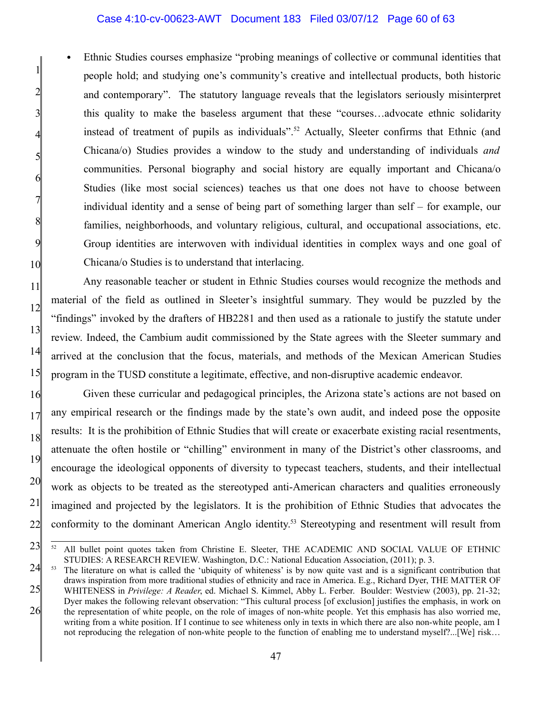#### Case 4:10-cv-00623-AWT Document 183 Filed 03/07/12 Page 60 of 63

 Ethnic Studies courses emphasize "probing meanings of collective or communal identities that people hold; and studying one's community's creative and intellectual products, both historic and contemporary". The statutory language reveals that the legislators seriously misinterpret this quality to make the baseless argument that these "courses…advocate ethnic solidarity instead of treatment of pupils as individuals".<sup>[52](#page-59-0)</sup> Actually, Sleeter confirms that Ethnic (and Chicana/o) Studies provides a window to the study and understanding of individuals *and* communities. Personal biography and social history are equally important and Chicana/o Studies (like most social sciences) teaches us that one does not have to choose between individual identity and a sense of being part of something larger than self – for example, our families, neighborhoods, and voluntary religious, cultural, and occupational associations, etc. Group identities are interwoven with individual identities in complex ways and one goal of Chicana/o Studies is to understand that interlacing.

Any reasonable teacher or student in Ethnic Studies courses would recognize the methods and material of the field as outlined in Sleeter's insightful summary. They would be puzzled by the "findings" invoked by the drafters of HB2281 and then used as a rationale to justify the statute under review. Indeed, the Cambium audit commissioned by the State agrees with the Sleeter summary and arrived at the conclusion that the focus, materials, and methods of the Mexican American Studies program in the TUSD constitute a legitimate, effective, and non-disruptive academic endeavor.

Given these curricular and pedagogical principles, the Arizona state's actions are not based on any empirical research or the findings made by the state's own audit, and indeed pose the opposite results: It is the prohibition of Ethnic Studies that will create or exacerbate existing racial resentments, attenuate the often hostile or "chilling" environment in many of the District's other classrooms, and encourage the ideological opponents of diversity to typecast teachers, students, and their intellectual work as objects to be treated as the stereotyped anti-American characters and qualities erroneously imagined and projected by the legislators. It is the prohibition of Ethnic Studies that advocates the conformity to the dominant American Anglo identity.<sup>[53](#page-59-1)</sup> Stereotyping and resentment will result from

1

2

<span id="page-59-1"></span><span id="page-59-0"></span>All bullet point quotes taken from Christine E. Sleeter, THE ACADEMIC AND SOCIAL VALUE OF ETHNIC STUDIES: A RESEARCH REVIEW. Washington, D.C.: National Education Association, (2011); p. 3.

<sup>&</sup>lt;sup>53</sup> The literature on what is called the 'ubiquity of whiteness' is by now quite vast and is a significant contribution that draws inspiration from more traditional studies of ethnicity and race in America. E.g., Richard Dyer, THE MATTER OF WHITENESS in *Privilege: A Reader*, ed. Michael S. Kimmel, Abby L. Ferber. Boulder: Westview (2003), pp. 21-32; Dyer makes the following relevant observation: "This cultural process [of exclusion] justifies the emphasis, in work on the representation of white people, on the role of images of non-white people. Yet this emphasis has also worried me, writing from a white position. If I continue to see whiteness only in texts in which there are also non-white people, am I not reproducing the relegation of non-white people to the function of enabling me to understand myself?...[We] risk… 24 25 26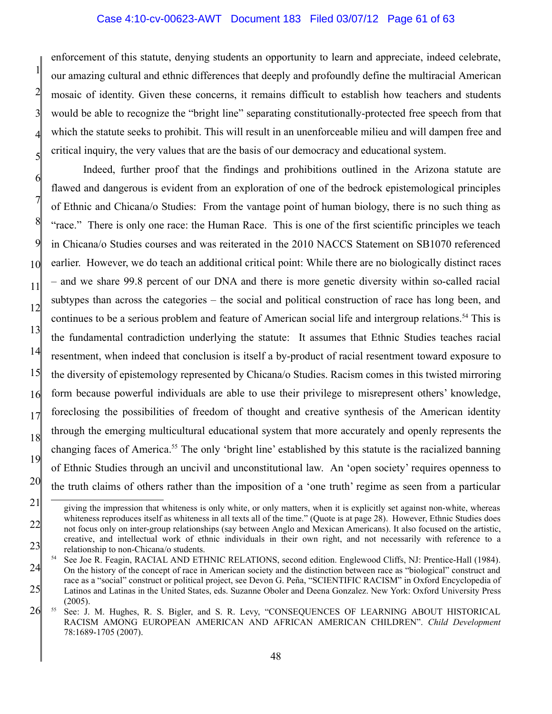#### Case 4:10-cv-00623-AWT Document 183 Filed 03/07/12 Page 61 of 63

enforcement of this statute, denying students an opportunity to learn and appreciate, indeed celebrate, our amazing cultural and ethnic differences that deeply and profoundly define the multiracial American mosaic of identity. Given these concerns, it remains difficult to establish how teachers and students would be able to recognize the "bright line" separating constitutionally-protected free speech from that which the statute seeks to prohibit. This will result in an unenforceable milieu and will dampen free and critical inquiry, the very values that are the basis of our democracy and educational system.

1

2

3

4

5

Indeed, further proof that the findings and prohibitions outlined in the Arizona statute are flawed and dangerous is evident from an exploration of one of the bedrock epistemological principles of Ethnic and Chicana/o Studies: From the vantage point of human biology, there is no such thing as "race." There is only one race: the Human Race. This is one of the first scientific principles we teach in Chicana/o Studies courses and was reiterated in the 2010 NACCS Statement on SB1070 referenced earlier. However, we do teach an additional critical point: While there are no biologically distinct races – and we share 99.8 percent of our DNA and there is more genetic diversity within so-called racial subtypes than across the categories – the social and political construction of race has long been, and continues to be a serious problem and feature of American social life and intergroup relations.<sup>[54](#page-60-0)</sup> This is the fundamental contradiction underlying the statute: It assumes that Ethnic Studies teaches racial resentment, when indeed that conclusion is itself a by-product of racial resentment toward exposure to the diversity of epistemology represented by Chicana/o Studies. Racism comes in this twisted mirroring form because powerful individuals are able to use their privilege to misrepresent others' knowledge, foreclosing the possibilities of freedom of thought and creative synthesis of the American identity through the emerging multicultural educational system that more accurately and openly represents the changing faces of America.[55](#page-60-1) The only 'bright line' established by this statute is the racialized banning of Ethnic Studies through an uncivil and unconstitutional law. An 'open society' requires openness to the truth claims of others rather than the imposition of a 'one truth' regime as seen from a particular 6 7 8 9 10 11 12 13 14 15 16 17 18 19 20

giving the impression that whiteness is only white, or only matters, when it is explicitly set against non-white, whereas whiteness reproduces itself as whiteness in all texts all of the time." (Quote is at page 28). However, Ethnic Studies does not focus only on inter-group relationships (say between Anglo and Mexican Americans). It also focused on the artistic, creative, and intellectual work of ethnic individuals in their own right, and not necessarily with reference to a relationship to non-Chicana/o students. 21 22 23

<span id="page-60-0"></span><sup>&</sup>lt;sup>54</sup> See Joe R. Feagin, RACIAL AND ETHNIC RELATIONS, second edition. Englewood Cliffs, NJ: Prentice-Hall (1984). On the history of the concept of race in American society and the distinction between race as "biological" construct and race as a "social" construct or political project, see Devon G. Peña, "SCIENTIFIC RACISM" in Oxford Encyclopedia of Latinos and Latinas in the United States, eds. Suzanne Oboler and Deena Gonzalez. New York: Oxford University Press (2005). 24 25

<span id="page-60-1"></span><sup>55</sup> See: J. M. Hughes, R. S. Bigler, and S. R. Levy, "CONSEQUENCES OF LEARNING ABOUT HISTORICAL RACISM AMONG EUROPEAN AMERICAN AND AFRICAN AMERICAN CHILDREN". *Child Development* 78:1689-1705 (2007). 26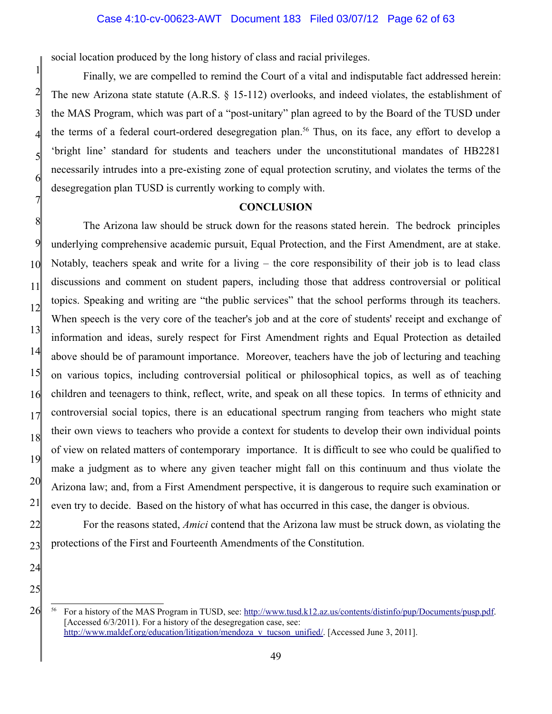#### Case 4:10-cv-00623-AWT Document 183 Filed 03/07/12 Page 62 of 63

social location produced by the long history of class and racial privileges.

Finally, we are compelled to remind the Court of a vital and indisputable fact addressed herein: The new Arizona state statute (A.R.S. § 15-112) overlooks, and indeed violates, the establishment of the MAS Program, which was part of a "post-unitary" plan agreed to by the Board of the TUSD under the terms of a federal court-ordered desegregation plan.<sup>[56](#page-61-0)</sup> Thus, on its face, any effort to develop a 'bright line' standard for students and teachers under the unconstitutional mandates of HB2281 necessarily intrudes into a pre-existing zone of equal protection scrutiny, and violates the terms of the desegregation plan TUSD is currently working to comply with.

#### **CONCLUSION**

The Arizona law should be struck down for the reasons stated herein. The bedrock principles underlying comprehensive academic pursuit, Equal Protection, and the First Amendment, are at stake. Notably, teachers speak and write for a living – the core responsibility of their job is to lead class discussions and comment on student papers, including those that address controversial or political topics. Speaking and writing are "the public services" that the school performs through its teachers. When speech is the very core of the teacher's job and at the core of students' receipt and exchange of information and ideas, surely respect for First Amendment rights and Equal Protection as detailed above should be of paramount importance. Moreover, teachers have the job of lecturing and teaching on various topics, including controversial political or philosophical topics, as well as of teaching children and teenagers to think, reflect, write, and speak on all these topics. In terms of ethnicity and controversial social topics, there is an educational spectrum ranging from teachers who might state their own views to teachers who provide a context for students to develop their own individual points of view on related matters of contemporary importance. It is difficult to see who could be qualified to make a judgment as to where any given teacher might fall on this continuum and thus violate the Arizona law; and, from a First Amendment perspective, it is dangerous to require such examination or even try to decide. Based on the history of what has occurred in this case, the danger is obvious. 8 9 10 11 12 13 14 15 16 17 18 19 20 21

For the reasons stated, *Amici* contend that the Arizona law must be struck down, as violating the protections of the First and Fourteenth Amendments of the Constitution. 22 23

25

24

1

2

3

4

5

6

<span id="page-61-0"></span><sup>56</sup> For a history of the MAS Program in TUSD, see: [http://www.tusd.k12.az.us/contents/distinfo/pup/Documents/pusp.pdf.](www.tusd.k12.az.us/contents/distinfo/pup/Documents/pusp.pdf) [Accessed 6/3/2011]. For a history of the desegregation case, see: [http://www.maldef.org/education/litigation/mendoza\\_v\\_tucson\\_unified/.](http://www.maldef.org/education/litigation/mendoza_v_tucson_unified/) [Accessed June 3, 2011]. 26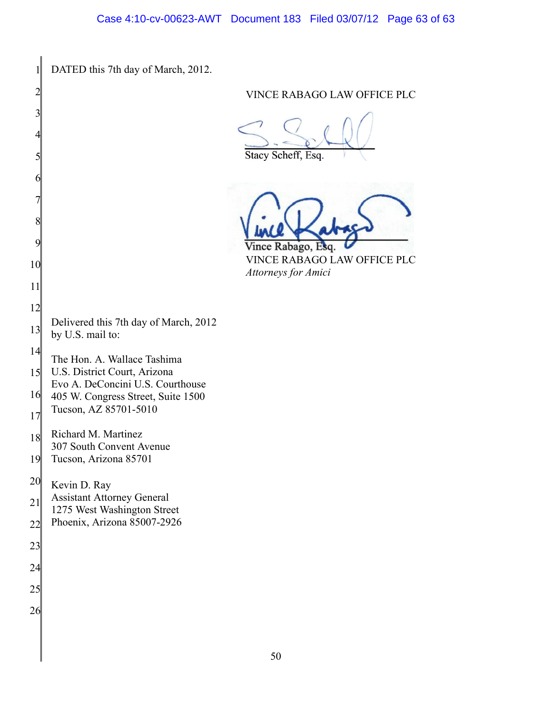DATED this 7th day of March, 2012. 1 2 VINCE RABAGO LAW OFFICE PLC 3 4 Stacy Scheff, Esq. 5 6 7 8 9 Vince Rabago. VINCE RABAGO LAW OFFICE PLC 10 *Attorneys for Amici*  11 12 Delivered this 7th day of March, 2012 13 by U.S. mail to: 14 The Hon. A. Wallace Tashima U.S. District Court, Arizona 15 Evo A. DeConcini U.S. Courthouse 16 405 W. Congress Street, Suite 1500 Tucson, AZ 85701-5010 17 Richard M. Martinez 18 307 South Convent Avenue Tucson, Arizona 85701 19 20 Kevin D. Ray Assistant Attorney General 21 1275 West Washington Street Phoenix, Arizona 85007-2926 22 23 24 25 26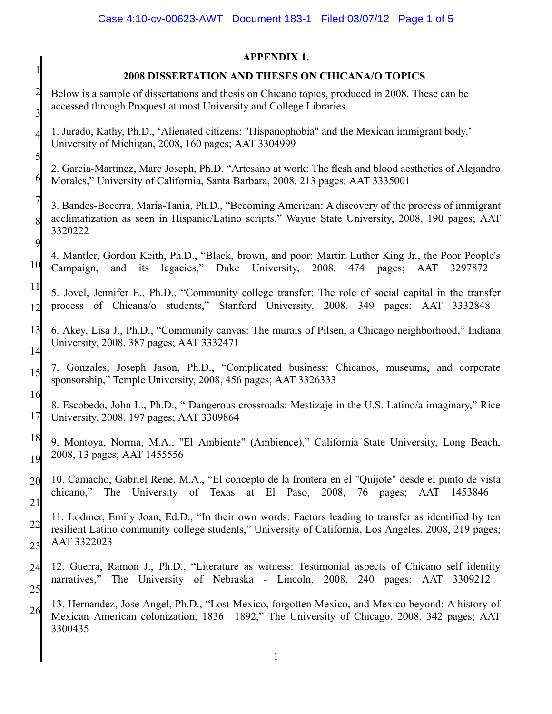# **APPENDIX 1.**

|                | <b>2008 DISSERTATION AND THESES ON CHICANA/O TOPICS</b>                                                                                                                                                                      |
|----------------|------------------------------------------------------------------------------------------------------------------------------------------------------------------------------------------------------------------------------|
| $\overline{2}$ | Below is a sample of dissertations and thesis on Chicano topics, produced in 2008. These can be                                                                                                                              |
| $\overline{3}$ | accessed through Proquest at most University and College Libraries.                                                                                                                                                          |
| $\overline{4}$ | 1. Jurado, Kathy, Ph.D., 'Alienated citizens: "Hispanophobia" and the Mexican immigrant body,'<br>University of Michigan, 2008, 160 pages; AAT 3304999                                                                       |
| 5              | 2. Garcia-Martinez, Marc Joseph, Ph.D. "Artesano at work: The flesh and blood aesthetics of Alejandro                                                                                                                        |
| 6              | Morales," University of California, Santa Barbara, 2008, 213 pages; AAT 3335001                                                                                                                                              |
| $\overline{7}$ | 3. Bandes-Becerra, Maria-Tania, Ph.D., "Becoming American: A discovery of the process of immigrant                                                                                                                           |
| 8              | acclimatization as seen in Hispanic/Latino scripts," Wayne State University, 2008, 190 pages; AAT                                                                                                                            |
| 9              | 3320222                                                                                                                                                                                                                      |
| 10             | 4. Mantler, Gordon Keith, Ph.D., "Black, brown, and poor: Martin Luther King Jr., the Poor People's<br>and its legacies," Duke University, 2008,<br>Campaign,<br>474<br>AAT<br>pages;<br>3297872                             |
| 11             | 5. Jovel, Jennifer E., Ph.D., "Community college transfer: The role of social capital in the transfer                                                                                                                        |
| 12             | process of Chicana/o students," Stanford University, 2008, 349 pages; AAT 3332848                                                                                                                                            |
| 13             | 6. Akey, Lisa J., Ph.D., "Community canvas: The murals of Pilsen, a Chicago neighborhood," Indiana                                                                                                                           |
| 14             | University, 2008, 387 pages; AAT 3332471                                                                                                                                                                                     |
| 15             | 7. Gonzales, Joseph Jason, Ph.D., "Complicated business: Chicanos, museums, and corporate<br>sponsorship," Temple University, 2008, 456 pages; AAT 3326333                                                                   |
| 16             | 8. Escobedo, John L., Ph.D., "Dangerous crossroads: Mestizaje in the U.S. Latino/a imaginary," Rice                                                                                                                          |
| 17             | University, 2008, 197 pages; AAT 3309864                                                                                                                                                                                     |
| 18             | 9. Montoya, Norma, M.A., "El Ambiente" (Ambience)," California State University, Long Beach,                                                                                                                                 |
| 19             | 2008, 13 pages; AAT 1455556                                                                                                                                                                                                  |
| 20<br>21       | 10. Camacho, Gabriel Rene, M.A., "El concepto de la frontera en el "Quijote" desde el punto de vista<br>University of Texas at El Paso, 2008,<br>chicano,"<br>The<br>76 pages; AAT 1453846                                   |
| 22<br>23       | 11. Lodmer, Emily Joan, Ed.D., "In their own words: Factors leading to transfer as identified by ten<br>resilient Latino community college students," University of California, Los Angeles, 2008, 219 pages;<br>AAT 3322023 |
| 24             | 12. Guerra, Ramon J., Ph.D., "Literature as witness: Testimonial aspects of Chicano self identity                                                                                                                            |
| 25             | narratives," The University of Nebraska - Lincoln, 2008, 240 pages; AAT 3309212                                                                                                                                              |
| 26             | 13. Hernandez, Jose Angel, Ph.D., "Lost Mexico, forgotten Mexico, and Mexico beyond: A history of<br>Mexican American colonization, 1836—1892," The University of Chicago, 2008, 342 pages; AAT<br>3300435                   |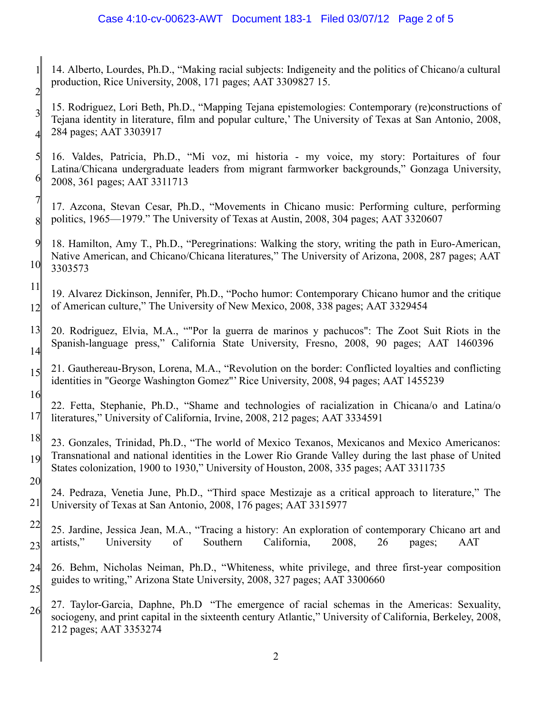14. Alberto, Lourdes, Ph.D., "Making racial subjects: Indigeneity and the politics of Chicano/a cultural production, Rice University, 2008, 171 pages; AAT 3309827 15. 1

- 15. Rodriguez, Lori Beth, Ph.D., "Mapping Tejana epistemologies: Contemporary (re)constructions of Tejana identity in literature, film and popular culture,' The University of Texas at San Antonio, 2008, 284 pages; AAT 3303917 3 4
- 16. Valdes, Patricia, Ph.D., "Mi voz, mi historia my voice, my story: Portaitures of four Latina/Chicana undergraduate leaders from migrant farmworker backgrounds," Gonzaga University, 2008, 361 pages; AAT 3311713 5 6
- 17. Azcona, Stevan Cesar, Ph.D., "Movements in Chicano music: Performing culture, performing politics, 1965—1979." The University of Texas at Austin, 2008, 304 pages; AAT 3320607 7 8
- 18. Hamilton, Amy T., Ph.D., "Peregrinations: Walking the story, writing the path in Euro-American, Native American, and Chicano/Chicana literatures," The University of Arizona, 2008, 287 pages; AAT 3303573 9 10
- 19. Alvarez Dickinson, Jennifer, Ph.D., "Pocho humor: Contemporary Chicano humor and the critique of American culture," The University of New Mexico, 2008, 338 pages; AAT 3329454 11 12
- 20. Rodriguez, Elvia, M.A., ""Por la guerra de marinos y pachucos": The Zoot Suit Riots in the Spanish-language press," California State University, Fresno, 2008, 90 pages; AAT 1460396 13 14
- 21. Gauthereau-Bryson, Lorena, M.A., "Revolution on the border: Conflicted loyalties and conflicting identities in "George Washington Gomez"' Rice University, 2008, 94 pages; AAT 1455239 15
- 22. Fetta, Stephanie, Ph.D., "Shame and technologies of racialization in Chicana/o and Latina/o literatures," University of California, Irvine, 2008, 212 pages; AAT 3334591 16 17
- 23. Gonzales, Trinidad, Ph.D., "The world of Mexico Texanos, Mexicanos and Mexico Americanos: Transnational and national identities in the Lower Rio Grande Valley during the last phase of United States colonization, 1900 to 1930," University of Houston, 2008, 335 pages; AAT 3311735 18 19
- 24. Pedraza, Venetia June, Ph.D., "Third space Mestizaje as a critical approach to literature," The University of Texas at San Antonio, 2008, 176 pages; AAT 3315977 20 21
- 25. Jardine, Jessica Jean, M.A., "Tracing a history: An exploration of contemporary Chicano art and artists," University of Southern California, 2008, 26 pages; AAT 22 23
- 26. Behm, Nicholas Neiman, Ph.D., "Whiteness, white privilege, and three first-year composition guides to writing," Arizona State University, 2008, 327 pages; AAT 3300660 24 25
- 27. Taylor-Garcia, Daphne, Ph.D "The emergence of racial schemas in the Americas: Sexuality, sociogeny, and print capital in the sixteenth century Atlantic," University of California, Berkeley, 2008, 212 pages; AAT 3353274 26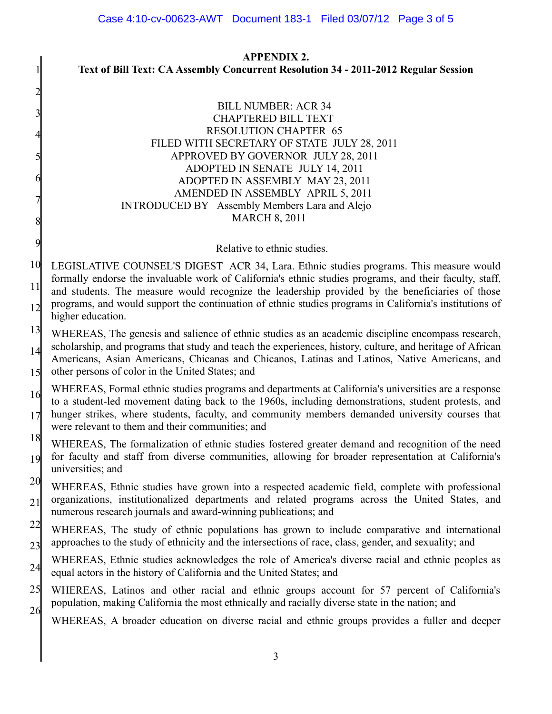| 1                                                 | <b>APPENDIX 2.</b><br>Text of Bill Text: CA Assembly Concurrent Resolution 34 - 2011-2012 Regular Session                                                                                                                                                                                                                                                                                                                                                                   |
|---------------------------------------------------|-----------------------------------------------------------------------------------------------------------------------------------------------------------------------------------------------------------------------------------------------------------------------------------------------------------------------------------------------------------------------------------------------------------------------------------------------------------------------------|
| $\overline{c}$<br>3<br>4<br>5<br>6<br>7<br>8<br>9 | <b>BILL NUMBER: ACR 34</b><br><b>CHAPTERED BILL TEXT</b><br><b>RESOLUTION CHAPTER 65</b><br>FILED WITH SECRETARY OF STATE JULY 28, 2011<br>APPROVED BY GOVERNOR JULY 28, 2011<br>ADOPTED IN SENATE JULY 14, 2011<br>ADOPTED IN ASSEMBLY MAY 23, 2011<br>AMENDED IN ASSEMBLY APRIL 5, 2011<br>INTRODUCED BY Assembly Members Lara and Alejo<br><b>MARCH 8, 2011</b><br>Relative to ethnic studies.                                                                           |
| 10<br>11<br>12                                    | LEGISLATIVE COUNSEL'S DIGEST ACR 34, Lara. Ethnic studies programs. This measure would<br>formally endorse the invaluable work of California's ethnic studies programs, and their faculty, staff,<br>and students. The measure would recognize the leadership provided by the beneficiaries of those<br>programs, and would support the continuation of ethnic studies programs in California's institutions of<br>higher education.                                        |
| $\left  \frac{3}{2} \right $<br>14<br>15          | WHEREAS, The genesis and salience of ethnic studies as an academic discipline encompass research,<br>scholarship, and programs that study and teach the experiences, history, culture, and heritage of African<br>Americans, Asian Americans, Chicanas and Chicanos, Latinas and Latinos, Native Americans, and<br>other persons of color in the United States; and                                                                                                         |
| 16<br>17                                          | WHEREAS, Formal ethnic studies programs and departments at California's universities are a response<br>to a student-led movement dating back to the 1960s, including demonstrations, student protests, and<br>hunger strikes, where students, faculty, and community members demanded university courses that<br>were relevant to them and their communities; and                                                                                                           |
| 18<br>19                                          | WHEREAS, The formalization of ethnic studies fostered greater demand and recognition of the need<br>for faculty and staff from diverse communities, allowing for broader representation at California's<br>universities; and                                                                                                                                                                                                                                                |
| 20<br>21<br>22<br>23                              | WHEREAS, Ethnic studies have grown into a respected academic field, complete with professional<br>organizations, institutionalized departments and related programs across the United States, and<br>numerous research journals and award-winning publications; and<br>WHEREAS, The study of ethnic populations has grown to include comparative and international<br>approaches to the study of ethnicity and the intersections of race, class, gender, and sexuality; and |
| 24                                                | WHEREAS, Ethnic studies acknowledges the role of America's diverse racial and ethnic peoples as<br>equal actors in the history of California and the United States; and                                                                                                                                                                                                                                                                                                     |
| 25<br>26                                          | WHEREAS, Latinos and other racial and ethnic groups account for 57 percent of California's<br>population, making California the most ethnically and racially diverse state in the nation; and<br>WHEREAS, A broader education on diverse racial and ethnic groups provides a fuller and deeper                                                                                                                                                                              |
|                                                   | 3                                                                                                                                                                                                                                                                                                                                                                                                                                                                           |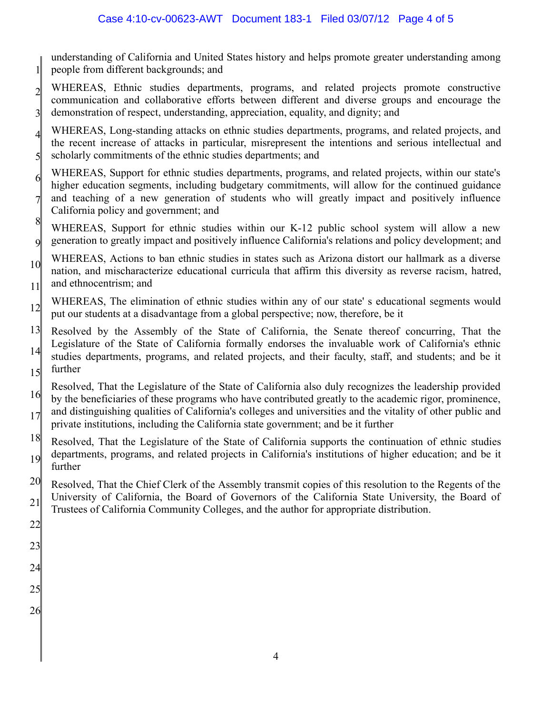- understanding of California and United States history and helps promote greater understanding among people from different backgrounds; and 1
- WHEREAS, Ethnic studies departments, programs, and related projects promote constructive communication and collaborative efforts between different and diverse groups and encourage the demonstration of respect, understanding, appreciation, equality, and dignity; and 2 3
- WHEREAS, Long-standing attacks on ethnic studies departments, programs, and related projects, and the recent increase of attacks in particular, misrepresent the intentions and serious intellectual and scholarly commitments of the ethnic studies departments; and 4 5
- WHEREAS, Support for ethnic studies departments, programs, and related projects, within our state's higher education segments, including budgetary commitments, will allow for the continued guidance and teaching of a new generation of students who will greatly impact and positively influence California policy and government; and 6 7
- WHEREAS, Support for ethnic studies within our K-12 public school system will allow a new generation to greatly impact and positively influence California's relations and policy development; and 8 9
- WHEREAS, Actions to ban ethnic studies in states such as Arizona distort our hallmark as a diverse nation, and mischaracterize educational curricula that affirm this diversity as reverse racism, hatred, and ethnocentrism; and 10 11
- WHEREAS, The elimination of ethnic studies within any of our state' s educational segments would put our students at a disadvantage from a global perspective; now, therefore, be it 12
- Resolved by the Assembly of the State of California, the Senate thereof concurring, That the Legislature of the State of California formally endorses the invaluable work of California's ethnic studies departments, programs, and related projects, and their faculty, staff, and students; and be it further 13 14 15
- Resolved, That the Legislature of the State of California also duly recognizes the leadership provided by the beneficiaries of these programs who have contributed greatly to the academic rigor, prominence, and distinguishing qualities of California's colleges and universities and the vitality of other public and private institutions, including the California state government; and be it further 16 17
- Resolved, That the Legislature of the State of California supports the continuation of ethnic studies departments, programs, and related projects in California's institutions of higher education; and be it further 18 19
- Resolved, That the Chief Clerk of the Assembly transmit copies of this resolution to the Regents of the University of California, the Board of Governors of the California State University, the Board of Trustees of California Community Colleges, and the author for appropriate distribution. 20 21
- 22
- 23
- 24
- 25
- 26